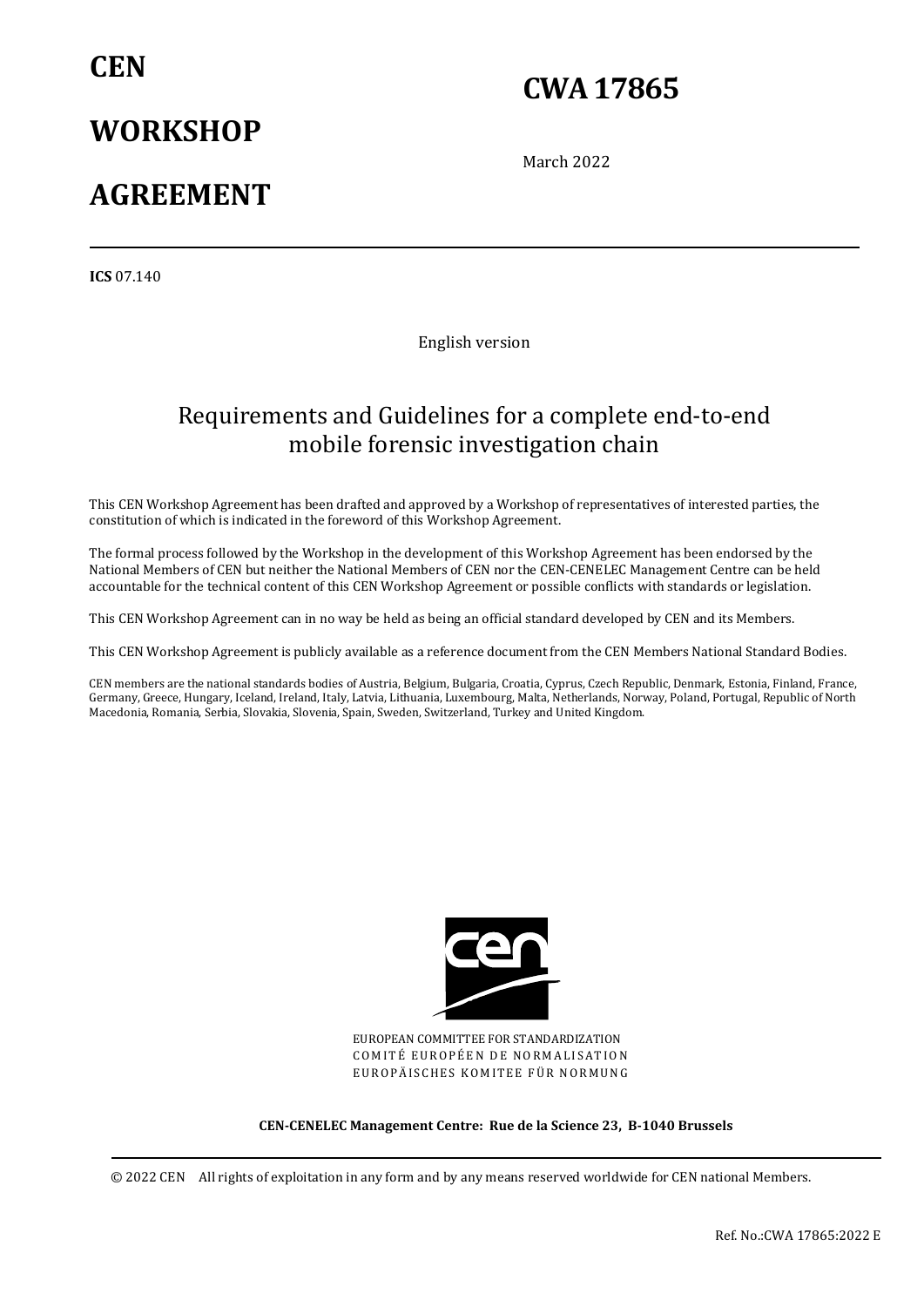## **CEN**

## **WORKSHOP**

## **CWA 17865**

March 2022

## **AGREEMENT**

**ICS** 07.140

English version

## Requirements and Guidelines for a complete end-to-end mobile forensic investigation chain

This CEN Workshop Agreement has been drafted and approved by a Workshop of representatives of interested parties, the constitution of which is indicated in the foreword of this Workshop Agreement.

The formal process followed by the Workshop in the development of this Workshop Agreement has been endorsed by the National Members of CEN but neither the National Members of CEN nor the CEN-CENELEC Management Centre can be held accountable for the technical content of this CEN Workshop Agreement or possible conflicts with standards or legislation.

This CEN Workshop Agreement can in no way be held as being an official standard developed by CEN and its Members.

This CEN Workshop Agreement is publicly available as a reference document from the CEN Members National Standard Bodies.

CEN members are the national standards bodies of Austria, Belgium, Bulgaria, Croatia, Cyprus, Czech Republic, Denmark, Estonia, Finland, France, Germany, Greece, Hungary, Iceland, Ireland, Italy, Latvia, Lithuania, Luxembourg, Malta, Netherlands, Norway, Poland, Portugal, Republic of North Macedonia, Romania, Serbia, Slovakia, Slovenia, Spain, Sweden, Switzerland, Turkey and United Kingdom.



EUROPEAN COMMITTEE FOR STANDARDIZATION COMITÉ EUROPÉEN DE NORMALISATION EUROPÄISCHES KOMITEE FÜR NORMUNG

**CEN-CENELEC Management Centre: Rue de la Science 23, B-1040 Brussels** 

© 2022 CEN All rights of exploitation in any form and by any means reserved worldwide for CEN national Members.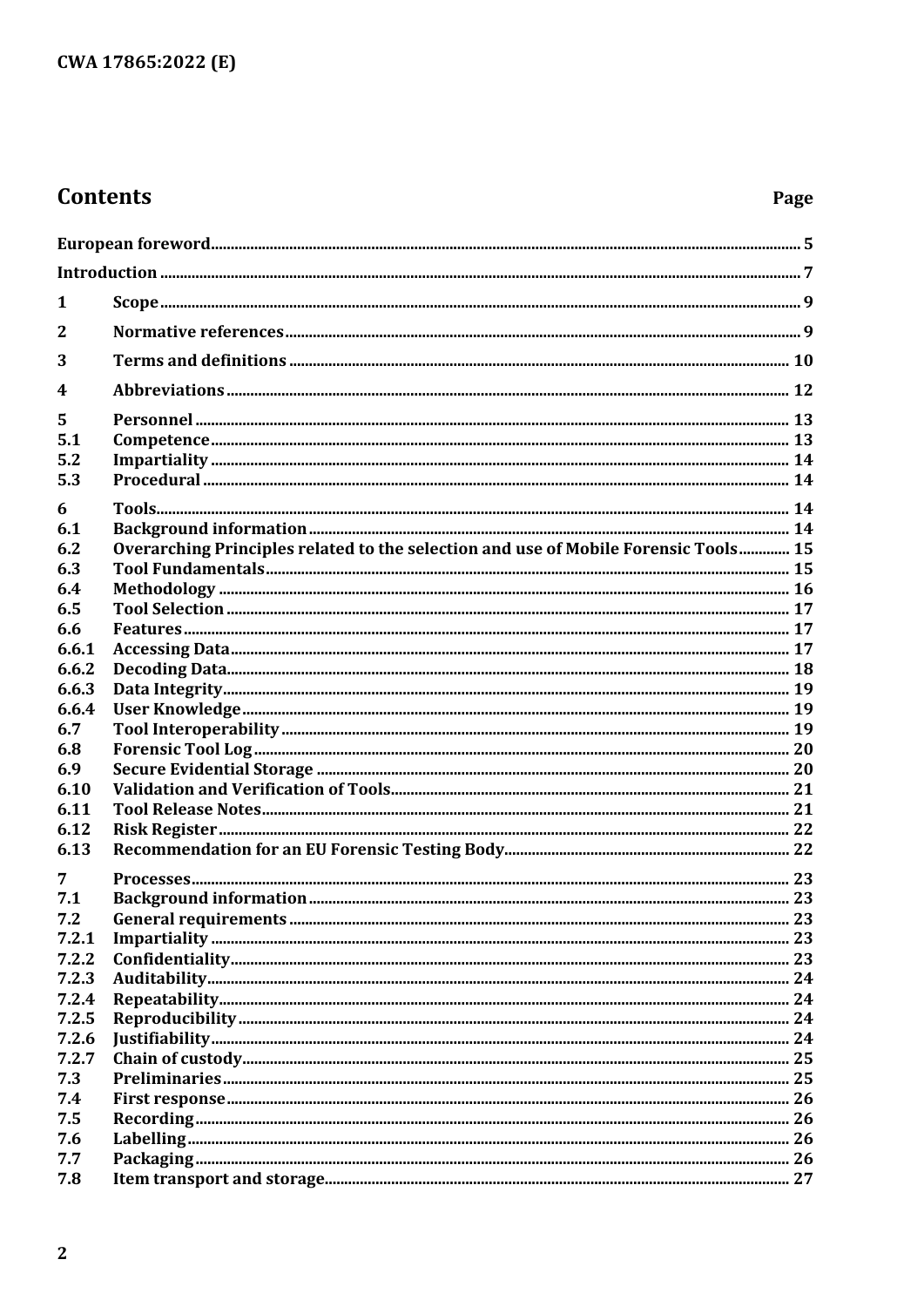## **Contents**

## Page

| 1            |                                                                                     |  |
|--------------|-------------------------------------------------------------------------------------|--|
| $\mathbf{2}$ |                                                                                     |  |
| 3            |                                                                                     |  |
| 4            |                                                                                     |  |
| 5            |                                                                                     |  |
| 5.1          |                                                                                     |  |
| 5.2          |                                                                                     |  |
| 5.3          |                                                                                     |  |
| 6            |                                                                                     |  |
| 6.1          |                                                                                     |  |
| 6.2          | Overarching Principles related to the selection and use of Mobile Forensic Tools 15 |  |
| 6.3          |                                                                                     |  |
| 6.4          |                                                                                     |  |
| 6.5          |                                                                                     |  |
| 6.6          |                                                                                     |  |
| 6.6.1        |                                                                                     |  |
| 6.6.2        |                                                                                     |  |
| 6.6.3        |                                                                                     |  |
| 6.6.4        |                                                                                     |  |
| 6.7          |                                                                                     |  |
| 6.8          |                                                                                     |  |
| 6.9          |                                                                                     |  |
| 6.10         |                                                                                     |  |
| 6.11         |                                                                                     |  |
| 6.12         |                                                                                     |  |
| 6.13         |                                                                                     |  |
| 7            |                                                                                     |  |
| 7.1          |                                                                                     |  |
| 7.2          |                                                                                     |  |
| 7.2.1        |                                                                                     |  |
| 7.2.2        |                                                                                     |  |
| 7.2.3        |                                                                                     |  |
| 7.2.4        |                                                                                     |  |
| 7.2.5        |                                                                                     |  |
| 7.2.6        |                                                                                     |  |
| 7.2.7        |                                                                                     |  |
| 7.3          |                                                                                     |  |
| 7.4          |                                                                                     |  |
| 7.5          |                                                                                     |  |
| 7.6          |                                                                                     |  |
| 7.7          |                                                                                     |  |
| 7.8          |                                                                                     |  |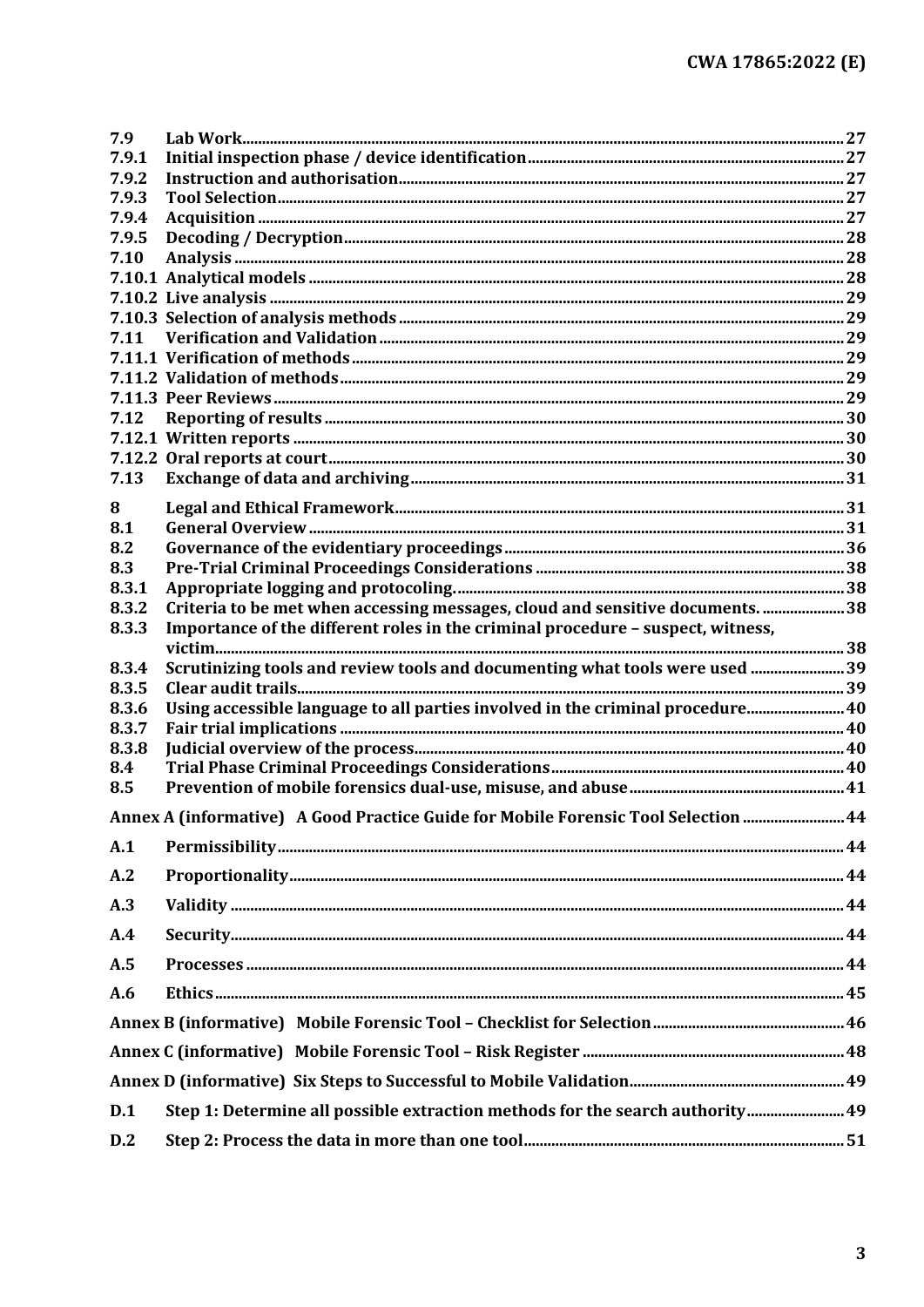| 7.9        |                                                                                    |  |
|------------|------------------------------------------------------------------------------------|--|
| 7.9.1      |                                                                                    |  |
| 7.9.2      |                                                                                    |  |
| 7.9.3      |                                                                                    |  |
| 7.9.4      |                                                                                    |  |
| 7.9.5      |                                                                                    |  |
| 7.10       |                                                                                    |  |
|            |                                                                                    |  |
|            |                                                                                    |  |
|            |                                                                                    |  |
| 7.11       |                                                                                    |  |
|            |                                                                                    |  |
|            |                                                                                    |  |
| 7.12       |                                                                                    |  |
|            |                                                                                    |  |
|            |                                                                                    |  |
| 7.13       |                                                                                    |  |
|            |                                                                                    |  |
| 8          |                                                                                    |  |
| 8.1<br>8.2 |                                                                                    |  |
| 8.3        |                                                                                    |  |
| 8.3.1      |                                                                                    |  |
| 8.3.2      | Criteria to be met when accessing messages, cloud and sensitive documents. 38      |  |
| 8.3.3      | Importance of the different roles in the criminal procedure - suspect, witness,    |  |
|            |                                                                                    |  |
| 8.3.4      | Scrutinizing tools and review tools and documenting what tools were used 39        |  |
| 8.3.5      |                                                                                    |  |
| 8.3.6      | Using accessible language to all parties involved in the criminal procedure 40     |  |
| 8.3.7      |                                                                                    |  |
| 8.3.8      |                                                                                    |  |
| 8.4        |                                                                                    |  |
| 8.5        |                                                                                    |  |
|            | Annex A (informative) A Good Practice Guide for Mobile Forensic Tool Selection  44 |  |
| A.1        |                                                                                    |  |
| A.2        |                                                                                    |  |
| A.3        |                                                                                    |  |
| A.4        |                                                                                    |  |
| A.5        |                                                                                    |  |
| A.6        |                                                                                    |  |
|            |                                                                                    |  |
|            |                                                                                    |  |
|            |                                                                                    |  |
|            |                                                                                    |  |
| D.1        | Step 1: Determine all possible extraction methods for the search authority 49      |  |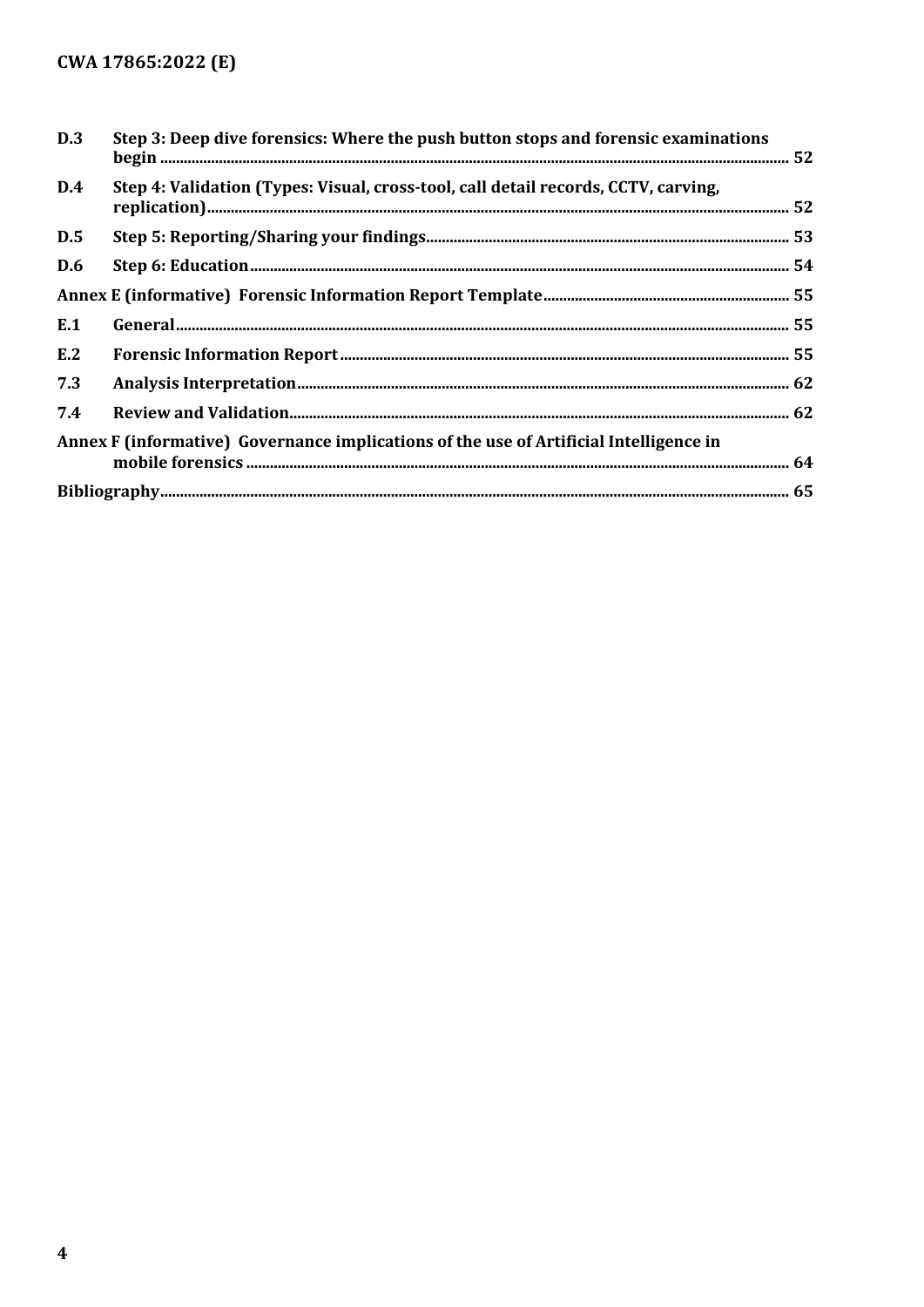| D.3 | Step 3: Deep dive forensics: Where the push button stops and forensic examinations     |  |
|-----|----------------------------------------------------------------------------------------|--|
| D.4 | Step 4: Validation (Types: Visual, cross-tool, call detail records, CCTV, carving,     |  |
| D.5 |                                                                                        |  |
| D.6 |                                                                                        |  |
|     |                                                                                        |  |
| E.1 |                                                                                        |  |
| E.2 |                                                                                        |  |
| 7.3 |                                                                                        |  |
| 7.4 |                                                                                        |  |
|     | Annex F (informative) Governance implications of the use of Artificial Intelligence in |  |
|     |                                                                                        |  |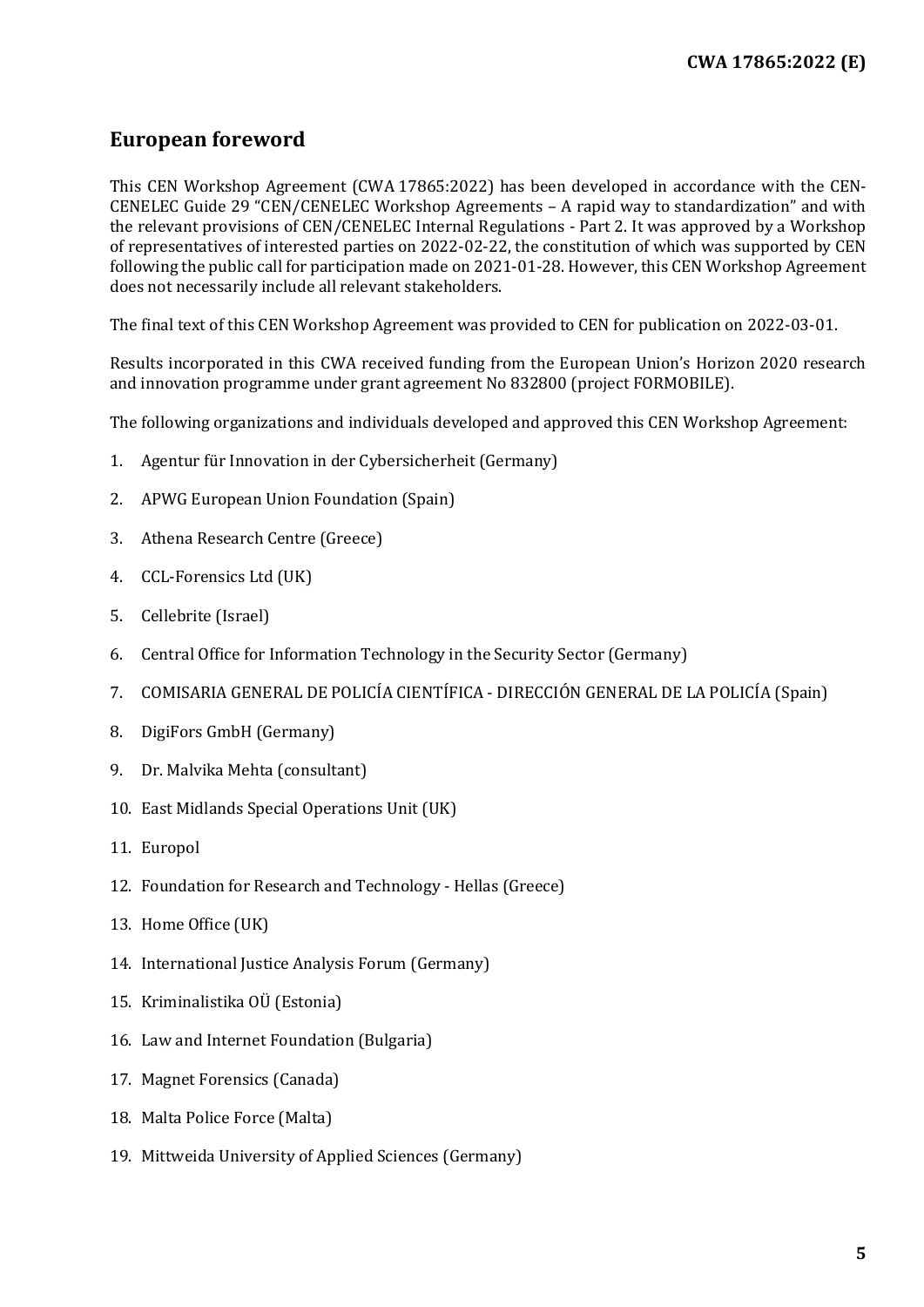## <span id="page-4-0"></span>**European foreword**

This CEN Workshop Agreement (CWA 17865:2022) has been developed in accordance with the CEN-CENELEC Guide 29 "CEN/CENELEC Workshop Agreements – A rapid way to standardization" and with the relevant provisions of CEN/CENELEC Internal Regulations - Part 2. It was approved by a Workshop of representatives of interested parties on 2022-02-22, the constitution of which was supported by CEN following the public call for participation made on 2021-01-28. However, this CEN Workshop Agreement does not necessarily include all relevant stakeholders.

The final text of this CEN Workshop Agreement was provided to CEN for publication on 2022-03-01.

Results incorporated in this CWA received funding from the European Union's Horizon 2020 research and innovation programme under grant agreement No 832800 (project FORMOBILE).

The following organizations and individuals developed and approved this CEN Workshop Agreement:

- 1. Agentur für Innovation in der Cybersicherheit (Germany)
- 2. APWG European Union Foundation (Spain)
- 3. Athena Research Centre (Greece)
- 4. CCL-Forensics Ltd (UK)
- 5. Cellebrite (Israel)
- 6. Central Office for Information Technology in the Security Sector (Germany)
- 7. COMISARIA GENERAL DE POLICÍA CIENTÍFICA DIRECCIÓN GENERAL DE LA POLICÍA (Spain)
- 8. DigiFors GmbH (Germany)
- 9. Dr. Malvika Mehta (consultant)
- 10. East Midlands Special Operations Unit (UK)
- 11. Europol
- 12. Foundation for Research and Technology Hellas (Greece)
- 13. Home Office (UK)
- 14. International Justice Analysis Forum (Germany)
- 15. Kriminalistika OÜ (Estonia)
- 16. Law and Internet Foundation (Bulgaria)
- 17. Magnet Forensics (Canada)
- 18. Malta Police Force (Malta)
- 19. Mittweida University of Applied Sciences (Germany)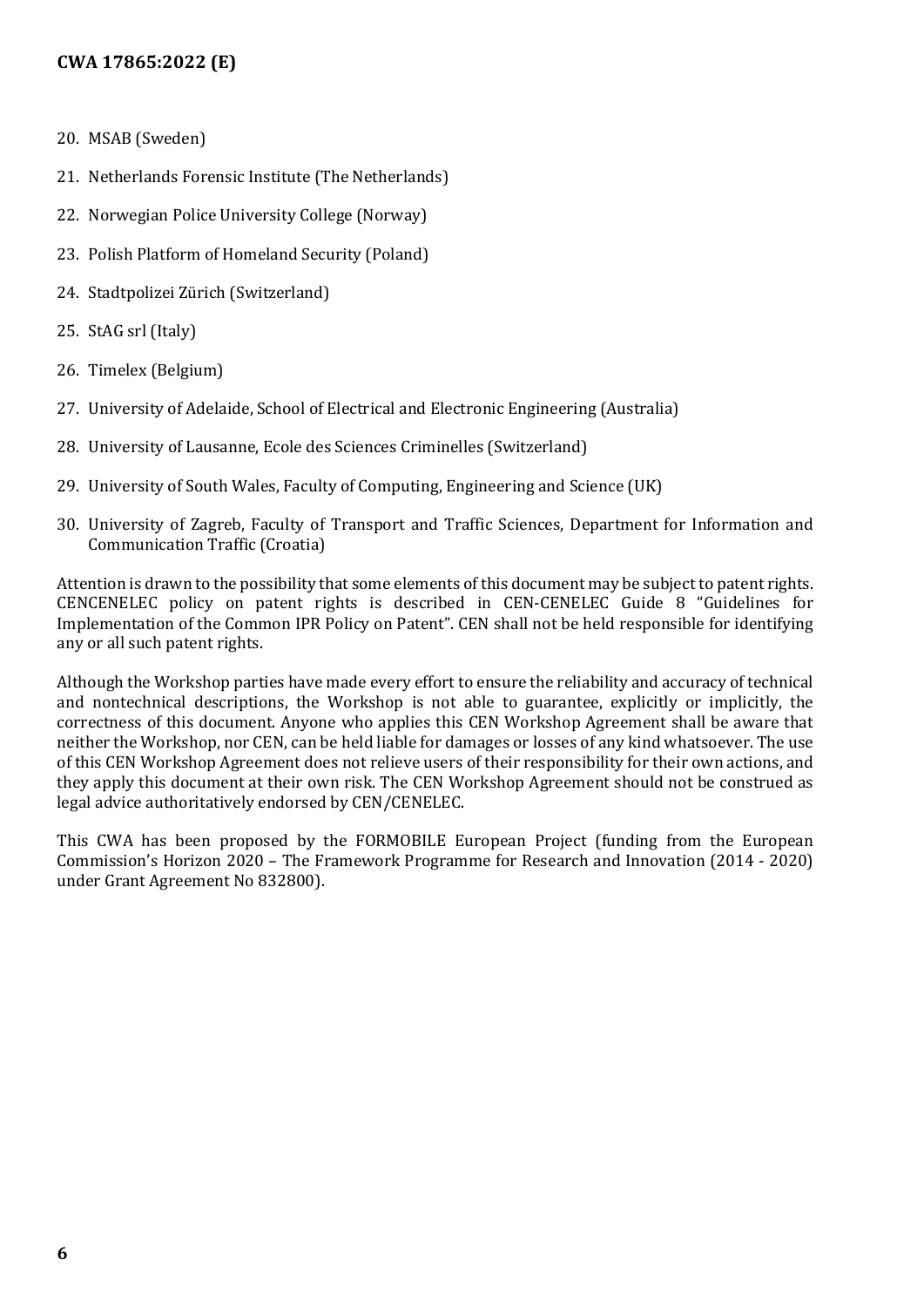- 20. MSAB (Sweden)
- 21. Netherlands Forensic Institute (The Netherlands)
- 22. Norwegian Police University College (Norway)
- 23. Polish Platform of Homeland Security (Poland)
- 24. Stadtpolizei Zürich (Switzerland)
- 25. StAG srl (Italy)
- 26. Timelex (Belgium)
- 27. University of Adelaide, School of Electrical and Electronic Engineering (Australia)
- 28. University of Lausanne, Ecole des Sciences Criminelles (Switzerland)
- 29. University of South Wales, Faculty of Computing, Engineering and Science (UK)
- 30. University of Zagreb, Faculty of Transport and Traffic Sciences, Department for Information and Communication Traffic (Croatia)

Attention is drawn to the possibility that some elements of this document may be subject to patent rights. CENCENELEC policy on patent rights is described in CEN-CENELEC Guide 8 "Guidelines for Implementation of the Common IPR Policy on Patent". CEN shall not be held responsible for identifying any or all such patent rights.

Although the Workshop parties have made every effort to ensure the reliability and accuracy of technical and nontechnical descriptions, the Workshop is not able to guarantee, explicitly or implicitly, the correctness of this document. Anyone who applies this CEN Workshop Agreement shall be aware that neither the Workshop, nor CEN, can be held liable for damages or losses of any kind whatsoever. The use of this CEN Workshop Agreement does not relieve users of their responsibility for their own actions, and they apply this document at their own risk. The CEN Workshop Agreement should not be construed as legal advice authoritatively endorsed by CEN/CENELEC.

This CWA has been proposed by the FORMOBILE European Project (funding from the European Commission's Horizon 2020 – The Framework Programme for Research and Innovation (2014 - 2020) under Grant Agreement No 832800).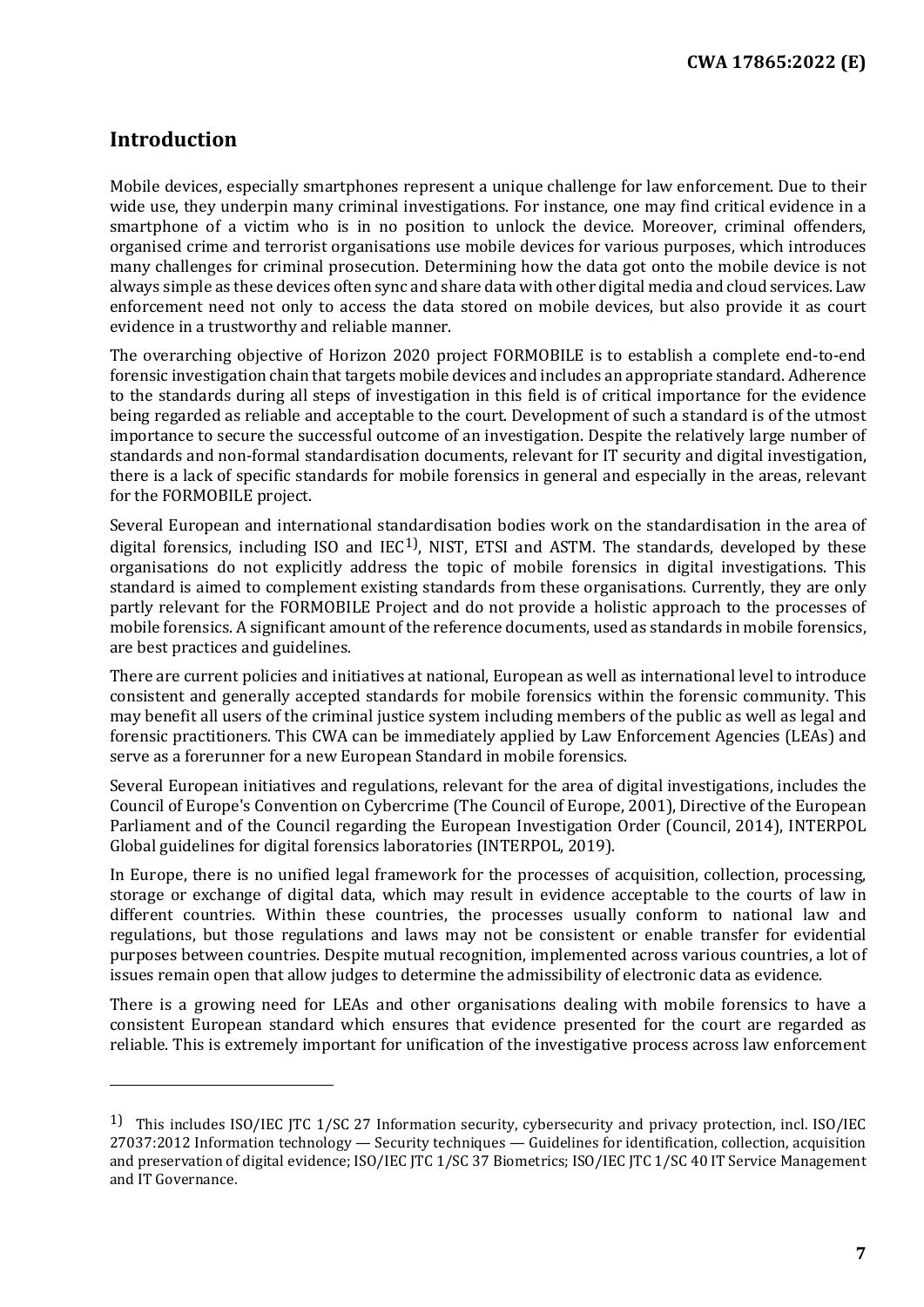## <span id="page-6-0"></span>**Introduction**

I

Mobile devices, especially smartphones represent a unique challenge for law enforcement. Due to their wide use, they underpin many criminal investigations. For instance, one may find critical evidence in a smartphone of a victim who is in no position to unlock the device. Moreover, criminal offenders, organised crime and terrorist organisations use mobile devices for various purposes, which introduces many challenges for criminal prosecution. Determining how the data got onto the mobile device is not always simple as these devices often sync and share data with other digital media and cloud services. Law enforcement need not only to access the data stored on mobile devices, but also provide it as court evidence in a trustworthy and reliable manner.

The overarching objective of Horizon 2020 project FORMOBILE is to establish a complete end-to-end forensic investigation chain that targets mobile devices and includes an appropriate standard. Adherence to the standards during all steps of investigation in this field is of critical importance for the evidence being regarded as reliable and acceptable to the court. Development of such a standard is of the utmost importance to secure the successful outcome of an investigation. Despite the relatively large number of standards and non-formal standardisation documents, relevant for IT security and digital investigation, there is a lack of specific standards for mobile forensics in general and especially in the areas, relevant for the FORMOBILE project.

Several European and international standardisation bodies work on the standardisation in the area of digital forensics, including ISO and  $IEC<sup>1</sup>$  $IEC<sup>1</sup>$  $IEC<sup>1</sup>$ , NIST, ETSI and ASTM. The standards, developed by these organisations do not explicitly address the topic of mobile forensics in digital investigations. This standard is aimed to complement existing standards from these organisations. Currently, they are only partly relevant for the FORMOBILE Project and do not provide a holistic approach to the processes of mobile forensics. A significant amount of the reference documents, used as standards in mobile forensics, are best practices and guidelines.

There are current policies and initiatives at national, European as well as international level to introduce consistent and generally accepted standards for mobile forensics within the forensic community. This may benefit all users of the criminal justice system including members of the public as well as legal and forensic practitioners. This CWA can be immediately applied by Law Enforcement Agencies (LEAs) and serve as a forerunner for a new European Standard in mobile forensics.

Several European initiatives and regulations, relevant for the area of digital investigations, includes the Council of Europe's Convention on Cybercrime (The Council of Europe, 2001), Directive of the European Parliament and of the Council regarding the European Investigation Order (Council, 2014), INTERPOL Global guidelines for digital forensics laboratories (INTERPOL, 2019).

In Europe, there is no unified legal framework for the processes of acquisition, collection, processing, storage or exchange of digital data, which may result in evidence acceptable to the courts of law in different countries. Within these countries, the processes usually conform to national law and regulations, but those regulations and laws may not be consistent or enable transfer for evidential purposes between countries. Despite mutual recognition, implemented across various countries, a lot of issues remain open that allow judges to determine the admissibility of electronic data as evidence.

There is a growing need for LEAs and other organisations dealing with mobile forensics to have a consistent European standard which ensures that evidence presented for the court are regarded as reliable. This is extremely important for unification of the investigative process across law enforcement

<span id="page-6-1"></span><sup>&</sup>lt;sup>1</sup>) This includes ISO/IEC ITC 1/SC 27 Information security, cybersecurity and privacy protection, incl. ISO/IEC 27037:2012 Information technology — Security techniques — Guidelines for identification, collection, acquisition and preservation of digital evidence; ISO/IEC JTC 1/SC 37 Biometrics; ISO/IEC JTC 1/SC 40 IT Service Management and IT Governance.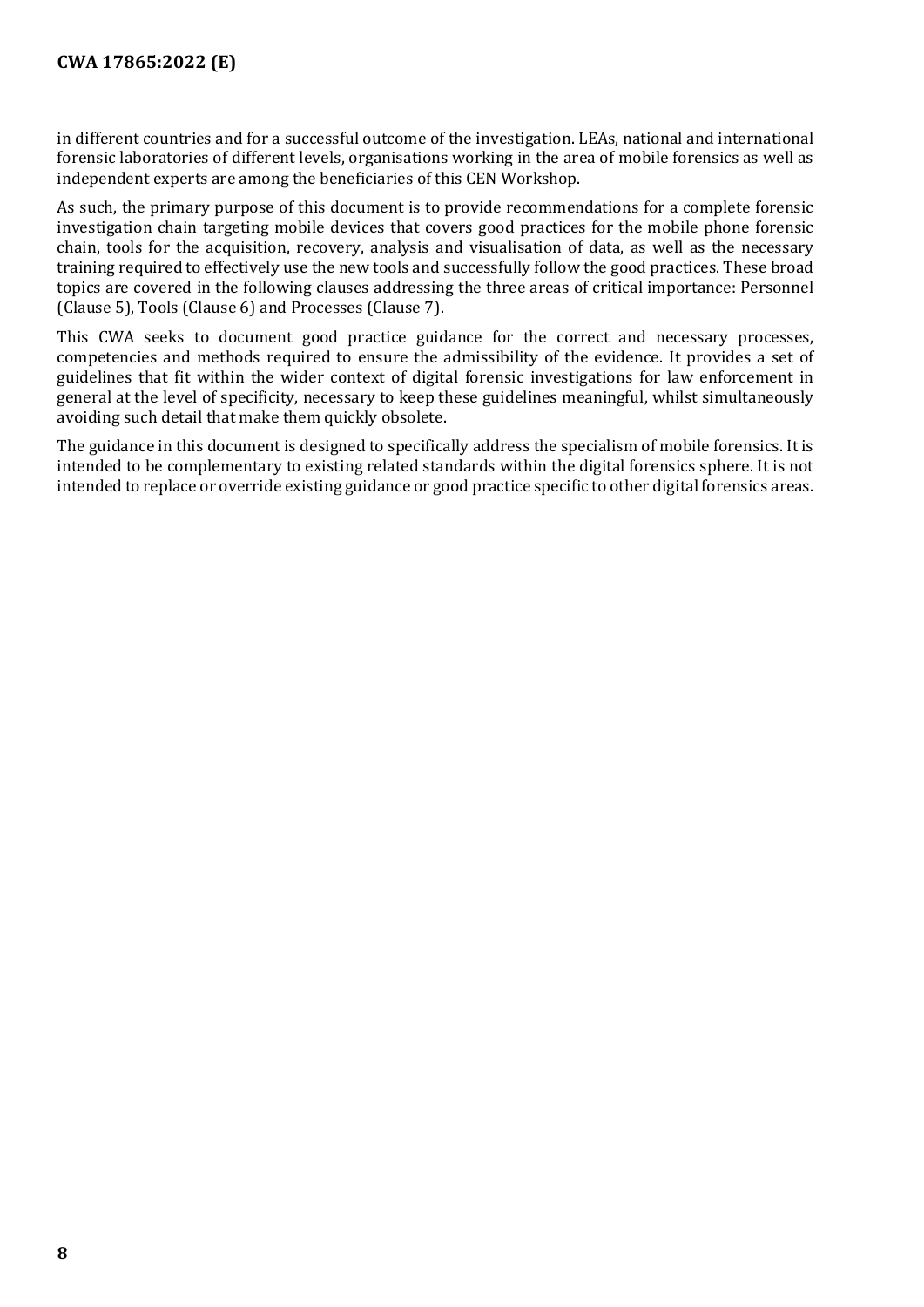in different countries and for a successful outcome of the investigation. LEAs, national and international forensic laboratories of different levels, organisations working in the area of mobile forensics as well as independent experts are among the beneficiaries of this CEN Workshop.

As such, the primary purpose of this document is to provide recommendations for a complete forensic investigation chain targeting mobile devices that covers good practices for the mobile phone forensic chain, tools for the acquisition, recovery, analysis and visualisation of data, as well as the necessary training required to effectively use the new tools and successfully follow the good practices. These broad topics are covered in the following clauses addressing the three areas of critical importance: Personnel (Clause 5), Tools (Clause 6) and Processes (Clause 7).

This CWA seeks to document good practice guidance for the correct and necessary processes, competencies and methods required to ensure the admissibility of the evidence. It provides a set of guidelines that fit within the wider context of digital forensic investigations for law enforcement in general at the level of specificity, necessary to keep these guidelines meaningful, whilst simultaneously avoiding such detail that make them quickly obsolete.

The guidance in this document is designed to specifically address the specialism of mobile forensics. It is intended to be complementary to existing related standards within the digital forensics sphere. It is not intended to replace or override existing guidance or good practice specific to other digital forensics areas.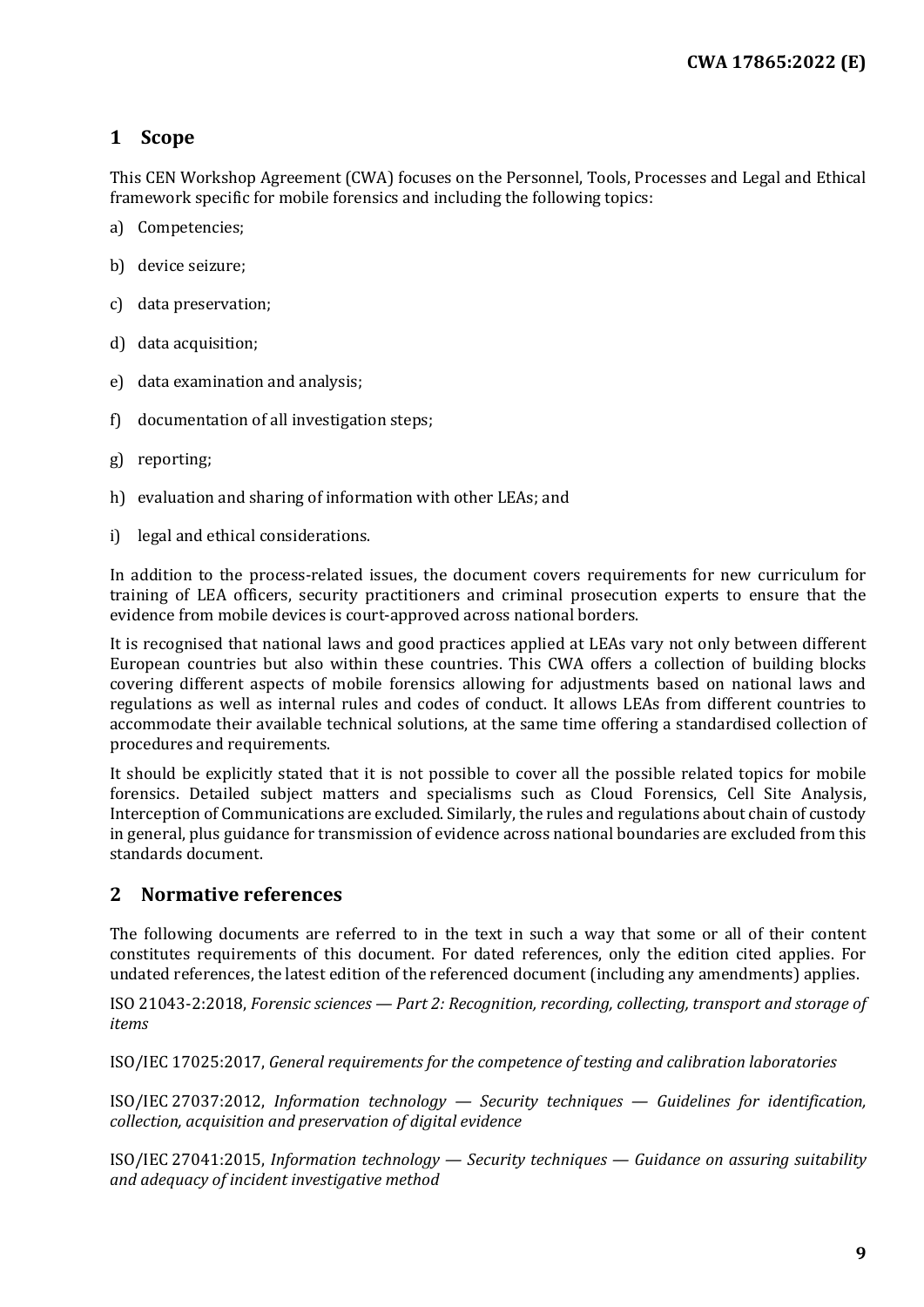## <span id="page-8-0"></span>**1 Scope**

This CEN Workshop Agreement (CWA) focuses on the Personnel, Tools, Processes and Legal and Ethical framework specific for mobile forensics and including the following topics:

- a) Competencies;
- b) device seizure;
- c) data preservation;
- d) data acquisition;
- e) data examination and analysis;
- f) documentation of all investigation steps;
- g) reporting;
- h) evaluation and sharing of information with other LEAs; and
- i) legal and ethical considerations.

In addition to the process-related issues, the document covers requirements for new curriculum for training of LEA officers, security practitioners and criminal prosecution experts to ensure that the evidence from mobile devices is court-approved across national borders.

It is recognised that national laws and good practices applied at LEAs vary not only between different European countries but also within these countries. This CWA offers a collection of building blocks covering different aspects of mobile forensics allowing for adjustments based on national laws and regulations as well as internal rules and codes of conduct. It allows LEAs from different countries to accommodate their available technical solutions, at the same time offering a standardised collection of procedures and requirements.

It should be explicitly stated that it is not possible to cover all the possible related topics for mobile forensics. Detailed subject matters and specialisms such as Cloud Forensics, Cell Site Analysis, Interception of Communications are excluded. Similarly, the rules and regulations about chain of custody in general, plus guidance for transmission of evidence across national boundaries are excluded from this standards document.

#### <span id="page-8-1"></span>**2 Normative references**

The following documents are referred to in the text in such a way that some or all of their content constitutes requirements of this document. For dated references, only the edition cited applies. For undated references, the latest edition of the referenced document (including any amendments) applies.

ISO 21043-2:2018, *Forensic sciences — Part 2: Recognition, recording, collecting, transport and storage of items*

ISO/IEC 17025:2017, *General requirements for the competence of testing and calibration laboratories*

ISO/IEC 27037:2012, *Information technology — Security techniques — Guidelines for identification, collection, acquisition and preservation of digital evidence*

ISO/IEC 27041:2015, *Information technology — Security techniques — Guidance on assuring suitability and adequacy of incident investigative method*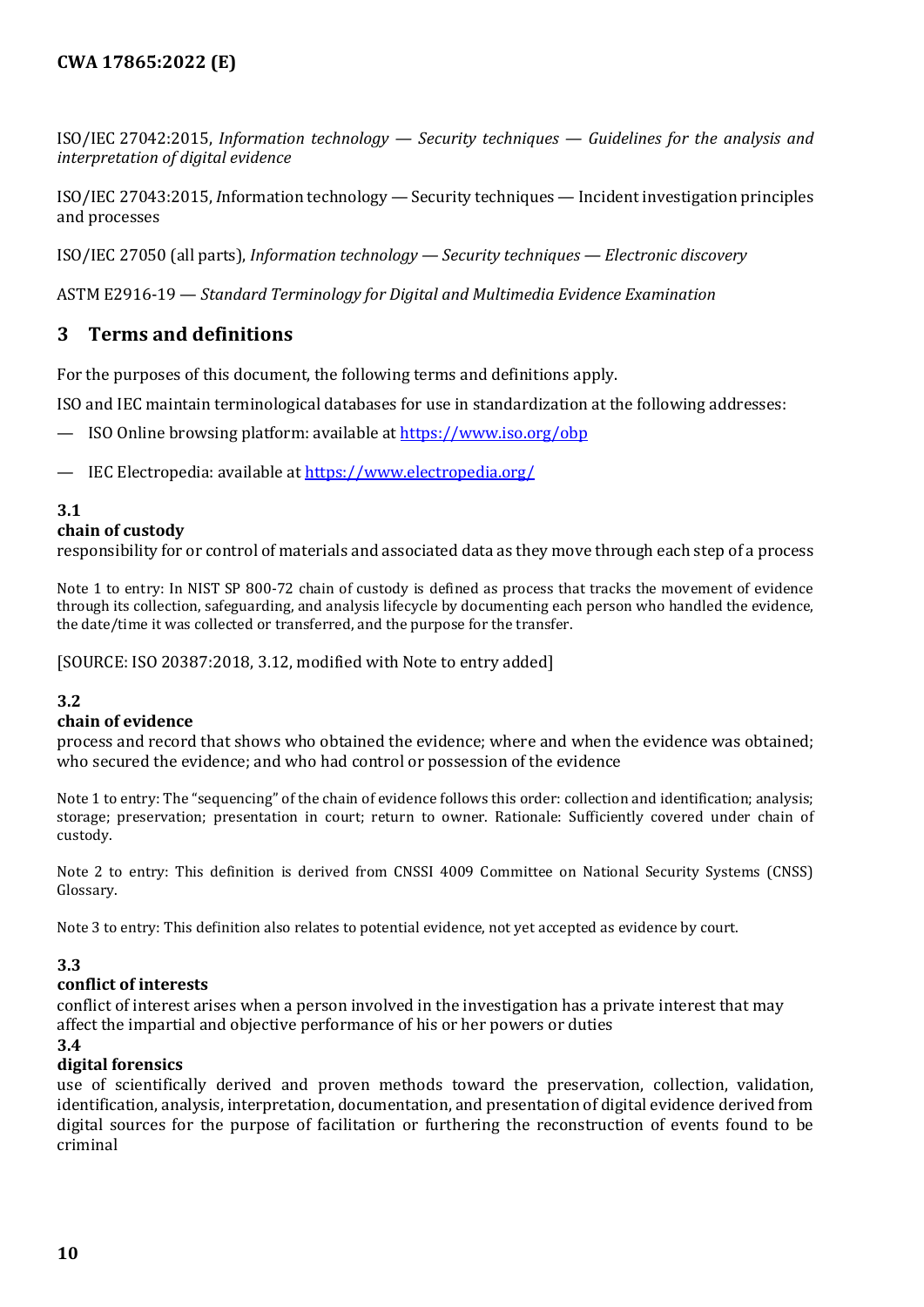ISO/IEC 27042:2015, *Information technology — Security techniques — Guidelines for the analysis and interpretation of digital evidence*

ISO/IEC 27043:2015, *I*nformation technology — Security techniques — Incident investigation principles and processes

ISO/IEC 27050 (all parts), *Information technology — Security techniques — Electronic discovery*

ASTM E2916-19 — *Standard Terminology for Digital and Multimedia Evidence Examination*

## <span id="page-9-0"></span>**3 Terms and definitions**

For the purposes of this document, the following terms and definitions apply.

ISO and IEC maintain terminological databases for use in standardization at the following addresses:

- ISO Online browsing platform: available at<https://www.iso.org/obp>
- IEC Electropedia: available a[t https://www.electropedia.org/](https://www.electropedia.org/)

#### **3.1**

#### **chain of custody**

responsibility for or control of materials and associated data as they move through each step of a process

Note 1 to entry: In NIST SP 800-72 chain of custody is defined as process that tracks the movement of evidence through its collection, safeguarding, and analysis lifecycle by documenting each person who handled the evidence, the date/time it was collected or transferred, and the purpose for the transfer.

[SOURCE: ISO 20387:2018, 3.12, modified with Note to entry added]

#### **3.2**

#### **chain of evidence**

process and record that shows who obtained the evidence; where and when the evidence was obtained; who secured the evidence; and who had control or possession of the evidence

Note 1 to entry: The "sequencing" of the chain of evidence follows this order: collection and identification; analysis; storage; preservation; presentation in court; return to owner. Rationale: Sufficiently covered under chain of custody.

Note 2 to entry: This definition is derived from CNSSI 4009 Committee on National Security Systems (CNSS) Glossary.

Note 3 to entry: This definition also relates to potential evidence, not yet accepted as evidence by court.

#### **3.3**

#### **conflict of interests**

conflict of interest arises when a person involved in the investigation has a private interest that may affect the impartial and objective performance of his or her powers or duties

**3.4**

#### **digital forensics**

use of scientifically derived and proven methods toward the preservation, collection, validation, identification, analysis, interpretation, documentation, and presentation of digital evidence derived from digital sources for the purpose of facilitation or furthering the reconstruction of events found to be criminal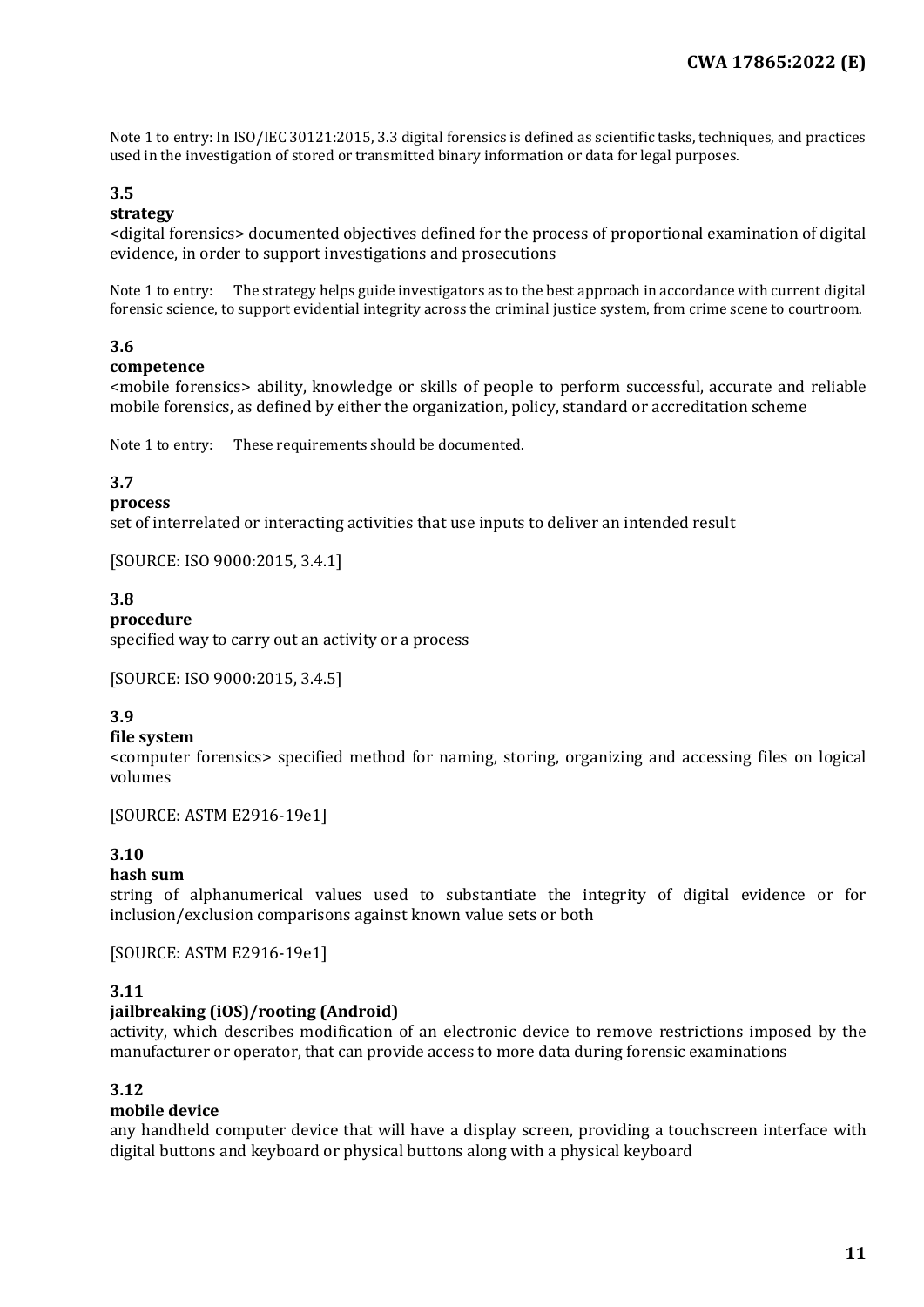Note 1 to entry: In ISO/IEC 30121:2015, 3.3 digital forensics is defined as scientific tasks, techniques, and practices used in the investigation of stored or transmitted binary information or data for legal purposes.

## **3.5**

#### **strategy**

<digital forensics> documented objectives defined for the process of proportional examination of digital evidence, in order to support investigations and prosecutions

Note 1 to entry: The strategy helps guide investigators as to the best approach in accordance with current digital forensic science, to support evidential integrity across the criminal justice system, from crime scene to courtroom.

#### **3.6**

#### **competence**

<mobile forensics> ability, knowledge or skills of people to perform successful, accurate and reliable mobile forensics, as defined by either the organization, policy, standard or accreditation scheme

Note 1 to entry: These requirements should be documented.

#### **3.7**

#### **process**

set of interrelated or interacting activities that use inputs to deliver an intended result

[SOURCE: ISO 9000:2015, 3.4.1]

#### **3.8**

#### **procedure**

specified way to carry out an activity or a process

[SOURCE: ISO 9000:2015, 3.4.5]

#### **3.9**

#### **file system**

<computer forensics> specified method for naming, storing, organizing and accessing files on logical volumes

[SOURCE: ASTM E2916-19e1]

#### **3.10**

#### **hash sum**

string of alphanumerical values used to substantiate the integrity of digital evidence or for inclusion/exclusion comparisons against known value sets or both

[SOURCE: ASTM E2916-19e1]

#### **3.11**

#### **jailbreaking (iOS)/rooting (Android)**

activity, which describes modification of an electronic device to remove restrictions imposed by the manufacturer or operator, that can provide access to more data during forensic examinations

#### **3.12**

#### **mobile device**

any handheld computer device that will have a display screen, providing a touchscreen interface with digital buttons and keyboard or physical buttons along with a physical keyboard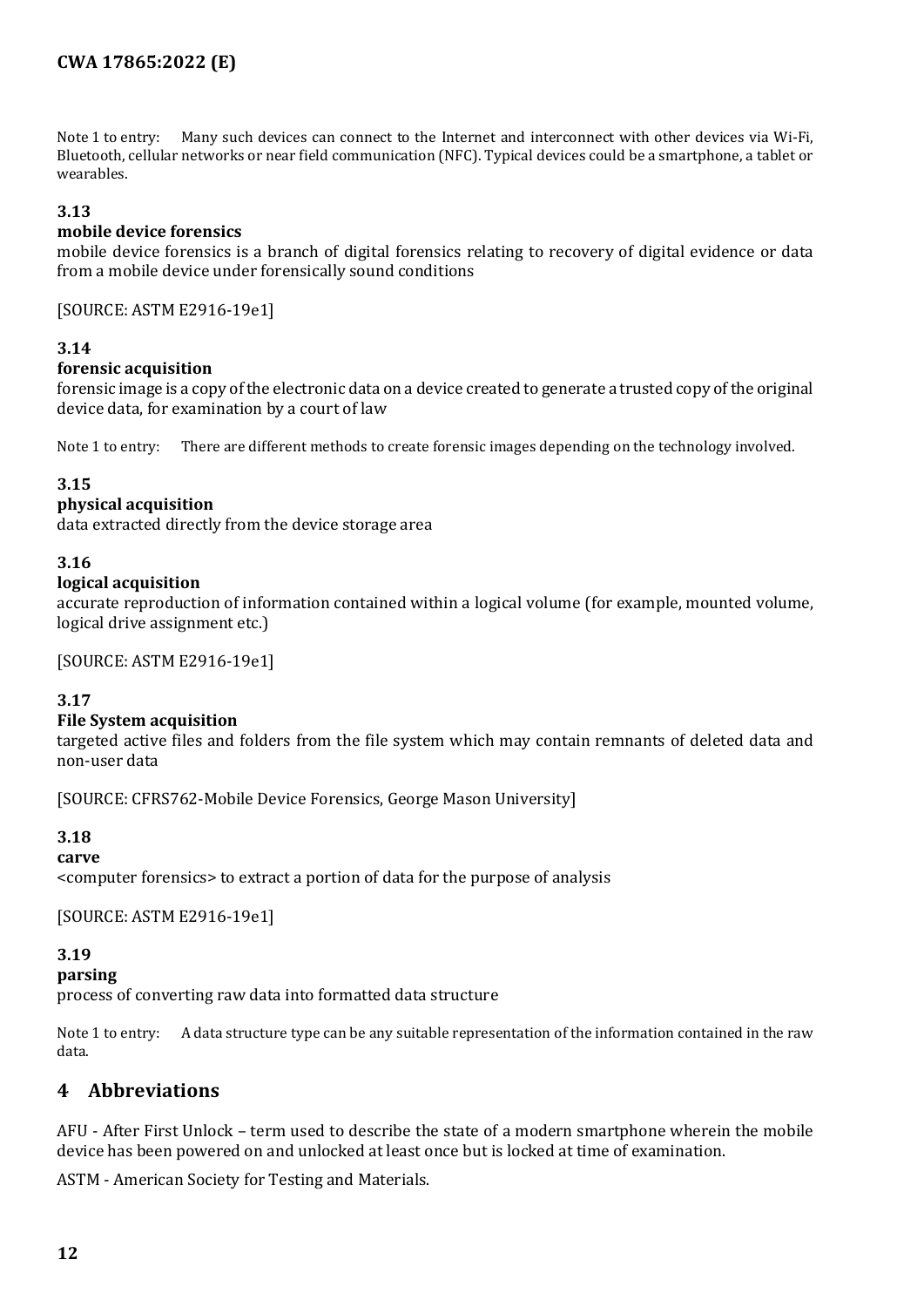Note 1 to entry: Many such devices can connect to the Internet and interconnect with other devices via Wi-Fi, Bluetooth, cellular networks or near field communication (NFC). Typical devices could be a smartphone, a tablet or wearables.

#### **3.13**

#### **mobile device forensics**

mobile device forensics is a branch of digital forensics relating to recovery of digital evidence or data from a mobile device under forensically sound conditions

[SOURCE: ASTM E2916-19e1]

#### **3.14**

#### **forensic acquisition**

forensic image is a copy of the electronic data on a device created to generate a trusted copy of the original device data, for examination by a court of law

Note 1 to entry: There are different methods to create forensic images depending on the technology involved.

#### **3.15**

#### **physical acquisition**

data extracted directly from the device storage area

#### **3.16**

#### **logical acquisition**

accurate reproduction of information contained within a logical volume (for example, mounted volume, logical drive assignment etc.)

[SOURCE: ASTM E2916-19e1]

#### **3.17**

#### **File System acquisition**

targeted active files and folders from the file system which may contain remnants of deleted data and non-user data

[SOURCE: CFRS762-Mobile Device Forensics, George Mason University]

#### **3.18**

**carve** <computer forensics> to extract a portion of data for the purpose of analysis

[SOURCE: ASTM E2916-19e1]

#### **3.19**

**parsing**

process of converting raw data into formatted data structure

Note 1 to entry: A data structure type can be any suitable representation of the information contained in the raw data.

## <span id="page-11-0"></span>**4 Abbreviations**

AFU - After First Unlock – term used to describe the state of a modern smartphone wherein the mobile device has been powered on and unlocked at least once but is locked at time of examination.

ASTM - American Society for Testing and Materials.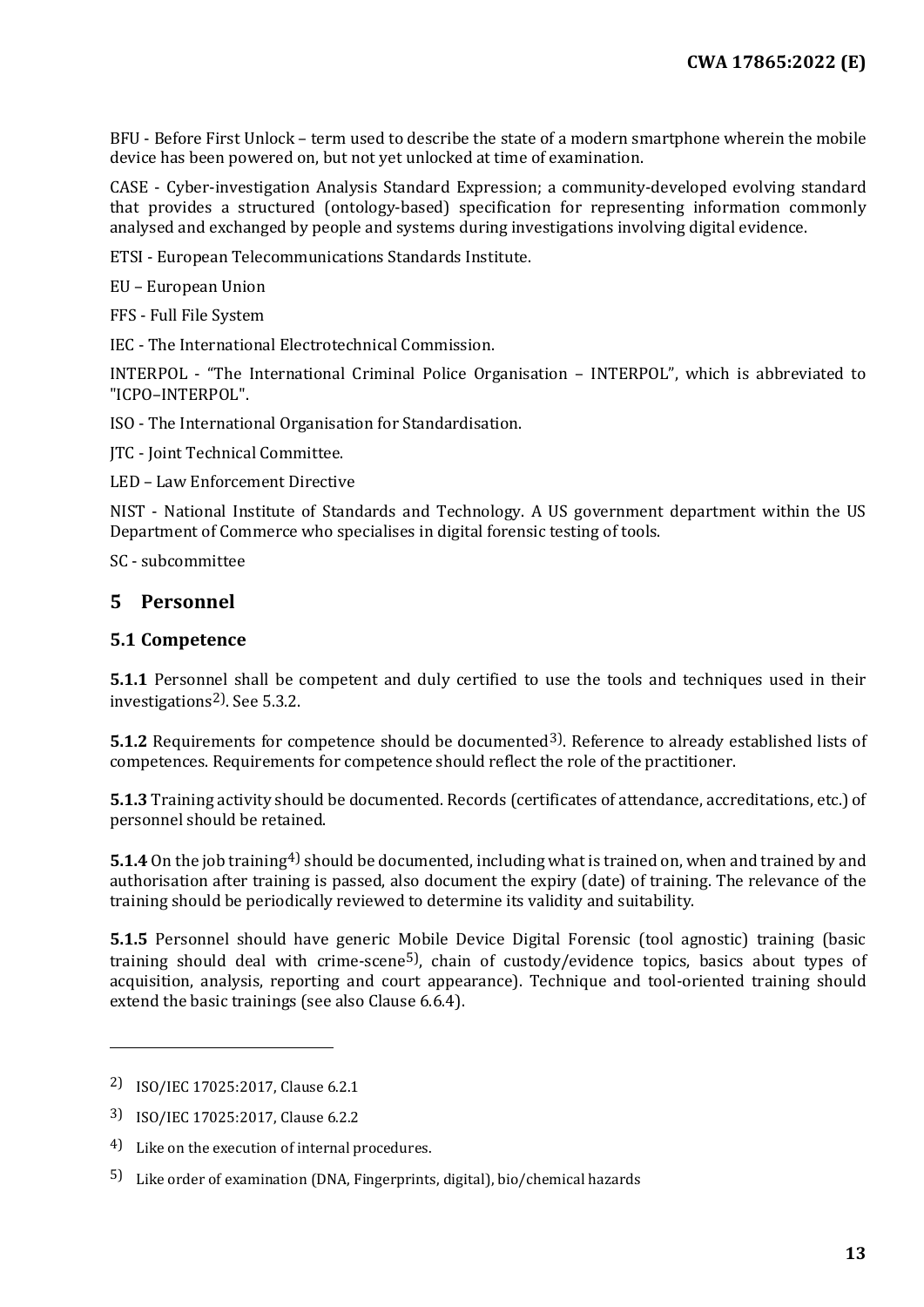BFU - Before First Unlock – term used to describe the state of a modern smartphone wherein the mobile device has been powered on, but not yet unlocked at time of examination.

CASE - Cyber-investigation Analysis Standard Expression; a community-developed evolving standard that provides a structured (ontology-based) specification for representing information commonly analysed and exchanged by people and systems during investigations involving digital evidence.

ETSI - European Telecommunications Standards Institute.

EU – European Union

FFS - Full File System

IEC - The International Electrotechnical Commission.

INTERPOL - "The International Criminal Police Organisation – INTERPOL", which is abbreviated to "ICPO–INTERPOL".

ISO - The International Organisation for Standardisation.

JTC - Joint Technical Committee.

LED – Law Enforcement Directive

NIST - National Institute of Standards and Technology. A US government department within the US Department of Commerce who specialises in digital forensic testing of tools.

SC - subcommittee

#### <span id="page-12-0"></span>**5 Personnel**

#### <span id="page-12-1"></span>**5.1 Competence**

**5.1.1** Personnel shall be competent and duly certified to use the tools and techniques used in their investigations[2](#page-12-2)). See 5.3.2.

**5.1.2** Requirements for competence should be documented<sup>[3](#page-12-3)</sup>). Reference to already established lists of competences. Requirements for competence should reflect the role of the practitioner.

**5.1.3** Training activity should be documented. Records (certificates of attendance, accreditations, etc.) of personnel should be retained.

**5.1.4** On the job training<sup>[4\)](#page-12-4)</sup> should be documented, including what is trained on, when and trained by and authorisation after training is passed, also document the expiry (date) of training. The relevance of the training should be periodically reviewed to determine its validity and suitability.

**5.1.5** Personnel should have generic Mobile Device Digital Forensic (tool agnostic) training (basic training should deal with crime-scene<sup>[5](#page-12-5)</sup>), chain of custody/evidence topics, basics about types of acquisition, analysis, reporting and court appearance). Technique and tool-oriented training should extend the basic trainings (see also Clause 6.6.4).

I

<span id="page-12-2"></span><sup>2)</sup> ISO/IEC 17025:2017, Clause 6.2.1

<span id="page-12-3"></span><sup>3)</sup> ISO/IEC 17025:2017, Clause 6.2.2

<span id="page-12-4"></span><sup>4)</sup> Like on the execution of internal procedures.

<span id="page-12-5"></span><sup>5)</sup> Like order of examination (DNA, Fingerprints, digital), bio/chemical hazards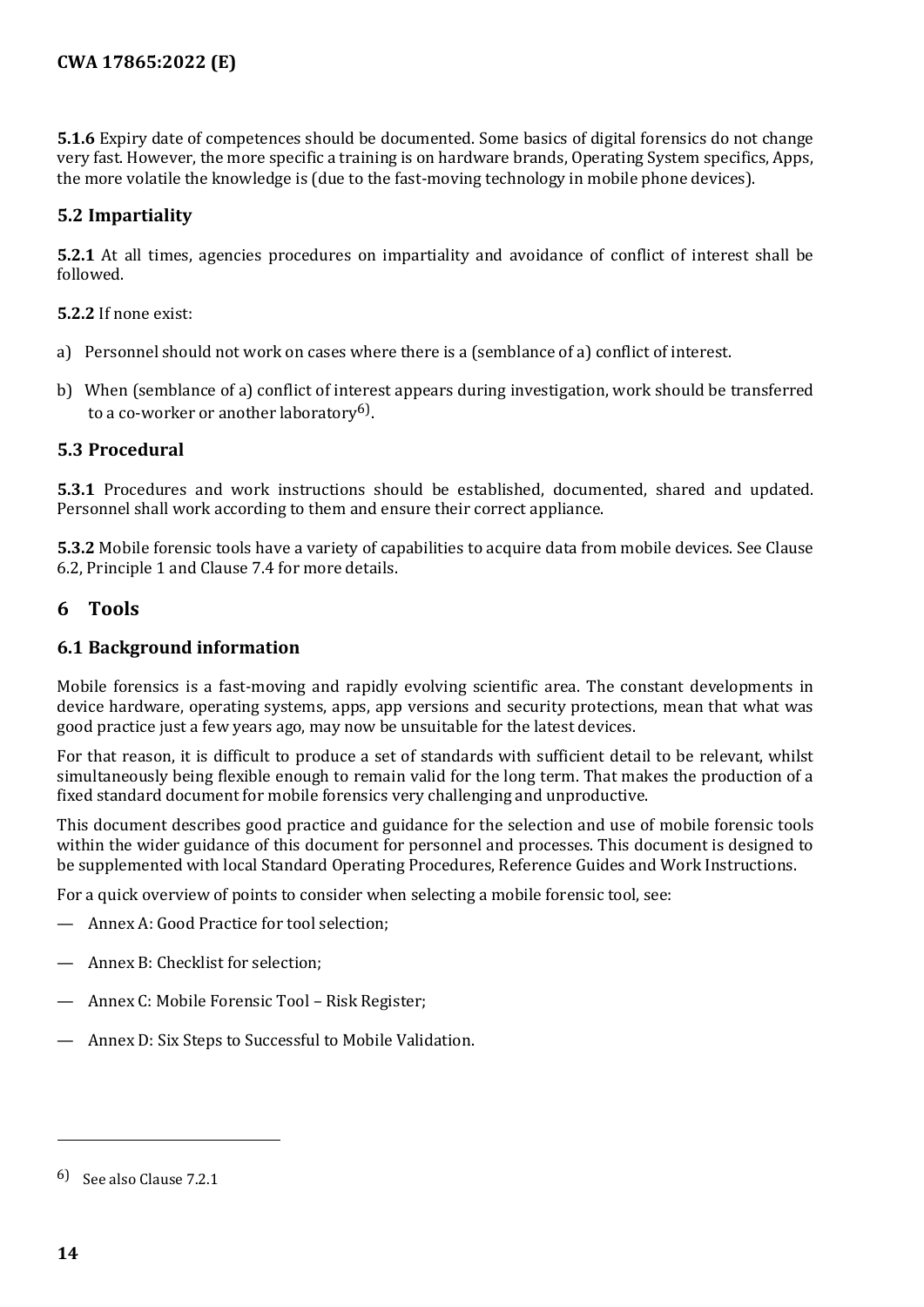**5.1.6** Expiry date of competences should be documented. Some basics of digital forensics do not change very fast. However, the more specific a training is on hardware brands, Operating System specifics, Apps, the more volatile the knowledge is (due to the fast-moving technology in mobile phone devices).

#### <span id="page-13-0"></span>**5.2 Impartiality**

**5.2.1** At all times, agencies procedures on impartiality and avoidance of conflict of interest shall be followed.

**5.2.2** If none exist:

- a) Personnel should not work on cases where there is a (semblance of a) conflict of interest.
- b) When (semblance of a) conflict of interest appears during investigation, work should be transferred to a co-worker or another laboratory<sup>6</sup>).

#### <span id="page-13-1"></span>**5.3 Procedural**

**5.3.1** Procedures and work instructions should be established, documented, shared and updated. Personnel shall work according to them and ensure their correct appliance.

**5.3.2** Mobile forensic tools have a variety of capabilities to acquire data from mobile devices. See Clause 6.2, Principle 1 and Clause 7.4 for more details.

#### <span id="page-13-2"></span>**6 Tools**

#### <span id="page-13-3"></span>**6.1 Background information**

Mobile forensics is a fast-moving and rapidly evolving scientific area. The constant developments in device hardware, operating systems, apps, app versions and security protections, mean that what was good practice just a few years ago, may now be unsuitable for the latest devices.

For that reason, it is difficult to produce a set of standards with sufficient detail to be relevant, whilst simultaneously being flexible enough to remain valid for the long term. That makes the production of a fixed standard document for mobile forensics very challenging and unproductive.

This document describes good practice and guidance for the selection and use of mobile forensic tools within the wider guidance of this document for personnel and processes. This document is designed to be supplemented with local Standard Operating Procedures, Reference Guides and Work Instructions.

For a quick overview of points to consider when selecting a mobile forensic tool, see:

- Annex A: Good Practice for tool selection;
- Annex B: Checklist for selection:
- Annex C: Mobile Forensic Tool Risk Register;
- Annex D: Six Steps to Successful to Mobile Validation.

j

<span id="page-13-4"></span><sup>6)</sup> See also Clause 7.2.1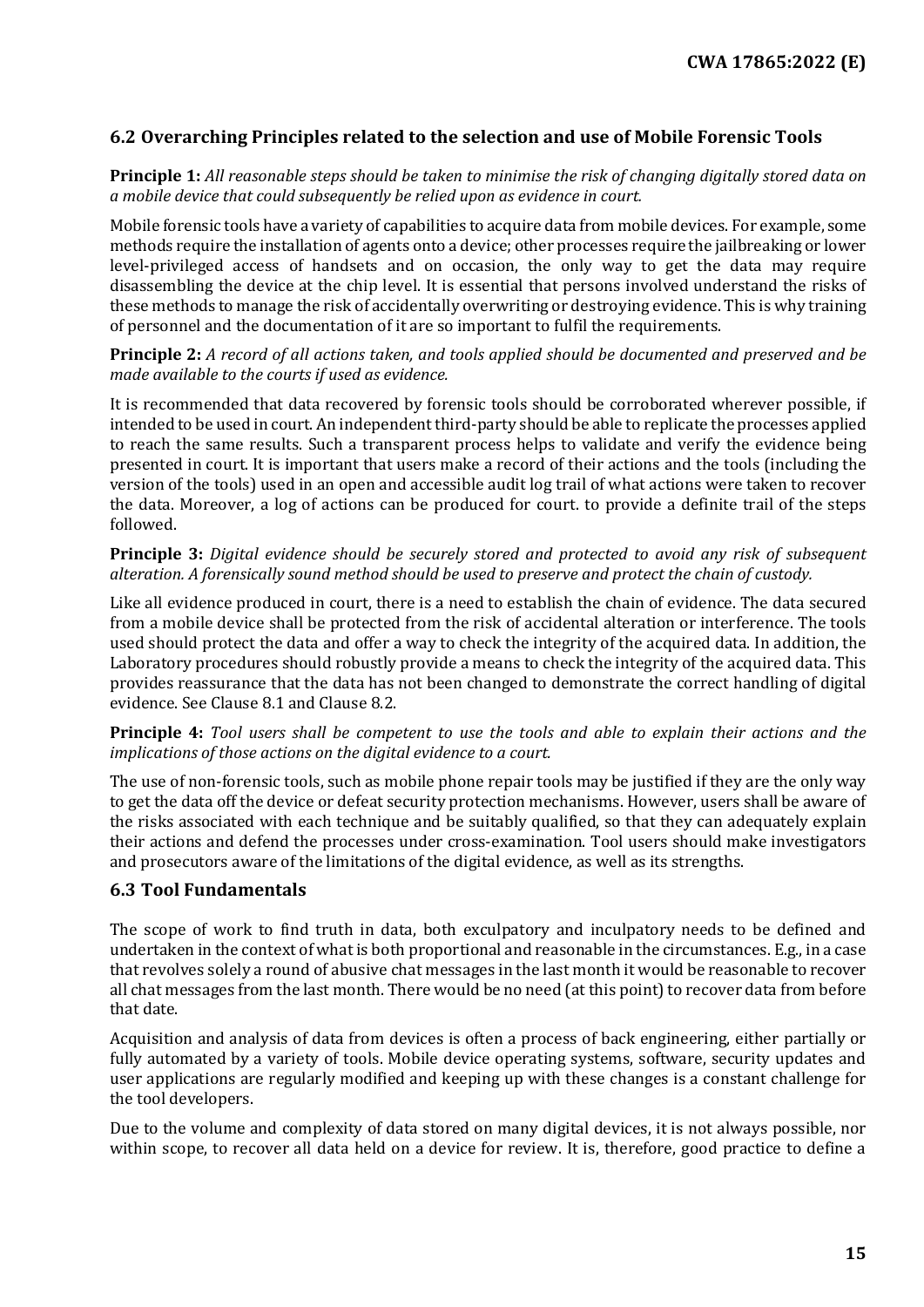#### <span id="page-14-0"></span>**6.2 Overarching Principles related to the selection and use of Mobile Forensic Tools**

**Principle 1:** *All reasonable steps should be taken to minimise the risk of changing digitally stored data on a mobile device that could subsequently be relied upon as evidence in court.*

Mobile forensic tools have a variety of capabilities to acquire data from mobile devices. For example, some methods require the installation of agents onto a device; other processes require the jailbreaking or lower level-privileged access of handsets and on occasion, the only way to get the data may require disassembling the device at the chip level. It is essential that persons involved understand the risks of these methods to manage the risk of accidentally overwriting or destroying evidence. This is why training of personnel and the documentation of it are so important to fulfil the requirements.

#### **Principle 2:** *A record of all actions taken, and tools applied should be documented and preserved and be made available to the courts if used as evidence.*

It is recommended that data recovered by forensic tools should be corroborated wherever possible, if intended to be used in court. An independent third-party should be able to replicate the processes applied to reach the same results. Such a transparent process helps to validate and verify the evidence being presented in court. It is important that users make a record of their actions and the tools (including the version of the tools) used in an open and accessible audit log trail of what actions were taken to recover the data. Moreover, a log of actions can be produced for court. to provide a definite trail of the steps followed.

#### **Principle 3:** *Digital evidence should be securely stored and protected to avoid any risk of subsequent alteration. A forensically sound method should be used to preserve and protect the chain of custody.*

Like all evidence produced in court, there is a need to establish the chain of evidence. The data secured from a mobile device shall be protected from the risk of accidental alteration or interference. The tools used should protect the data and offer a way to check the integrity of the acquired data. In addition, the Laboratory procedures should robustly provide a means to check the integrity of the acquired data. This provides reassurance that the data has not been changed to demonstrate the correct handling of digital evidence. See Clause 8.1 and Clause 8.2.

#### **Principle 4:** *Tool users shall be competent to use the tools and able to explain their actions and the implications of those actions on the digital evidence to a court.*

The use of non-forensic tools, such as mobile phone repair tools may be justified if they are the only way to get the data off the device or defeat security protection mechanisms. However, users shall be aware of the risks associated with each technique and be suitably qualified, so that they can adequately explain their actions and defend the processes under cross-examination. Tool users should make investigators and prosecutors aware of the limitations of the digital evidence, as well as its strengths.

#### <span id="page-14-1"></span>**6.3 Tool Fundamentals**

The scope of work to find truth in data, both exculpatory and inculpatory needs to be defined and undertaken in the context of what is both proportional and reasonable in the circumstances. E.g., in a case that revolves solely a round of abusive chat messages in the last month it would be reasonable to recover all chat messages from the last month. There would be no need (at this point) to recover data from before that date.

Acquisition and analysis of data from devices is often a process of back engineering, either partially or fully automated by a variety of tools. Mobile device operating systems, software, security updates and user applications are regularly modified and keeping up with these changes is a constant challenge for the tool developers.

Due to the volume and complexity of data stored on many digital devices, it is not always possible, nor within scope, to recover all data held on a device for review. It is, therefore, good practice to define a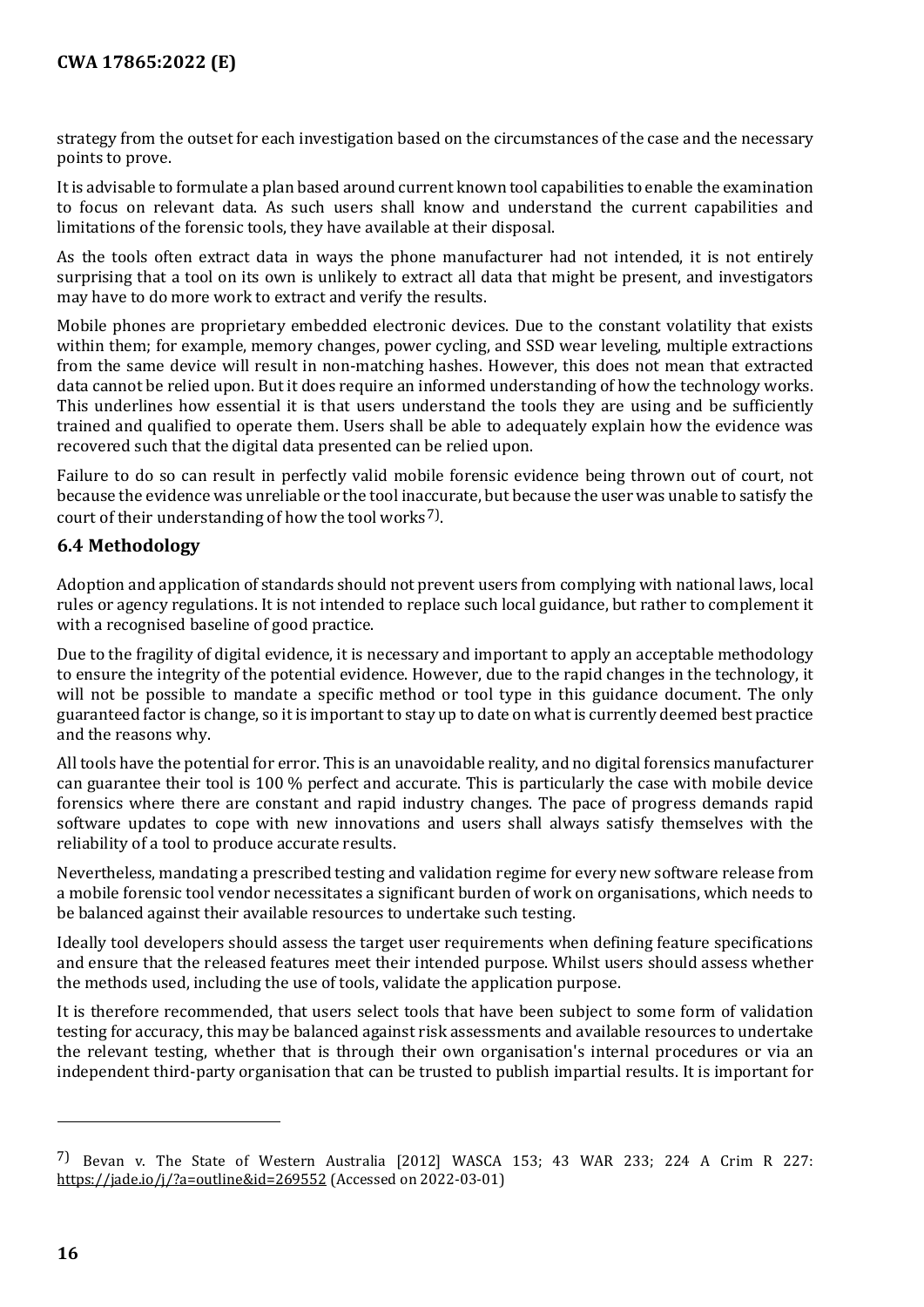strategy from the outset for each investigation based on the circumstances of the case and the necessary points to prove.

It is advisable to formulate a plan based around current known tool capabilities to enable the examination to focus on relevant data. As such users shall know and understand the current capabilities and limitations of the forensic tools, they have available at their disposal.

As the tools often extract data in ways the phone manufacturer had not intended, it is not entirely surprising that a tool on its own is unlikely to extract all data that might be present, and investigators may have to do more work to extract and verify the results.

Mobile phones are proprietary embedded electronic devices. Due to the constant volatility that exists within them; for example, memory changes, power cycling, and SSD wear leveling, multiple extractions from the same device will result in non-matching hashes. However, this does not mean that extracted data cannot be relied upon. But it does require an informed understanding of how the technology works. This underlines how essential it is that users understand the tools they are using and be sufficiently trained and qualified to operate them. Users shall be able to adequately explain how the evidence was recovered such that the digital data presented can be relied upon.

Failure to do so can result in perfectly valid mobile forensic evidence being thrown out of court, not because the evidence was unreliable or the tool inaccurate, but because the user was unable to satisfy the court of their understanding of how the tool works<sup>[7](#page-15-1)</sup>).

#### <span id="page-15-0"></span>**6.4 Methodology**

Adoption and application of standards should not prevent users from complying with national laws, local rules or agency regulations. It is not intended to replace such local guidance, but rather to complement it with a recognised baseline of good practice.

Due to the fragility of digital evidence, it is necessary and important to apply an acceptable methodology to ensure the integrity of the potential evidence. However, due to the rapid changes in the technology, it will not be possible to mandate a specific method or tool type in this guidance document. The only guaranteed factor is change, so it is important to stay up to date on what is currently deemed best practice and the reasons why.

All tools have the potential for error. This is an unavoidable reality, and no digital forensics manufacturer can guarantee their tool is 100 % perfect and accurate. This is particularly the case with mobile device forensics where there are constant and rapid industry changes. The pace of progress demands rapid software updates to cope with new innovations and users shall always satisfy themselves with the reliability of a tool to produce accurate results.

Nevertheless, mandating a prescribed testing and validation regime for every new software release from a mobile forensic tool vendor necessitates a significant burden of work on organisations, which needs to be balanced against their available resources to undertake such testing.

Ideally tool developers should assess the target user requirements when defining feature specifications and ensure that the released features meet their intended purpose. Whilst users should assess whether the methods used, including the use of tools, validate the application purpose.

It is therefore recommended, that users select tools that have been subject to some form of validation testing for accuracy, this may be balanced against risk assessments and available resources to undertake the relevant testing, whether that is through their own organisation's internal procedures or via an independent third-party organisation that can be trusted to publish impartial results. It is important for

j

<span id="page-15-1"></span><sup>7)</sup> Bevan v. The State of Western Australia [2012] WASCA 153; 43 WAR 233; 224 A Crim R 227: https://jade.io/j/?a=outline&id=269552 (Accessed on 2022-03-01)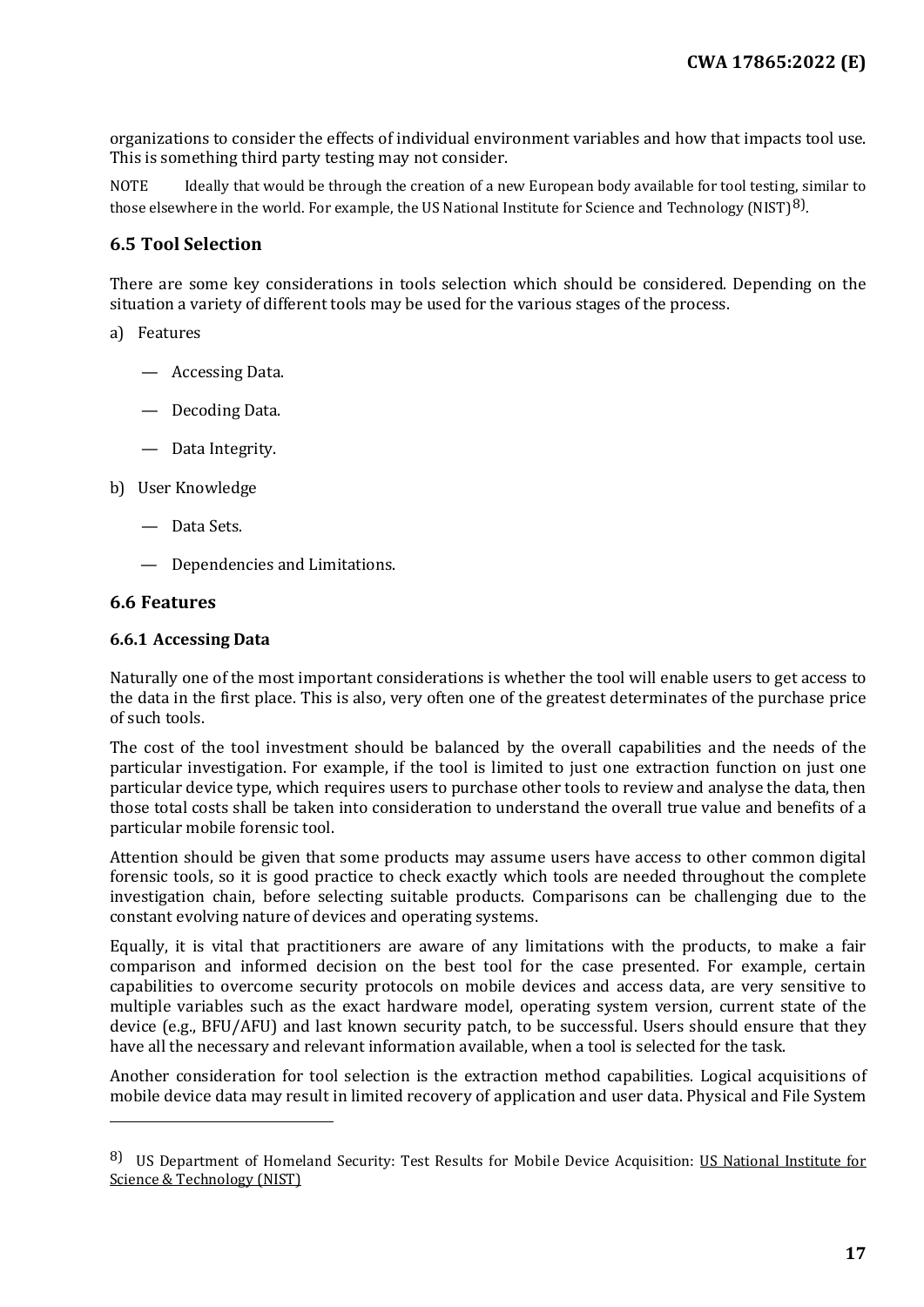organizations to consider the effects of individual environment variables and how that impacts tool use. This is something third party testing may not consider.

NOTE Ideally that would be through the creation of a new European body available for tool testing, similar to those elsewhere in the world. For example, the US National Institute for Science and Technology (NIST)<sup>[8\)](#page-16-3)</sup>.

#### <span id="page-16-0"></span>**6.5 Tool Selection**

There are some key considerations in tools selection which should be considered. Depending on the situation a variety of different tools may be used for the various stages of the process.

#### a) Features

- Accessing Data.
- Decoding Data.
- Data Integrity.

#### b) User Knowledge

- Data Sets.
- Dependencies and Limitations.

#### <span id="page-16-1"></span>**6.6 Features**

 $\overline{a}$ 

#### <span id="page-16-2"></span>**6.6.1 Accessing Data**

Naturally one of the most important considerations is whether the tool will enable users to get access to the data in the first place. This is also, very often one of the greatest determinates of the purchase price of such tools.

The cost of the tool investment should be balanced by the overall capabilities and the needs of the particular investigation. For example, if the tool is limited to just one extraction function on just one particular device type, which requires users to purchase other tools to review and analyse the data, then those total costs shall be taken into consideration to understand the overall true value and benefits of a particular mobile forensic tool.

Attention should be given that some products may assume users have access to other common digital forensic tools, so it is good practice to check exactly which tools are needed throughout the complete investigation chain, before selecting suitable products. Comparisons can be challenging due to the constant evolving nature of devices and operating systems.

Equally, it is vital that practitioners are aware of any limitations with the products, to make a fair comparison and informed decision on the best tool for the case presented. For example, certain capabilities to overcome security protocols on mobile devices and access data, are very sensitive to multiple variables such as the exact hardware model, operating system version, current state of the device (e.g., BFU/AFU) and last known security patch, to be successful. Users should ensure that they have all the necessary and relevant information available, when a tool is selected for the task.

Another consideration for tool selection is the extraction method capabilities. Logical acquisitions of mobile device data may result in limited recovery of application and user data. Physical and File System

<span id="page-16-3"></span><sup>8)</sup> US Department of Homeland Security: Test Results for Mobile Device Acquisition: US National Institute for Science & Technology (NIST)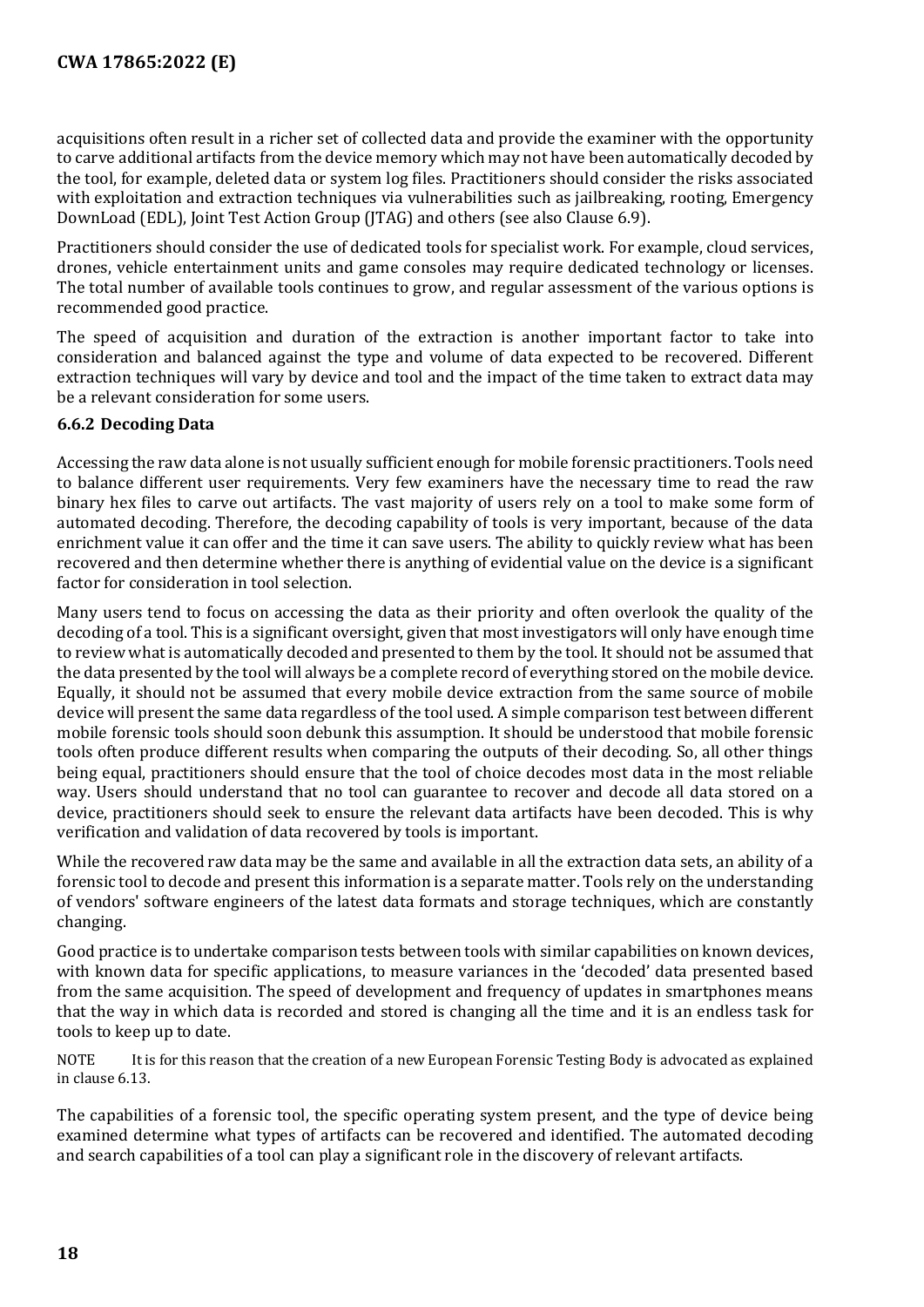acquisitions often result in a richer set of collected data and provide the examiner with the opportunity to carve additional artifacts from the device memory which may not have been automatically decoded by the tool, for example, deleted data or system log files. Practitioners should consider the risks associated with exploitation and extraction techniques via vulnerabilities such as jailbreaking, rooting, Emergency DownLoad (EDL), Joint Test Action Group (JTAG) and others (see also Clause 6.9).

Practitioners should consider the use of dedicated tools for specialist work. For example, cloud services, drones, vehicle entertainment units and game consoles may require dedicated technology or licenses. The total number of available tools continues to grow, and regular assessment of the various options is recommended good practice.

The speed of acquisition and duration of the extraction is another important factor to take into consideration and balanced against the type and volume of data expected to be recovered. Different extraction techniques will vary by device and tool and the impact of the time taken to extract data may be a relevant consideration for some users.

#### <span id="page-17-0"></span>**6.6.2 Decoding Data**

Accessing the raw data alone is not usually sufficient enough for mobile forensic practitioners. Tools need to balance different user requirements. Very few examiners have the necessary time to read the raw binary hex files to carve out artifacts. The vast majority of users rely on a tool to make some form of automated decoding. Therefore, the decoding capability of tools is very important, because of the data enrichment value it can offer and the time it can save users. The ability to quickly review what has been recovered and then determine whether there is anything of evidential value on the device is a significant factor for consideration in tool selection.

Many users tend to focus on accessing the data as their priority and often overlook the quality of the decoding of a tool. This is a significant oversight, given that most investigators will only have enough time to review what is automatically decoded and presented to them by the tool. It should not be assumed that the data presented by the tool will always be a complete record of everything stored on the mobile device. Equally, it should not be assumed that every mobile device extraction from the same source of mobile device will present the same data regardless of the tool used. A simple comparison test between different mobile forensic tools should soon debunk this assumption. It should be understood that mobile forensic tools often produce different results when comparing the outputs of their decoding. So, all other things being equal, practitioners should ensure that the tool of choice decodes most data in the most reliable way. Users should understand that no tool can guarantee to recover and decode all data stored on a device, practitioners should seek to ensure the relevant data artifacts have been decoded. This is why verification and validation of data recovered by tools is important.

While the recovered raw data may be the same and available in all the extraction data sets, an ability of a forensic tool to decode and present this information is a separate matter. Tools rely on the understanding of vendors' software engineers of the latest data formats and storage techniques, which are constantly changing.

Good practice is to undertake comparison tests between tools with similar capabilities on known devices, with known data for specific applications, to measure variances in the 'decoded' data presented based from the same acquisition. The speed of development and frequency of updates in smartphones means that the way in which data is recorded and stored is changing all the time and it is an endless task for tools to keep up to date.

NOTE It is for this reason that the creation of a new European Forensic Testing Body is advocated as explained in clause 6.13.

The capabilities of a forensic tool, the specific operating system present, and the type of device being examined determine what types of artifacts can be recovered and identified. The automated decoding and search capabilities of a tool can play a significant role in the discovery of relevant artifacts.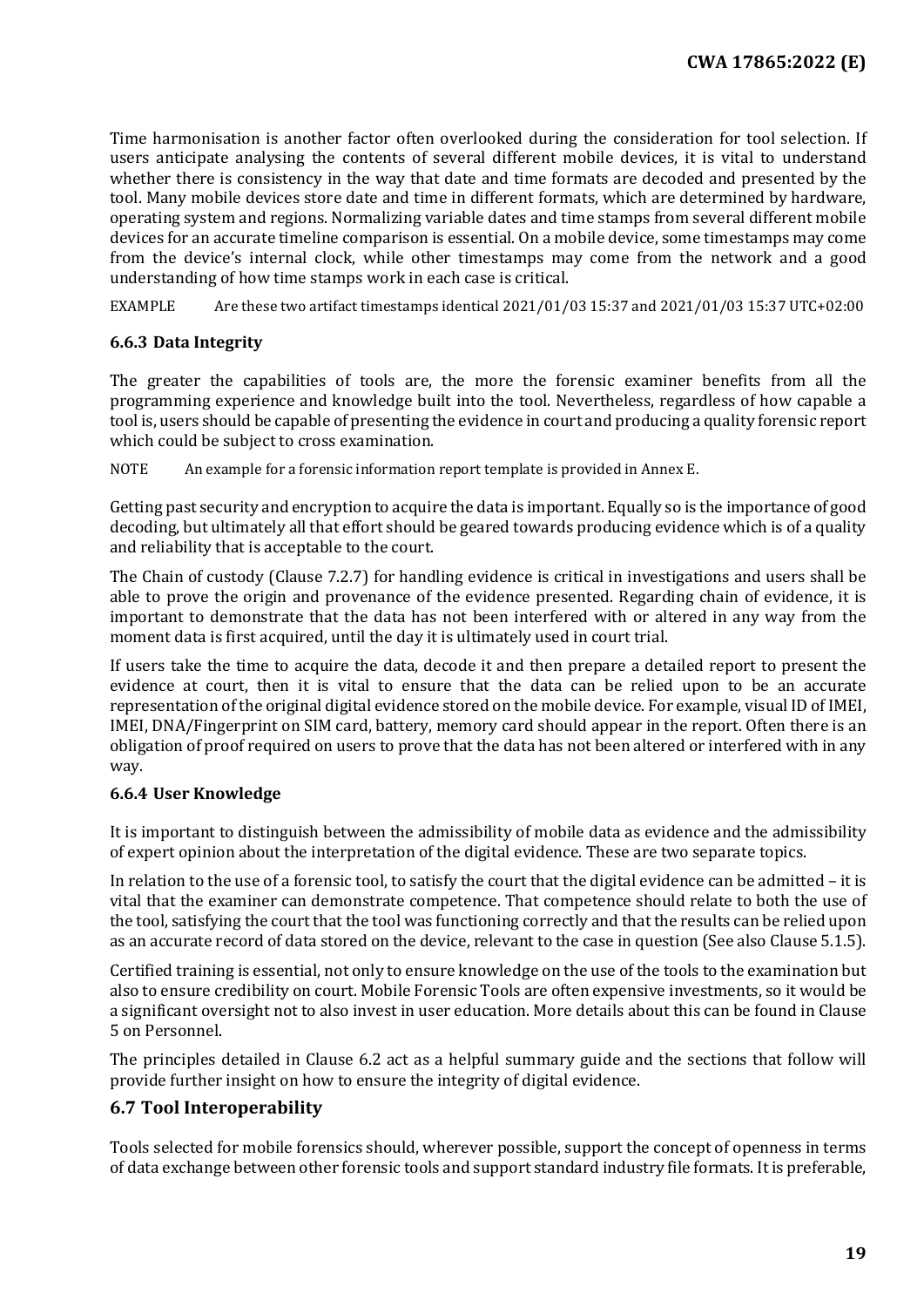Time harmonisation is another factor often overlooked during the consideration for tool selection. If users anticipate analysing the contents of several different mobile devices, it is vital to understand whether there is consistency in the way that date and time formats are decoded and presented by the tool. Many mobile devices store date and time in different formats, which are determined by hardware, operating system and regions. Normalizing variable dates and time stamps from several different mobile devices for an accurate timeline comparison is essential. On a mobile device, some timestamps may come from the device's internal clock, while other timestamps may come from the network and a good understanding of how time stamps work in each case is critical.

EXAMPLE Are these two artifact timestamps identical 2021/01/03 15:37 and 2021/01/03 15:37 UTC+02:00

#### <span id="page-18-0"></span>**6.6.3 Data Integrity**

The greater the capabilities of tools are, the more the forensic examiner benefits from all the programming experience and knowledge built into the tool. Nevertheless, regardless of how capable a tool is, users should be capable of presenting the evidence in court and producing a quality forensic report which could be subject to cross examination.

NOTE An example for a forensic information report template is provided in Annex E.

Getting past security and encryption to acquire the data is important. Equally so is the importance of good decoding, but ultimately all that effort should be geared towards producing evidence which is of a quality and reliability that is acceptable to the court.

The Chain of custody (Clause 7.2.7) for handling evidence is critical in investigations and users shall be able to prove the origin and provenance of the evidence presented. Regarding chain of evidence, it is important to demonstrate that the data has not been interfered with or altered in any way from the moment data is first acquired, until the day it is ultimately used in court trial.

If users take the time to acquire the data, decode it and then prepare a detailed report to present the evidence at court, then it is vital to ensure that the data can be relied upon to be an accurate representation of the original digital evidence stored on the mobile device. For example, visual ID of IMEI, IMEI, DNA/Fingerprint on SIM card, battery, memory card should appear in the report. Often there is an obligation of proof required on users to prove that the data has not been altered or interfered with in any way.

#### <span id="page-18-1"></span>**6.6.4 User Knowledge**

It is important to distinguish between the admissibility of mobile data as evidence and the admissibility of expert opinion about the interpretation of the digital evidence. These are two separate topics.

In relation to the use of a forensic tool, to satisfy the court that the digital evidence can be admitted – it is vital that the examiner can demonstrate competence. That competence should relate to both the use of the tool, satisfying the court that the tool was functioning correctly and that the results can be relied upon as an accurate record of data stored on the device, relevant to the case in question (See also Clause 5.1.5).

Certified training is essential, not only to ensure knowledge on the use of the tools to the examination but also to ensure credibility on court. Mobile Forensic Tools are often expensive investments, so it would be a significant oversight not to also invest in user education. More details about this can be found in Clause 5 on Personnel.

The principles detailed in Clause 6.2 act as a helpful summary guide and the sections that follow will provide further insight on how to ensure the integrity of digital evidence.

#### <span id="page-18-2"></span>**6.7 Tool Interoperability**

Tools selected for mobile forensics should, wherever possible, support the concept of openness in terms of data exchange between other forensic tools and support standard industry file formats. It is preferable,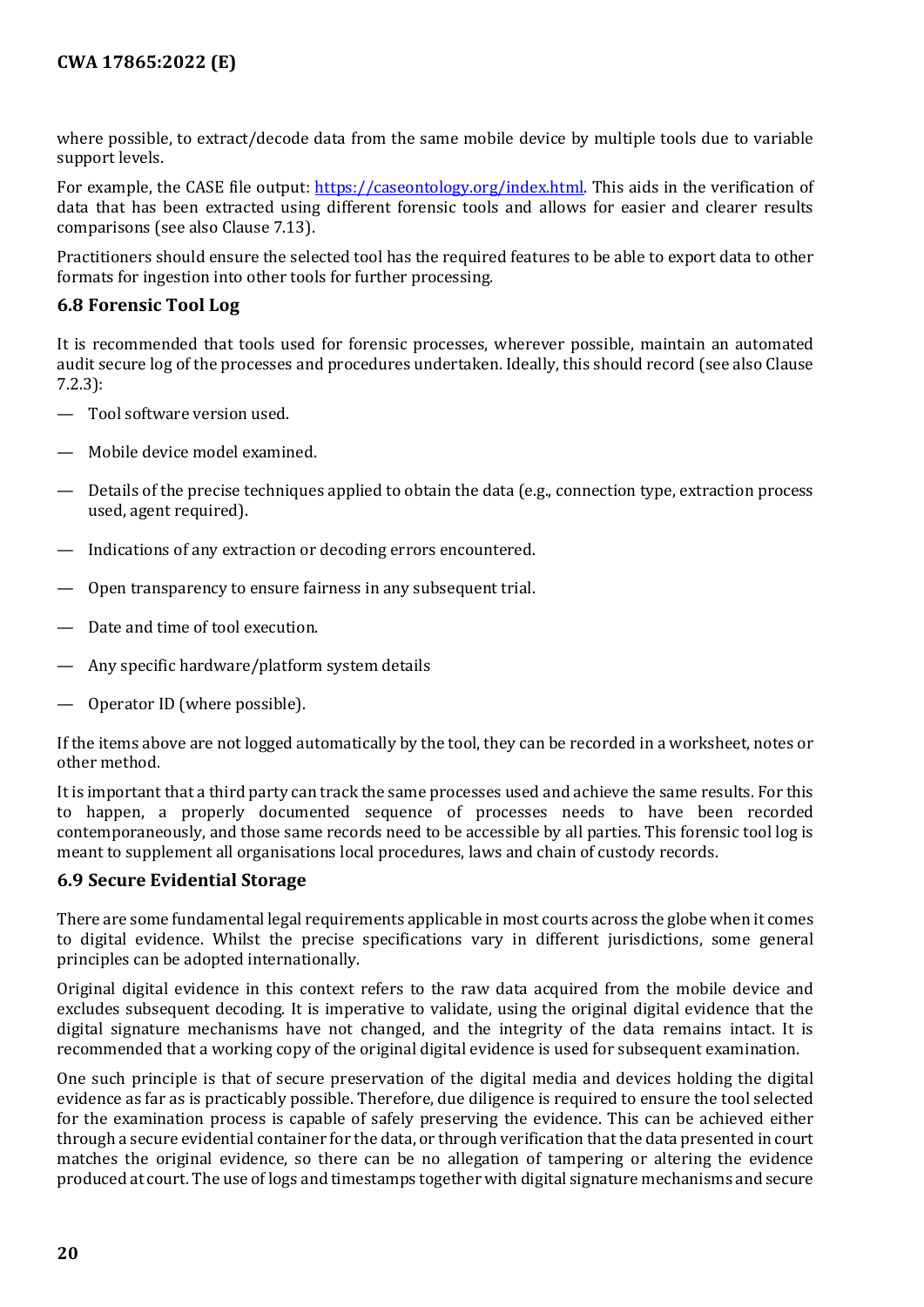where possible, to extract/decode data from the same mobile device by multiple tools due to variable support levels.

For example, the CASE file output: [https://caseontology.org/index.html.](https://caseontology.org/index.html) This aids in the verification of data that has been extracted using different forensic tools and allows for easier and clearer results comparisons (see also Clause 7.13).

Practitioners should ensure the selected tool has the required features to be able to export data to other formats for ingestion into other tools for further processing.

#### <span id="page-19-0"></span>**6.8 Forensic Tool Log**

It is recommended that tools used for forensic processes, wherever possible, maintain an automated audit secure log of the processes and procedures undertaken. Ideally, this should record (see also Clause 7.2.3):

- Tool software version used.
- Mobile device model examined.
- Details of the precise techniques applied to obtain the data (e.g., connection type, extraction process used, agent required).
- Indications of any extraction or decoding errors encountered.
- Open transparency to ensure fairness in any subsequent trial.
- Date and time of tool execution.
- Any specific hardware/platform system details
- Operator ID (where possible).

If the items above are not logged automatically by the tool, they can be recorded in a worksheet, notes or other method.

It is important that a third party can track the same processes used and achieve the same results. For this to happen, a properly documented sequence of processes needs to have been recorded contemporaneously, and those same records need to be accessible by all parties. This forensic tool log is meant to supplement all organisations local procedures, laws and chain of custody records.

#### <span id="page-19-1"></span>**6.9 Secure Evidential Storage**

There are some fundamental legal requirements applicable in most courts across the globe when it comes to digital evidence. Whilst the precise specifications vary in different jurisdictions, some general principles can be adopted internationally.

Original digital evidence in this context refers to the raw data acquired from the mobile device and excludes subsequent decoding. It is imperative to validate, using the original digital evidence that the digital signature mechanisms have not changed, and the integrity of the data remains intact. It is recommended that a working copy of the original digital evidence is used for subsequent examination.

One such principle is that of secure preservation of the digital media and devices holding the digital evidence as far as is practicably possible. Therefore, due diligence is required to ensure the tool selected for the examination process is capable of safely preserving the evidence. This can be achieved either through a secure evidential container for the data, or through verification that the data presented in court matches the original evidence, so there can be no allegation of tampering or altering the evidence produced at court. The use of logs and timestamps together with digital signature mechanisms and secure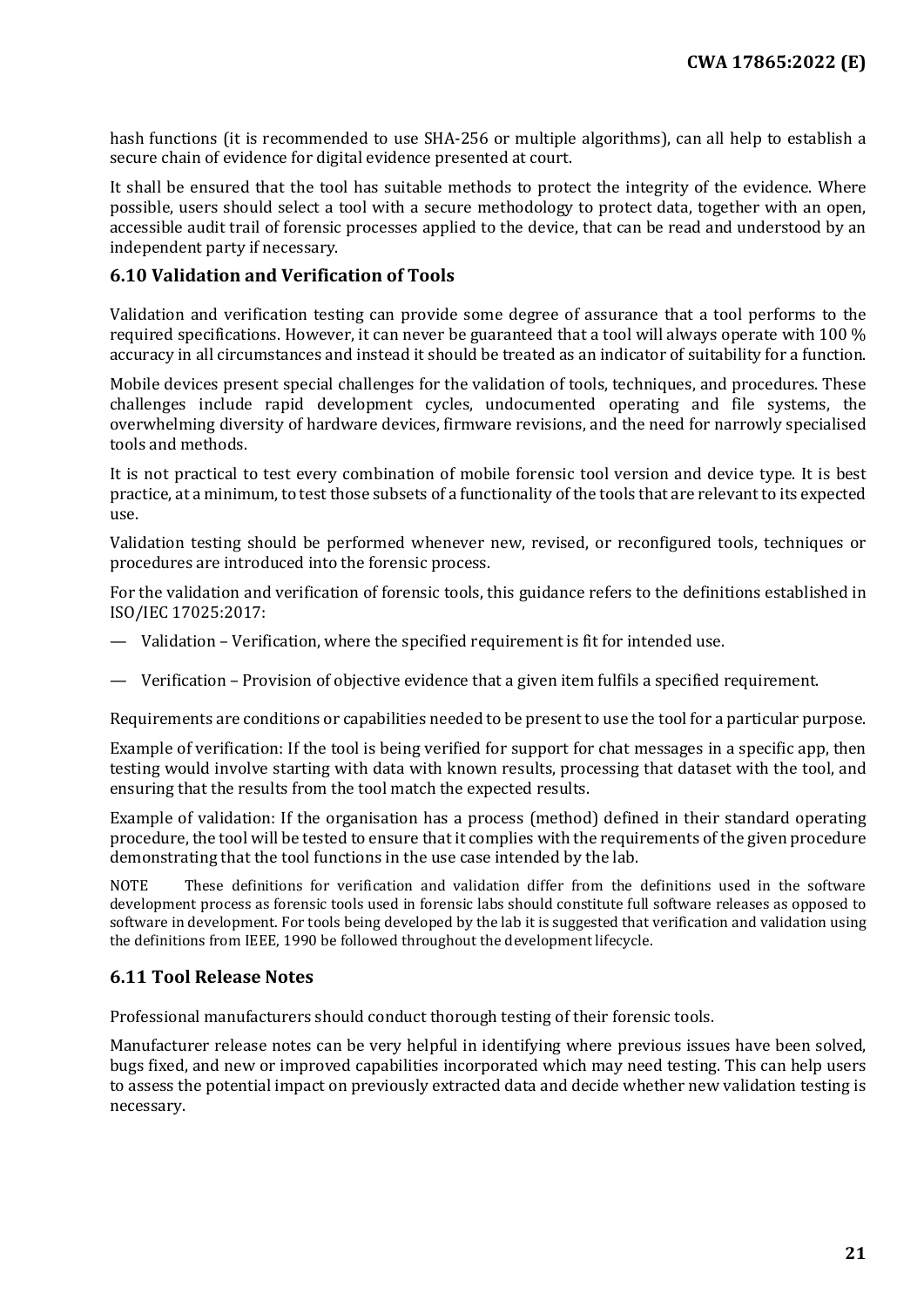hash functions (it is recommended to use SHA-256 or multiple algorithms), can all help to establish a secure chain of evidence for digital evidence presented at court.

It shall be ensured that the tool has suitable methods to protect the integrity of the evidence. Where possible, users should select a tool with a secure methodology to protect data, together with an open, accessible audit trail of forensic processes applied to the device, that can be read and understood by an independent party if necessary.

#### <span id="page-20-0"></span>**6.10 Validation and Verification of Tools**

Validation and verification testing can provide some degree of assurance that a tool performs to the required specifications. However, it can never be guaranteed that a tool will always operate with 100 % accuracy in all circumstances and instead it should be treated as an indicator of suitability for a function.

Mobile devices present special challenges for the validation of tools, techniques, and procedures. These challenges include rapid development cycles, undocumented operating and file systems, the overwhelming diversity of hardware devices, firmware revisions, and the need for narrowly specialised tools and methods.

It is not practical to test every combination of mobile forensic tool version and device type. It is best practice, at a minimum, to test those subsets of a functionality of the tools that are relevant to its expected use.

Validation testing should be performed whenever new, revised, or reconfigured tools, techniques or procedures are introduced into the forensic process.

For the validation and verification of forensic tools, this guidance refers to the definitions established in ISO/IEC 17025:2017:

- Validation Verification, where the specified requirement is fit for intended use.
- Verification Provision of objective evidence that a given item fulfils a specified requirement.

Requirements are conditions or capabilities needed to be present to use the tool for a particular purpose.

Example of verification: If the tool is being verified for support for chat messages in a specific app, then testing would involve starting with data with known results, processing that dataset with the tool, and ensuring that the results from the tool match the expected results.

Example of validation: If the organisation has a process (method) defined in their standard operating procedure, the tool will be tested to ensure that it complies with the requirements of the given procedure demonstrating that the tool functions in the use case intended by the lab.

NOTE These definitions for verification and validation differ from the definitions used in the software development process as forensic tools used in forensic labs should constitute full software releases as opposed to software in development. For tools being developed by the lab it is suggested that verification and validation using the definitions from IEEE, 1990 be followed throughout the development lifecycle.

#### <span id="page-20-1"></span>**6.11 Tool Release Notes**

Professional manufacturers should conduct thorough testing of their forensic tools.

Manufacturer release notes can be very helpful in identifying where previous issues have been solved, bugs fixed, and new or improved capabilities incorporated which may need testing. This can help users to assess the potential impact on previously extracted data and decide whether new validation testing is necessary.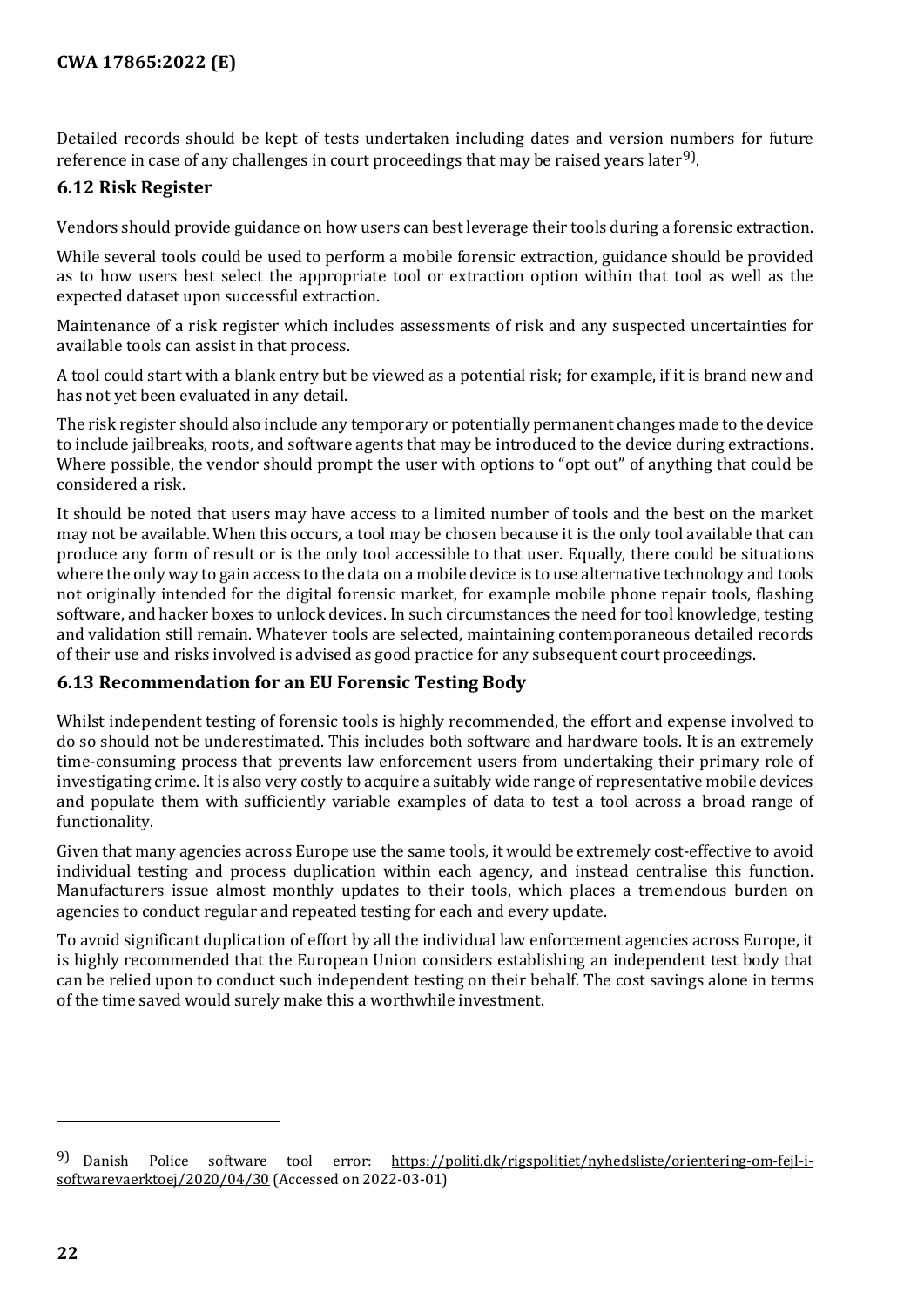Detailed records should be kept of tests undertaken including dates and version numbers for future reference in case of any challenges in court proceedings that may be raised years later<sup>[9](#page-21-2))</sup>.

#### <span id="page-21-0"></span>**6.12 Risk Register**

Vendors should provide guidance on how users can best leverage their tools during a forensic extraction.

While several tools could be used to perform a mobile forensic extraction, guidance should be provided as to how users best select the appropriate tool or extraction option within that tool as well as the expected dataset upon successful extraction.

Maintenance of a risk register which includes assessments of risk and any suspected uncertainties for available tools can assist in that process.

A tool could start with a blank entry but be viewed as a potential risk; for example, if it is brand new and has not yet been evaluated in any detail.

The risk register should also include any temporary or potentially permanent changes made to the device to include jailbreaks, roots, and software agents that may be introduced to the device during extractions. Where possible, the vendor should prompt the user with options to "opt out" of anything that could be considered a risk.

It should be noted that users may have access to a limited number of tools and the best on the market may not be available. When this occurs, a tool may be chosen because it is the only tool available that can produce any form of result or is the only tool accessible to that user. Equally, there could be situations where the only way to gain access to the data on a mobile device is to use alternative technology and tools not originally intended for the digital forensic market, for example mobile phone repair tools, flashing software, and hacker boxes to unlock devices. In such circumstances the need for tool knowledge, testing and validation still remain. Whatever tools are selected, maintaining contemporaneous detailed records of their use and risks involved is advised as good practice for any subsequent court proceedings.

#### <span id="page-21-1"></span>**6.13 Recommendation for an EU Forensic Testing Body**

Whilst independent testing of forensic tools is highly recommended, the effort and expense involved to do so should not be underestimated. This includes both software and hardware tools. It is an extremely time-consuming process that prevents law enforcement users from undertaking their primary role of investigating crime. It is also very costly to acquire a suitably wide range of representative mobile devices and populate them with sufficiently variable examples of data to test a tool across a broad range of functionality.

Given that many agencies across Europe use the same tools, it would be extremely cost-effective to avoid individual testing and process duplication within each agency, and instead centralise this function. Manufacturers issue almost monthly updates to their tools, which places a tremendous burden on agencies to conduct regular and repeated testing for each and every update.

To avoid significant duplication of effort by all the individual law enforcement agencies across Europe, it is highly recommended that the European Union considers establishing an independent test body that can be relied upon to conduct such independent testing on their behalf. The cost savings alone in terms of the time saved would surely make this a worthwhile investment.

j

<span id="page-21-2"></span><sup>9)</sup> Danish Police software tool error: https://politi.dk/rigspolitiet/nyhedsliste/orientering-om-fejl-isoftwarevaerktoej/2020/04/30 (Accessed on 2022-03-01)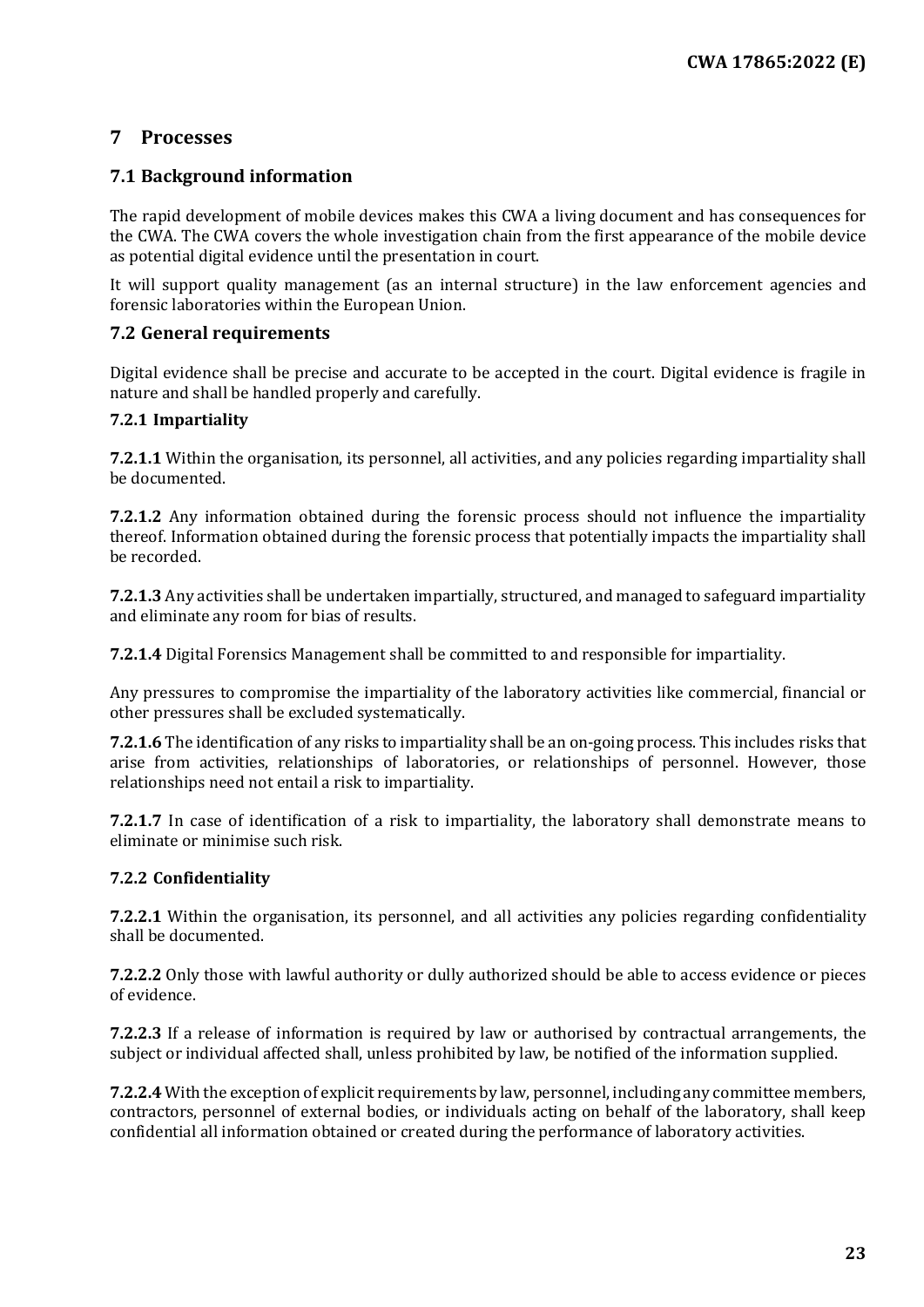## <span id="page-22-0"></span>**7 Processes**

#### <span id="page-22-1"></span>**7.1 Background information**

The rapid development of mobile devices makes this CWA a living document and has consequences for the CWA. The CWA covers the whole investigation chain from the first appearance of the mobile device as potential digital evidence until the presentation in court.

It will support quality management (as an internal structure) in the law enforcement agencies and forensic laboratories within the European Union.

#### <span id="page-22-2"></span>**7.2 General requirements**

Digital evidence shall be precise and accurate to be accepted in the court. Digital evidence is fragile in nature and shall be handled properly and carefully.

#### <span id="page-22-3"></span>**7.2.1 Impartiality**

**7.2.1.1** Within the organisation, its personnel, all activities, and any policies regarding impartiality shall be documented.

**7.2.1.2** Any information obtained during the forensic process should not influence the impartiality thereof. Information obtained during the forensic process that potentially impacts the impartiality shall be recorded.

**7.2.1.3** Any activities shall be undertaken impartially, structured, and managed to safeguard impartiality and eliminate any room for bias of results.

**7.2.1.4** Digital Forensics Management shall be committed to and responsible for impartiality.

Any pressures to compromise the impartiality of the laboratory activities like commercial, financial or other pressures shall be excluded systematically.

**7.2.1.6** The identification of any risks to impartiality shall be an on-going process. This includes risks that arise from activities, relationships of laboratories, or relationships of personnel. However, those relationships need not entail a risk to impartiality.

**7.2.1.7** In case of identification of a risk to impartiality, the laboratory shall demonstrate means to eliminate or minimise such risk.

#### <span id="page-22-4"></span>**7.2.2 Confidentiality**

**7.2.2.1** Within the organisation, its personnel, and all activities any policies regarding confidentiality shall be documented.

**7.2.2.2** Only those with lawful authority or dully authorized should be able to access evidence or pieces of evidence.

**7.2.2.3** If a release of information is required by law or authorised by contractual arrangements, the subject or individual affected shall, unless prohibited by law, be notified of the information supplied.

**7.2.2.4** With the exception of explicit requirements by law, personnel, including any committee members, contractors, personnel of external bodies, or individuals acting on behalf of the laboratory, shall keep confidential all information obtained or created during the performance of laboratory activities.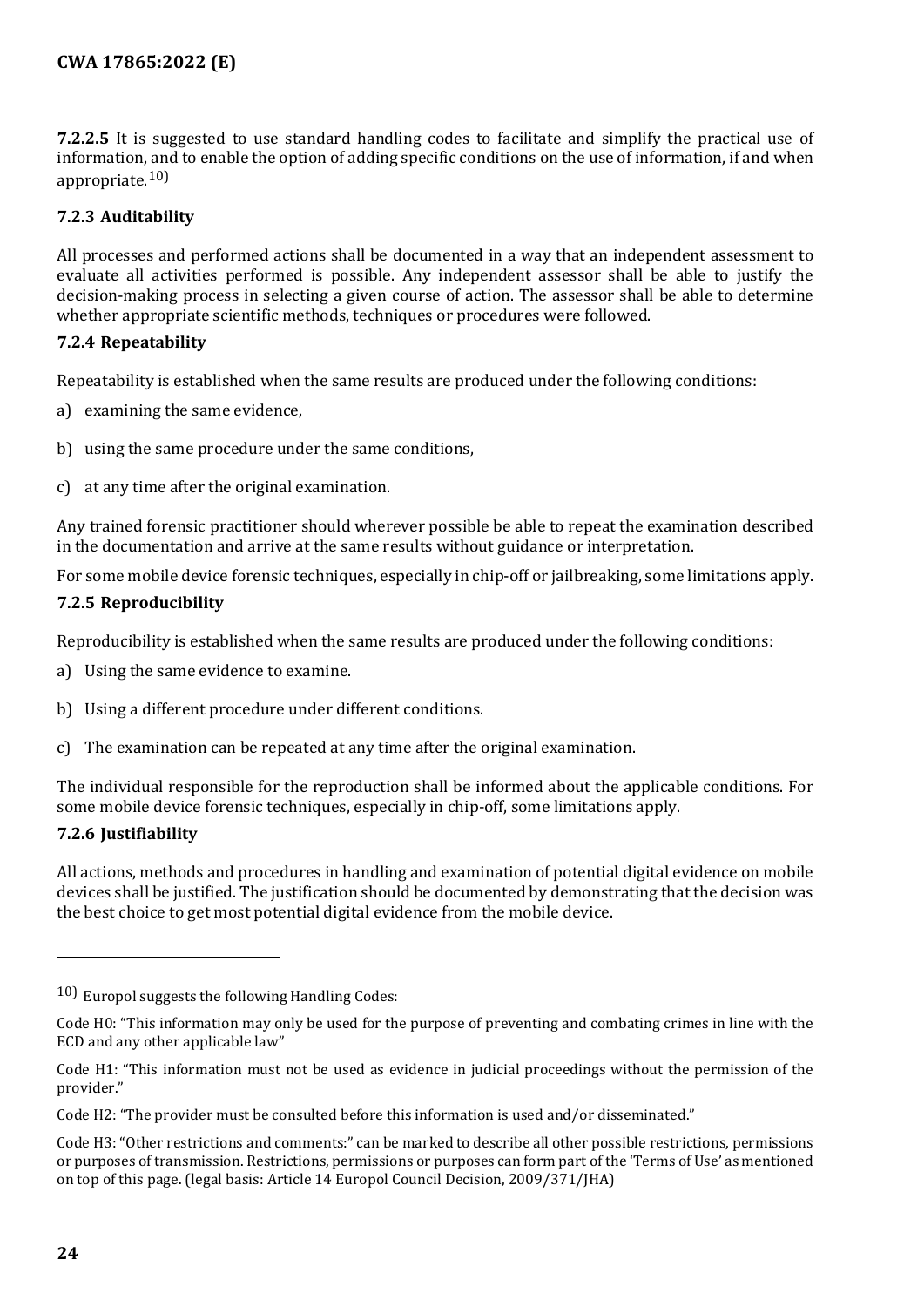**7.2.2.5** It is suggested to use standard handling codes to facilitate and simplify the practical use of information, and to enable the option of adding specific conditions on the use of information, if and when appropriate.[10\)](#page-23-4)

#### <span id="page-23-0"></span>**7.2.3 Auditability**

All processes and performed actions shall be documented in a way that an independent assessment to evaluate all activities performed is possible. Any independent assessor shall be able to justify the decision-making process in selecting a given course of action. The assessor shall be able to determine whether appropriate scientific methods, techniques or procedures were followed.

#### <span id="page-23-1"></span>**7.2.4 Repeatability**

Repeatability is established when the same results are produced under the following conditions:

- a) examining the same evidence,
- b) using the same procedure under the same conditions,
- c) at any time after the original examination.

Any trained forensic practitioner should wherever possible be able to repeat the examination described in the documentation and arrive at the same results without guidance or interpretation.

For some mobile device forensic techniques, especially in chip-off or jailbreaking, some limitations apply.

#### <span id="page-23-2"></span>**7.2.5 Reproducibility**

Reproducibility is established when the same results are produced under the following conditions:

- a) Using the same evidence to examine.
- b) Using a different procedure under different conditions.
- c) The examination can be repeated at any time after the original examination.

The individual responsible for the reproduction shall be informed about the applicable conditions. For some mobile device forensic techniques, especially in chip-off, some limitations apply.

#### <span id="page-23-3"></span>**7.2.6 Justifiability**

All actions, methods and procedures in handling and examination of potential digital evidence on mobile devices shall be justified. The justification should be documented by demonstrating that the decision was the best choice to get most potential digital evidence from the mobile device.

j

<span id="page-23-4"></span><sup>10)</sup> Europol suggests the following Handling Codes:

Code H0: "This information may only be used for the purpose of preventing and combating crimes in line with the ECD and any other applicable law"

Code H1: "This information must not be used as evidence in judicial proceedings without the permission of the provider."

Code H2: "The provider must be consulted before this information is used and/or disseminated."

Code H3: "Other restrictions and comments:" can be marked to describe all other possible restrictions, permissions or purposes of transmission. Restrictions, permissions or purposes can form part of the 'Terms of Use' as mentioned on top of this page. (legal basis: Article 14 Europol Council Decision, 2009/371/JHA)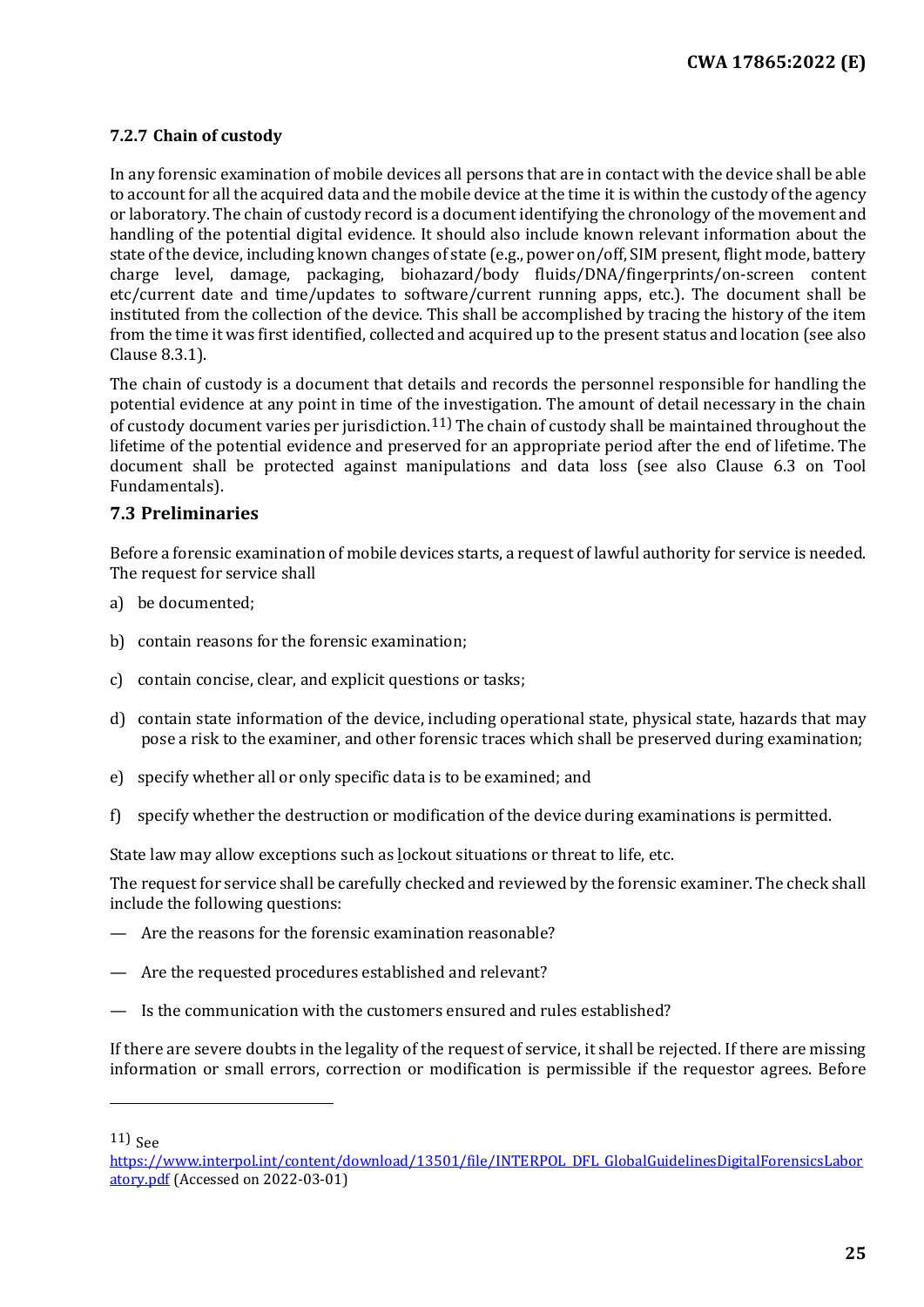#### <span id="page-24-0"></span>**7.2.7 Chain of custody**

In any forensic examination of mobile devices all persons that are in contact with the device shall be able to account for all the acquired data and the mobile device at the time it is within the custody of the agency or laboratory. The chain of custody record is a document identifying the chronology of the movement and handling of the potential digital evidence. It should also include known relevant information about the state of the device, including known changes of state (e.g., power on/off, SIM present, flight mode, battery charge level, damage, packaging, biohazard/body fluids/DNA/fingerprints/on-screen content etc/current date and time/updates to software/current running apps, etc.). The document shall be instituted from the collection of the device. This shall be accomplished by tracing the history of the item from the time it was first identified, collected and acquired up to the present status and location (see also Clause 8.3.1).

The chain of custody is a document that details and records the personnel responsible for handling the potential evidence at any point in time of the investigation. The amount of detail necessary in the chain of custody document varies per jurisdiction.<sup>[11\)](#page-24-2)</sup> The chain of custody shall be maintained throughout the lifetime of the potential evidence and preserved for an appropriate period after the end of lifetime. The document shall be protected against manipulations and data loss (see also Clause 6.3 on Tool Fundamentals).

#### <span id="page-24-1"></span>**7.3 Preliminaries**

Before a forensic examination of mobile devices starts, a request of lawful authority for service is needed. The request for service shall

- a) be documented;
- b) contain reasons for the forensic examination;
- c) contain concise, clear, and explicit questions or tasks;
- d) contain state information of the device, including operational state, physical state, hazards that may pose a risk to the examiner, and other forensic traces which shall be preserved during examination;
- e) specify whether all or only specific data is to be examined; and
- f) specify whether the destruction or modification of the device during examinations is permitted.

State law may allow exceptions such as lockout situations or threat to life, etc.

The request for service shall be carefully checked and reviewed by the forensic examiner. The check shall include the following questions:

- Are the reasons for the forensic examination reasonable?
- Are the requested procedures established and relevant?
- Is the communication with the customers ensured and rules established?

If there are severe doubts in the legality of the request of service, it shall be rejected. If there are missing information or small errors, correction or modification is permissible if the requestor agrees. Before

<span id="page-24-2"></span> $11)$  See

 $\overline{a}$ 

[https://www.interpol.int/content/download/13501/file/INTERPOL\\_DFL\\_GlobalGuidelinesDigitalForensicsLabor](https://www.interpol.int/content/download/13501/file/INTERPOL_DFL_GlobalGuidelinesDigitalForensicsLaboratory.pdf) [atory.pdf](https://www.interpol.int/content/download/13501/file/INTERPOL_DFL_GlobalGuidelinesDigitalForensicsLaboratory.pdf) (Accessed on 2022-03-01)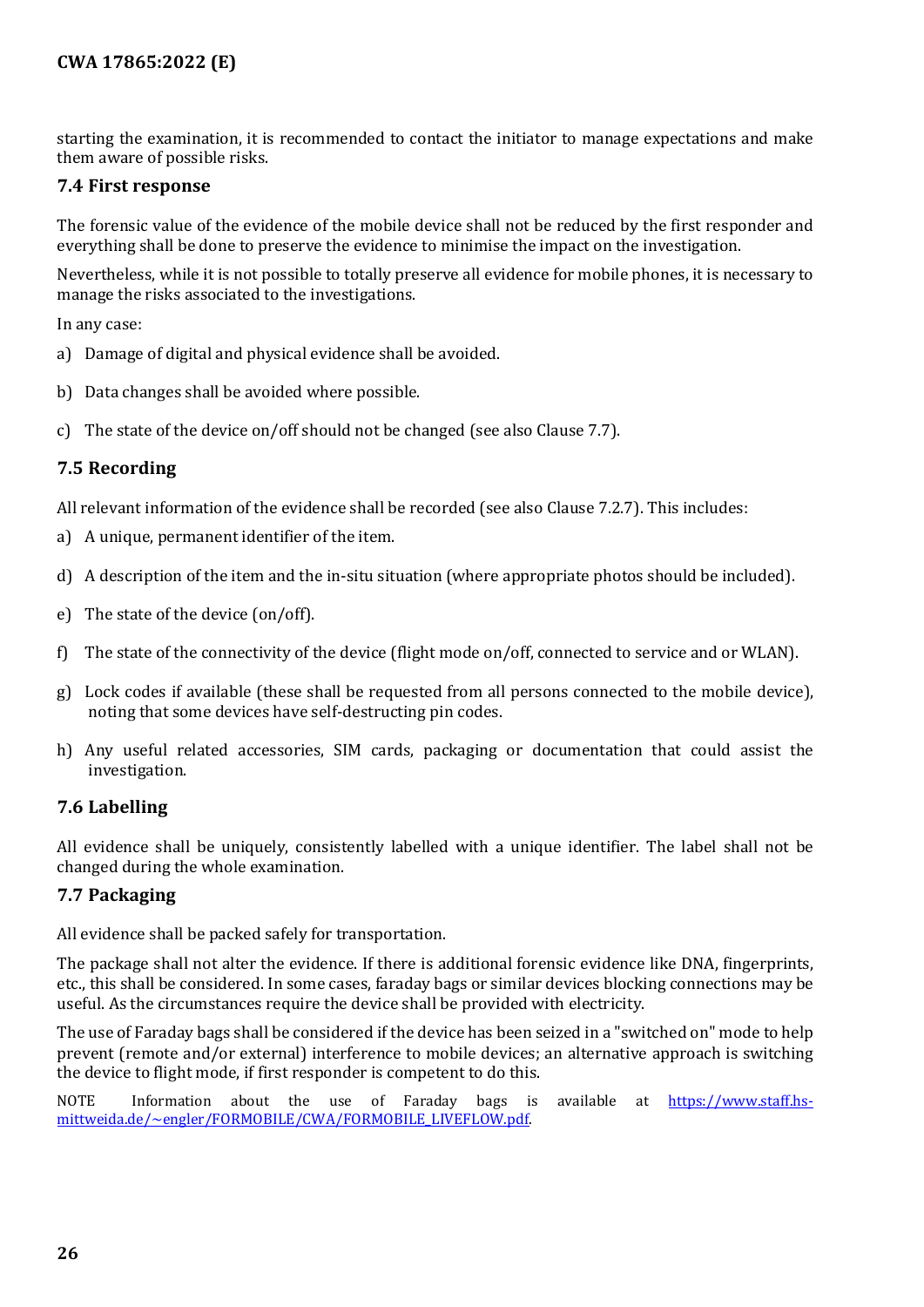starting the examination, it is recommended to contact the initiator to manage expectations and make them aware of possible risks.

#### <span id="page-25-0"></span>**7.4 First response**

The forensic value of the evidence of the mobile device shall not be reduced by the first responder and everything shall be done to preserve the evidence to minimise the impact on the investigation.

Nevertheless, while it is not possible to totally preserve all evidence for mobile phones, it is necessary to manage the risks associated to the investigations.

In any case:

- a) Damage of digital and physical evidence shall be avoided.
- b) Data changes shall be avoided where possible.
- c) The state of the device on/off should not be changed (see also Clause 7.7).

#### <span id="page-25-1"></span>**7.5 Recording**

All relevant information of the evidence shall be recorded (see also Clause 7.2.7). This includes:

- a) A unique, permanent identifier of the item.
- d) A description of the item and the in-situ situation (where appropriate photos should be included).
- e) The state of the device (on/off).
- f) The state of the connectivity of the device (flight mode on/off, connected to service and or WLAN).
- g) Lock codes if available (these shall be requested from all persons connected to the mobile device), noting that some devices have self-destructing pin codes.
- h) Any useful related accessories, SIM cards, packaging or documentation that could assist the investigation.

#### <span id="page-25-2"></span>**7.6 Labelling**

All evidence shall be uniquely, consistently labelled with a unique identifier. The label shall not be changed during the whole examination.

#### <span id="page-25-3"></span>**7.7 Packaging**

All evidence shall be packed safely for transportation.

The package shall not alter the evidence. If there is additional forensic evidence like DNA, fingerprints, etc., this shall be considered. In some cases, faraday bags or similar devices blocking connections may be useful. As the circumstances require the device shall be provided with electricity.

The use of Faraday bags shall be considered if the device has been seized in a "switched on" mode to help prevent (remote and/or external) interference to mobile devices; an alternative approach is switching the device to flight mode, if first responder is competent to do this.

NOTE Information about the use of Faraday bags is available at [https://www.staff.hs](https://www.staff.hs-mittweida.de/%7Eengler/FORMOBILE/CWA/FORMOBILE_LIVEFLOW.pdf)[mittweida.de/~engler/FORMOBILE/CWA/FORMOBILE\\_LIVEFLOW.pdf.](https://www.staff.hs-mittweida.de/%7Eengler/FORMOBILE/CWA/FORMOBILE_LIVEFLOW.pdf)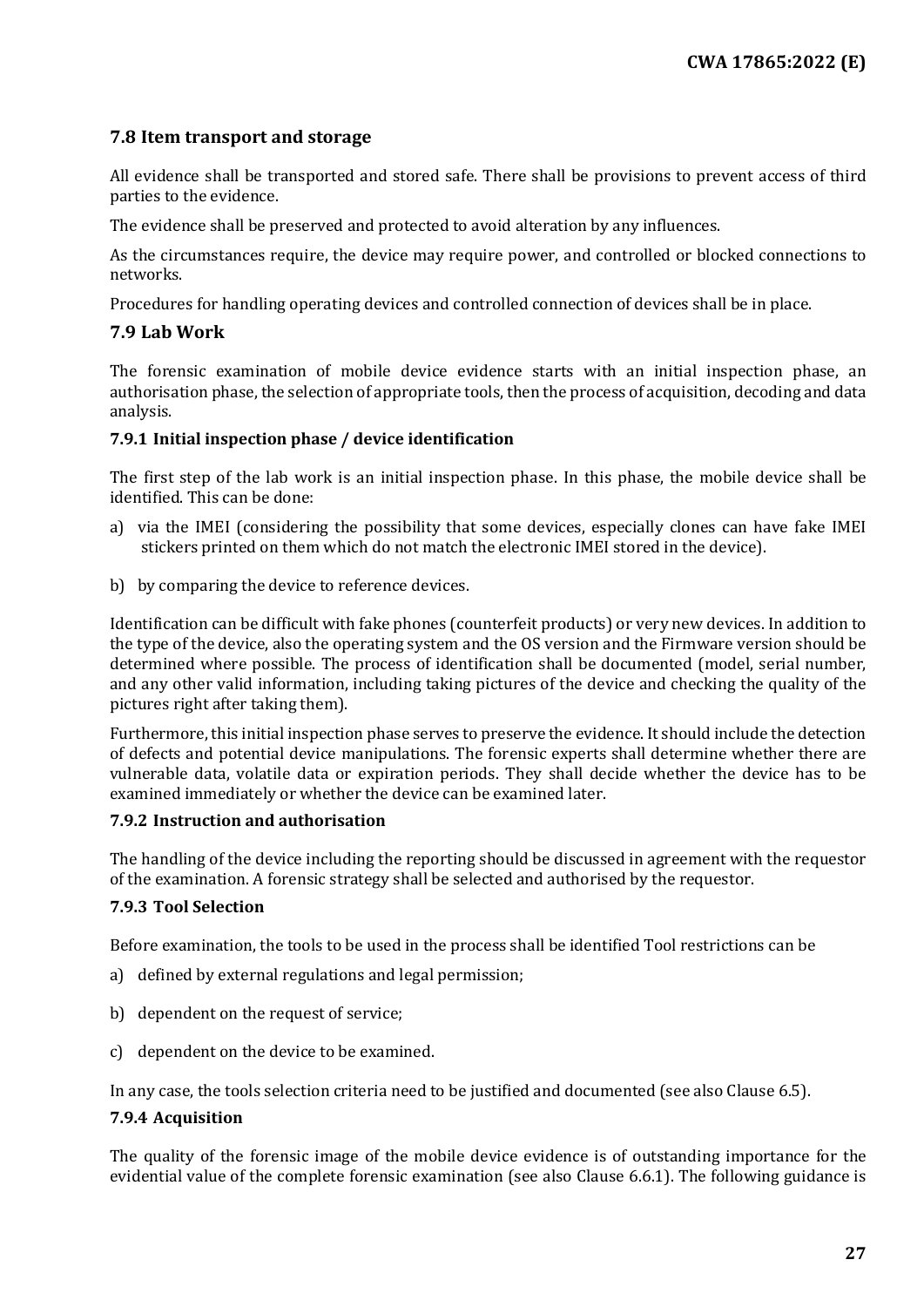#### <span id="page-26-0"></span>**7.8 Item transport and storage**

All evidence shall be transported and stored safe. There shall be provisions to prevent access of third parties to the evidence.

The evidence shall be preserved and protected to avoid alteration by any influences.

As the circumstances require, the device may require power, and controlled or blocked connections to networks.

Procedures for handling operating devices and controlled connection of devices shall be in place.

#### <span id="page-26-1"></span>**7.9 Lab Work**

The forensic examination of mobile device evidence starts with an initial inspection phase, an authorisation phase, the selection of appropriate tools, then the process of acquisition, decoding and data analysis.

#### <span id="page-26-2"></span>**7.9.1 Initial inspection phase / device identification**

The first step of the lab work is an initial inspection phase. In this phase, the mobile device shall be identified. This can be done:

- a) via the IMEI (considering the possibility that some devices, especially clones can have fake IMEI stickers printed on them which do not match the electronic IMEI stored in the device).
- b) by comparing the device to reference devices.

Identification can be difficult with fake phones (counterfeit products) or very new devices. In addition to the type of the device, also the operating system and the OS version and the Firmware version should be determined where possible. The process of identification shall be documented (model, serial number, and any other valid information, including taking pictures of the device and checking the quality of the pictures right after taking them).

Furthermore, this initial inspection phase serves to preserve the evidence. It should include the detection of defects and potential device manipulations. The forensic experts shall determine whether there are vulnerable data, volatile data or expiration periods. They shall decide whether the device has to be examined immediately or whether the device can be examined later.

#### <span id="page-26-3"></span>**7.9.2 Instruction and authorisation**

The handling of the device including the reporting should be discussed in agreement with the requestor of the examination. A forensic strategy shall be selected and authorised by the requestor.

#### <span id="page-26-4"></span>**7.9.3 Tool Selection**

Before examination, the tools to be used in the process shall be identified Tool restrictions can be

- a) defined by external regulations and legal permission;
- b) dependent on the request of service;
- c) dependent on the device to be examined.

In any case, the tools selection criteria need to be justified and documented (see also Clause 6.5).

#### <span id="page-26-5"></span>**7.9.4 Acquisition**

The quality of the forensic image of the mobile device evidence is of outstanding importance for the evidential value of the complete forensic examination (see also Clause 6.6.1). The following guidance is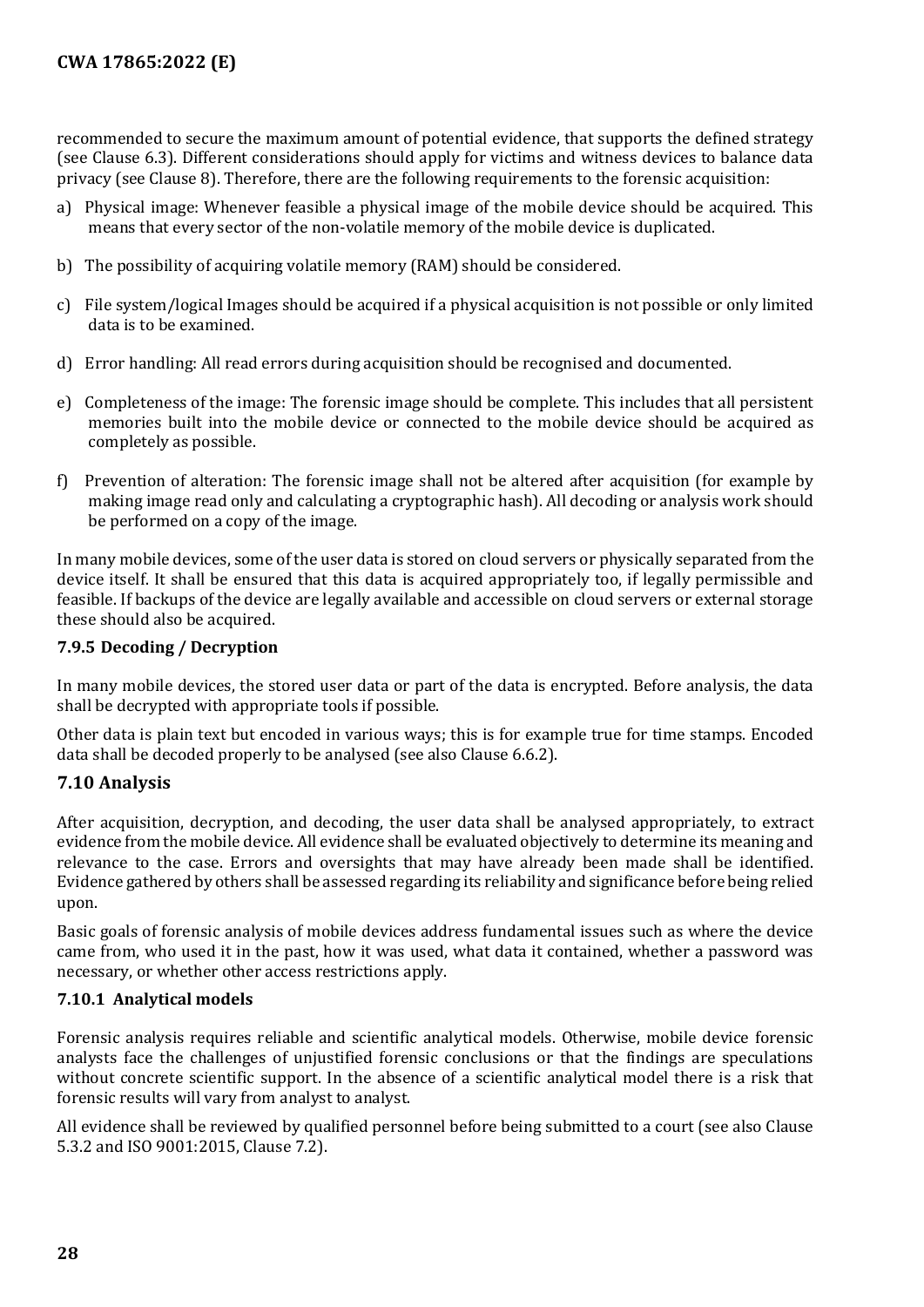recommended to secure the maximum amount of potential evidence, that supports the defined strategy (see Clause 6.3). Different considerations should apply for victims and witness devices to balance data privacy (see Clause 8). Therefore, there are the following requirements to the forensic acquisition:

- a) Physical image: Whenever feasible a physical image of the mobile device should be acquired. This means that every sector of the non-volatile memory of the mobile device is duplicated.
- b) The possibility of acquiring volatile memory (RAM) should be considered.
- c) File system/logical Images should be acquired if a physical acquisition is not possible or only limited data is to be examined.
- d) Error handling: All read errors during acquisition should be recognised and documented.
- e) Completeness of the image: The forensic image should be complete. This includes that all persistent memories built into the mobile device or connected to the mobile device should be acquired as completely as possible.
- f) Prevention of alteration: The forensic image shall not be altered after acquisition (for example by making image read only and calculating a cryptographic hash). All decoding or analysis work should be performed on a copy of the image.

In many mobile devices, some of the user data is stored on cloud servers or physically separated from the device itself. It shall be ensured that this data is acquired appropriately too, if legally permissible and feasible. If backups of the device are legally available and accessible on cloud servers or external storage these should also be acquired.

#### <span id="page-27-0"></span>**7.9.5 Decoding / Decryption**

In many mobile devices, the stored user data or part of the data is encrypted. Before analysis, the data shall be decrypted with appropriate tools if possible.

Other data is plain text but encoded in various ways; this is for example true for time stamps. Encoded data shall be decoded properly to be analysed (see also Clause 6.6.2).

#### <span id="page-27-1"></span>**7.10 Analysis**

After acquisition, decryption, and decoding, the user data shall be analysed appropriately, to extract evidence from the mobile device. All evidence shall be evaluated objectively to determine its meaning and relevance to the case. Errors and oversights that may have already been made shall be identified. Evidence gathered by others shall be assessed regarding its reliability and significance before being relied upon.

Basic goals of forensic analysis of mobile devices address fundamental issues such as where the device came from, who used it in the past, how it was used, what data it contained, whether a password was necessary, or whether other access restrictions apply.

#### <span id="page-27-2"></span>**7.10.1 Analytical models**

Forensic analysis requires reliable and scientific analytical models. Otherwise, mobile device forensic analysts face the challenges of unjustified forensic conclusions or that the findings are speculations without concrete scientific support. In the absence of a scientific analytical model there is a risk that forensic results will vary from analyst to analyst.

All evidence shall be reviewed by qualified personnel before being submitted to a court (see also Clause 5.3.2 and ISO 9001:2015, Clause 7.2).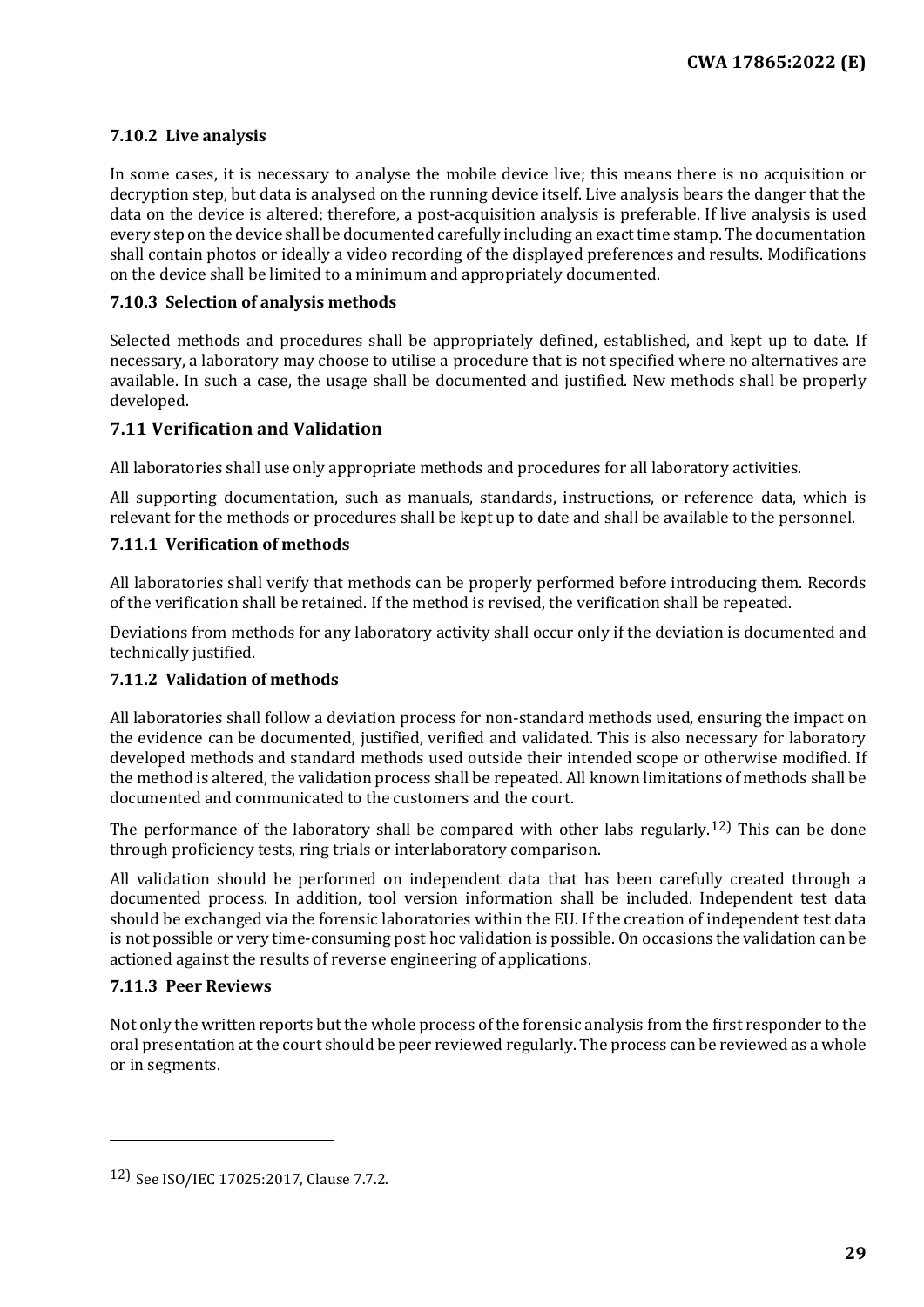#### <span id="page-28-0"></span>**7.10.2 Live analysis**

In some cases, it is necessary to analyse the mobile device live; this means there is no acquisition or decryption step, but data is analysed on the running device itself. Live analysis bears the danger that the data on the device is altered; therefore, a post-acquisition analysis is preferable. If live analysis is used every step on the device shall be documented carefully including an exact time stamp. The documentation shall contain photos or ideally a video recording of the displayed preferences and results. Modifications on the device shall be limited to a minimum and appropriately documented.

#### <span id="page-28-1"></span>**7.10.3 Selection of analysis methods**

Selected methods and procedures shall be appropriately defined, established, and kept up to date. If necessary, a laboratory may choose to utilise a procedure that is not specified where no alternatives are available. In such a case, the usage shall be documented and justified. New methods shall be properly developed.

#### <span id="page-28-2"></span>**7.11 Verification and Validation**

All laboratories shall use only appropriate methods and procedures for all laboratory activities.

All supporting documentation, such as manuals, standards, instructions, or reference data, which is relevant for the methods or procedures shall be kept up to date and shall be available to the personnel.

#### <span id="page-28-3"></span>**7.11.1 Verification of methods**

All laboratories shall verify that methods can be properly performed before introducing them. Records of the verification shall be retained. If the method is revised, the verification shall be repeated.

Deviations from methods for any laboratory activity shall occur only if the deviation is documented and technically justified.

#### <span id="page-28-4"></span>**7.11.2 Validation of methods**

All laboratories shall follow a deviation process for non-standard methods used, ensuring the impact on the evidence can be documented, justified, verified and validated. This is also necessary for laboratory developed methods and standard methods used outside their intended scope or otherwise modified. If the method is altered, the validation process shall be repeated. All known limitations of methods shall be documented and communicated to the customers and the court.

The performance of the laboratory shall be compared with other labs regularly.<sup>[12](#page-28-6)</sup> This can be done through proficiency tests, ring trials or interlaboratory comparison.

All validation should be performed on independent data that has been carefully created through a documented process. In addition, tool version information shall be included. Independent test data should be exchanged via the forensic laboratories within the EU. If the creation of independent test data is not possible or very time-consuming post hoc validation is possible. On occasions the validation can be actioned against the results of reverse engineering of applications.

#### <span id="page-28-5"></span>**7.11.3 Peer Reviews**

I

Not only the written reports but the whole process of the forensic analysis from the first responder to the oral presentation at the court should be peer reviewed regularly. The process can be reviewed as a whole or in segments.

<span id="page-28-6"></span><sup>12)</sup> See ISO/IEC 17025:2017, Clause 7.7.2.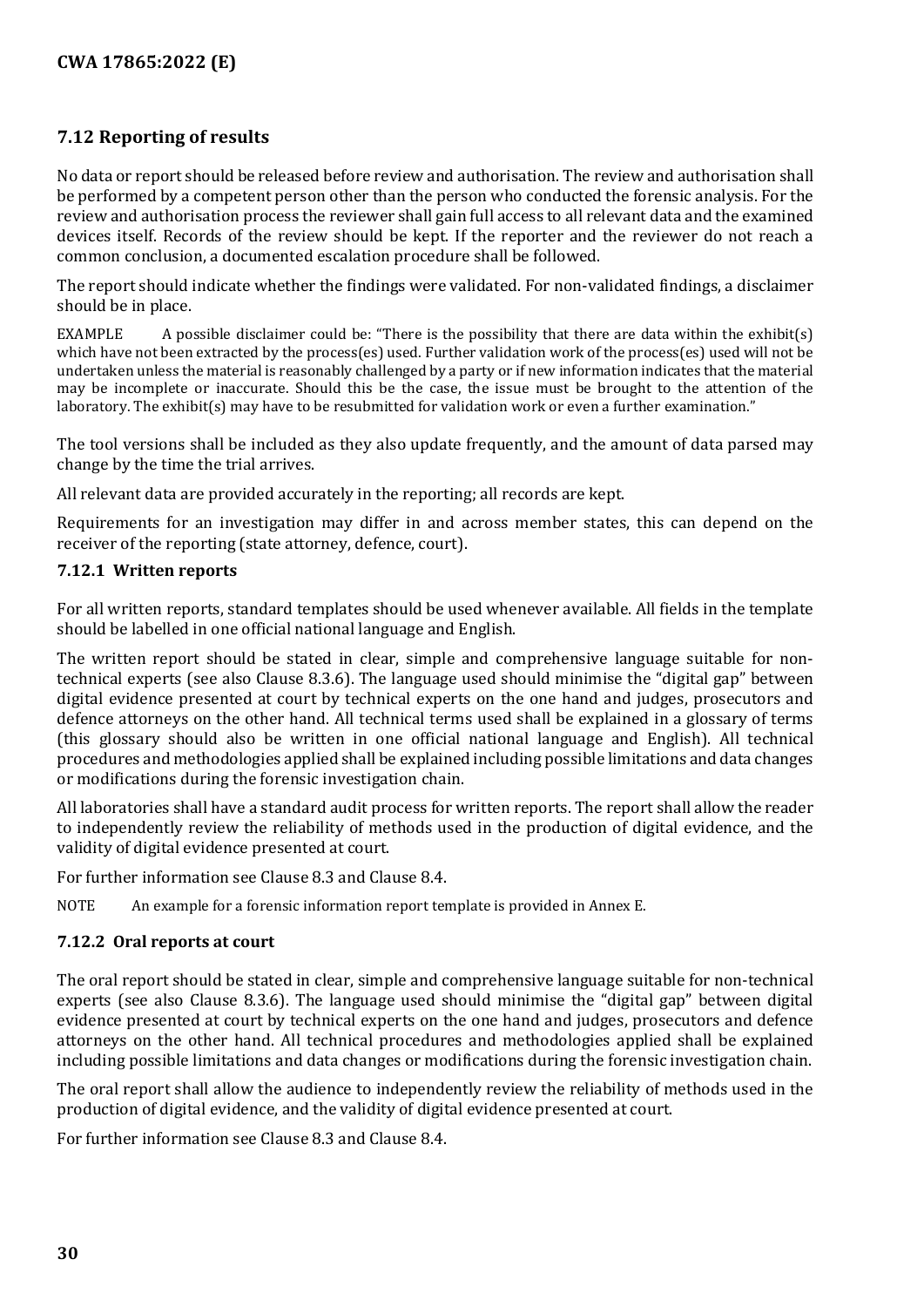#### <span id="page-29-0"></span>**7.12 Reporting of results**

No data or report should be released before review and authorisation. The review and authorisation shall be performed by a competent person other than the person who conducted the forensic analysis. For the review and authorisation process the reviewer shall gain full access to all relevant data and the examined devices itself. Records of the review should be kept. If the reporter and the reviewer do not reach a common conclusion, a documented escalation procedure shall be followed.

The report should indicate whether the findings were validated. For non-validated findings, a disclaimer should be in place.

EXAMPLE A possible disclaimer could be: "There is the possibility that there are data within the exhibit(s) which have not been extracted by the process(es) used. Further validation work of the process(es) used will not be undertaken unless the material is reasonably challenged by a party or if new information indicates that the material may be incomplete or inaccurate. Should this be the case, the issue must be brought to the attention of the laboratory. The exhibit(s) may have to be resubmitted for validation work or even a further examination."

The tool versions shall be included as they also update frequently, and the amount of data parsed may change by the time the trial arrives.

All relevant data are provided accurately in the reporting; all records are kept.

Requirements for an investigation may differ in and across member states, this can depend on the receiver of the reporting (state attorney, defence, court).

#### <span id="page-29-1"></span>**7.12.1 Written reports**

For all written reports, standard templates should be used whenever available. All fields in the template should be labelled in one official national language and English.

The written report should be stated in clear, simple and comprehensive language suitable for nontechnical experts (see also Clause 8.3.6). The language used should minimise the "digital gap" between digital evidence presented at court by technical experts on the one hand and judges, prosecutors and defence attorneys on the other hand. All technical terms used shall be explained in a glossary of terms (this glossary should also be written in one official national language and English). All technical procedures and methodologies applied shall be explained including possible limitations and data changes or modifications during the forensic investigation chain.

All laboratories shall have a standard audit process for written reports. The report shall allow the reader to independently review the reliability of methods used in the production of digital evidence, and the validity of digital evidence presented at court.

For further information see Clause 8.3 and Clause 8.4.

NOTE An example for a forensic information report template is provided in Annex E.

#### <span id="page-29-2"></span>**7.12.2 Oral reports at court**

The oral report should be stated in clear, simple and comprehensive language suitable for non-technical experts (see also Clause 8.3.6). The language used should minimise the "digital gap" between digital evidence presented at court by technical experts on the one hand and judges, prosecutors and defence attorneys on the other hand. All technical procedures and methodologies applied shall be explained including possible limitations and data changes or modifications during the forensic investigation chain.

The oral report shall allow the audience to independently review the reliability of methods used in the production of digital evidence, and the validity of digital evidence presented at court.

For further information see Clause 8.3 and Clause 8.4.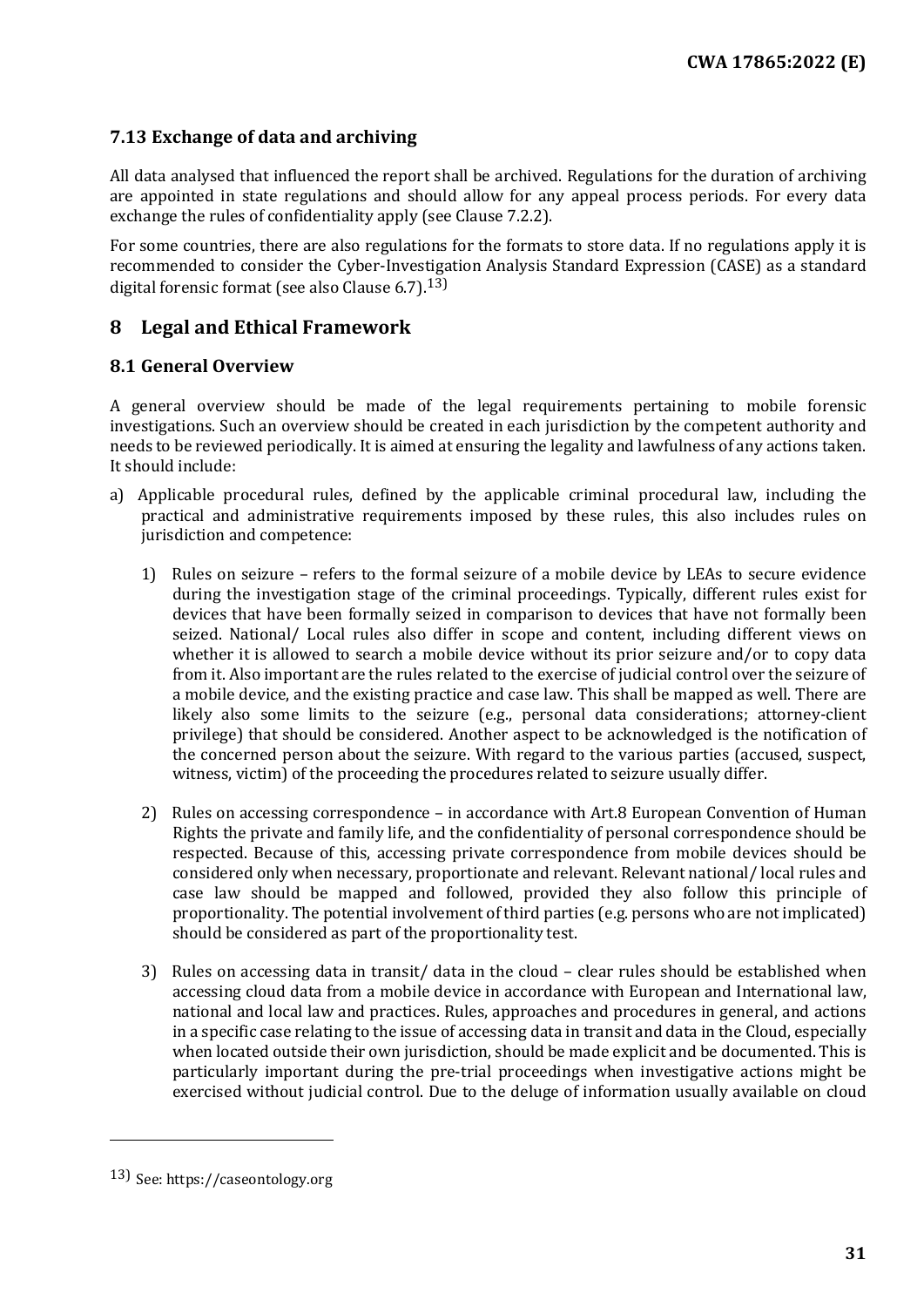#### <span id="page-30-0"></span>**7.13 Exchange of data and archiving**

All data analysed that influenced the report shall be archived. Regulations for the duration of archiving are appointed in state regulations and should allow for any appeal process periods. For every data exchange the rules of confidentiality apply (see Clause 7.2.2).

For some countries, there are also regulations for the formats to store data. If no regulations apply it is recommended to consider the Cyber-Investigation Analysis Standard Expression (CASE) as a standard digital forensic format (see also Clause  $6.7$ ).<sup>[13\)](#page-30-3)</sup>

#### <span id="page-30-1"></span>**8 Legal and Ethical Framework**

#### <span id="page-30-2"></span>**8.1 General Overview**

A general overview should be made of the legal requirements pertaining to mobile forensic investigations. Such an overview should be created in each jurisdiction by the competent authority and needs to be reviewed periodically. It is aimed at ensuring the legality and lawfulness of any actions taken. It should include:

- a) Applicable procedural rules, defined by the applicable criminal procedural law, including the practical and administrative requirements imposed by these rules, this also includes rules on jurisdiction and competence:
	- 1) Rules on seizure refers to the formal seizure of a mobile device by LEAs to secure evidence during the investigation stage of the criminal proceedings. Typically, different rules exist for devices that have been formally seized in comparison to devices that have not formally been seized. National/ Local rules also differ in scope and content, including different views on whether it is allowed to search a mobile device without its prior seizure and/or to copy data from it. Also important are the rules related to the exercise of judicial control over the seizure of a mobile device, and the existing practice and case law. This shall be mapped as well. There are likely also some limits to the seizure (e.g., personal data considerations; attorney-client privilege) that should be considered. Another aspect to be acknowledged is the notification of the concerned person about the seizure. With regard to the various parties (accused, suspect, witness, victim) of the proceeding the procedures related to seizure usually differ.
	- 2) Rules on accessing correspondence in accordance with Art.8 European Convention of Human Rights the private and family life, and the confidentiality of personal correspondence should be respected. Because of this, accessing private correspondence from mobile devices should be considered only when necessary, proportionate and relevant. Relevant national/ local rules and case law should be mapped and followed, provided they also follow this principle of proportionality. The potential involvement of third parties (e.g. persons who are not implicated) should be considered as part of the proportionality test.
	- 3) Rules on accessing data in transit/ data in the cloud clear rules should be established when accessing cloud data from a mobile device in accordance with European and International law, national and local law and practices. Rules, approaches and procedures in general, and actions in a specific case relating to the issue of accessing data in transit and data in the Cloud, especially when located outside their own jurisdiction, should be made explicit and be documented. This is particularly important during the pre-trial proceedings when investigative actions might be exercised without judicial control. Due to the deluge of information usually available on cloud

I

<span id="page-30-3"></span><sup>13)</sup> See: https://caseontology.org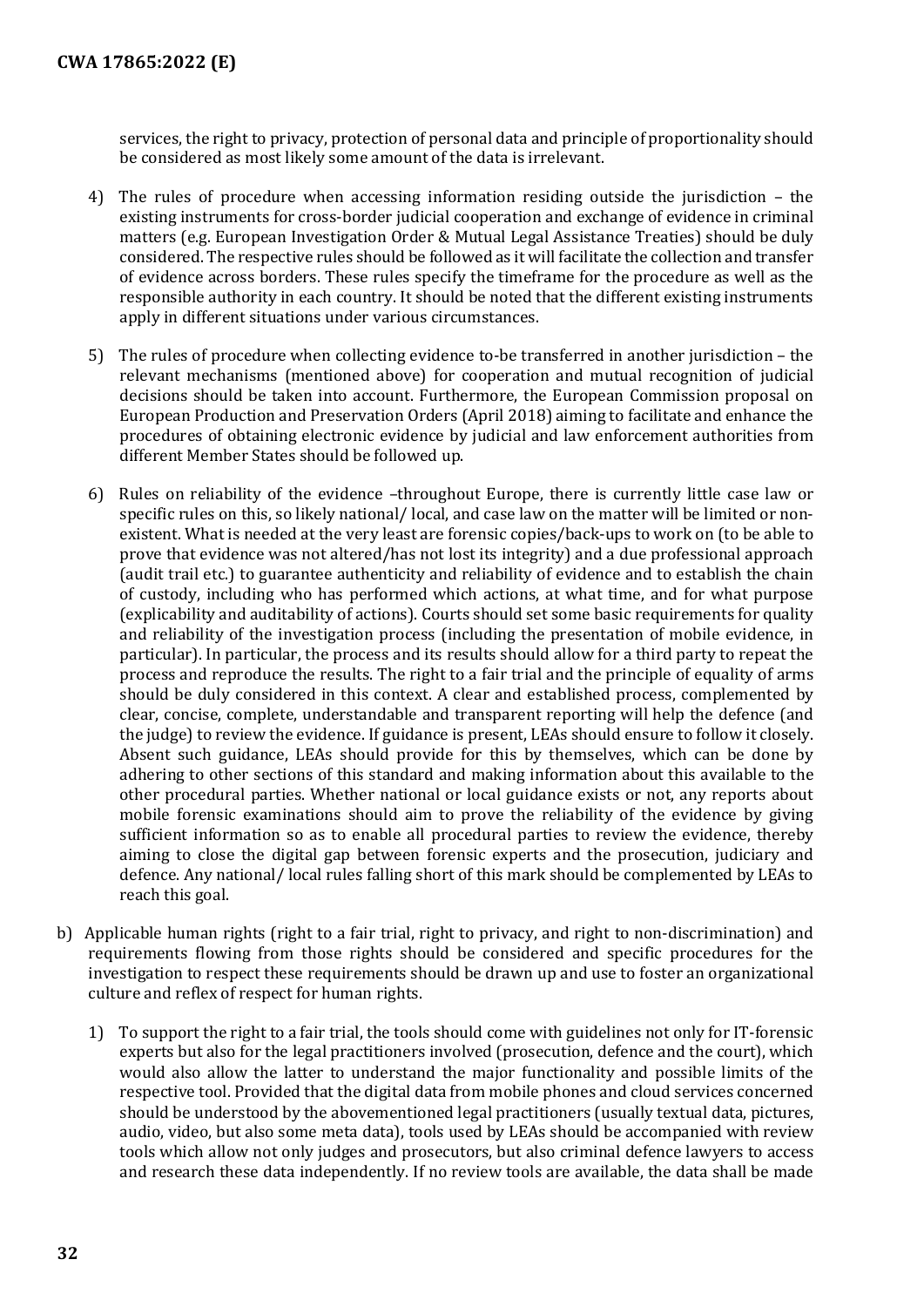services, the right to privacy, protection of personal data and principle of proportionality should be considered as most likely some amount of the data is irrelevant.

- 4) The rules of procedure when accessing information residing outside the jurisdiction the existing instruments for cross-border judicial cooperation and exchange of evidence in criminal matters (e.g. European Investigation Order & Mutual Legal Assistance Treaties) should be duly considered. The respective rules should be followed as it will facilitate the collection and transfer of evidence across borders. These rules specify the timeframe for the procedure as well as the responsible authority in each country. It should be noted that the different existing instruments apply in different situations under various circumstances.
- 5) The rules of procedure when collecting evidence to-be transferred in another jurisdiction the relevant mechanisms (mentioned above) for cooperation and mutual recognition of judicial decisions should be taken into account. Furthermore, the European Commission proposal on European Production and Preservation Orders (April 2018) aiming to facilitate and enhance the procedures of obtaining electronic evidence by judicial and law enforcement authorities from different Member States should be followed up.
- 6) Rules on reliability of the evidence –throughout Europe, there is currently little case law or specific rules on this, so likely national/ local, and case law on the matter will be limited or nonexistent. What is needed at the very least are forensic copies/back-ups to work on (to be able to prove that evidence was not altered/has not lost its integrity) and a due professional approach (audit trail etc.) to guarantee authenticity and reliability of evidence and to establish the chain of custody, including who has performed which actions, at what time, and for what purpose (explicability and auditability of actions). Courts should set some basic requirements for quality and reliability of the investigation process (including the presentation of mobile evidence, in particular). In particular, the process and its results should allow for a third party to repeat the process and reproduce the results. The right to a fair trial and the principle of equality of arms should be duly considered in this context. A clear and established process, complemented by clear, concise, complete, understandable and transparent reporting will help the defence (and the judge) to review the evidence. If guidance is present, LEAs should ensure to follow it closely. Absent such guidance, LEAs should provide for this by themselves, which can be done by adhering to other sections of this standard and making information about this available to the other procedural parties. Whether national or local guidance exists or not, any reports about mobile forensic examinations should aim to prove the reliability of the evidence by giving sufficient information so as to enable all procedural parties to review the evidence, thereby aiming to close the digital gap between forensic experts and the prosecution, judiciary and defence. Any national/ local rules falling short of this mark should be complemented by LEAs to reach this goal.
- b) Applicable human rights (right to a fair trial, right to privacy, and right to non-discrimination) and requirements flowing from those rights should be considered and specific procedures for the investigation to respect these requirements should be drawn up and use to foster an organizational culture and reflex of respect for human rights.
	- 1) To support the right to a fair trial, the tools should come with guidelines not only for IT-forensic experts but also for the legal practitioners involved (prosecution, defence and the court), which would also allow the latter to understand the major functionality and possible limits of the respective tool. Provided that the digital data from mobile phones and cloud services concerned should be understood by the abovementioned legal practitioners (usually textual data, pictures, audio, video, but also some meta data), tools used by LEAs should be accompanied with review tools which allow not only judges and prosecutors, but also criminal defence lawyers to access and research these data independently. If no review tools are available, the data shall be made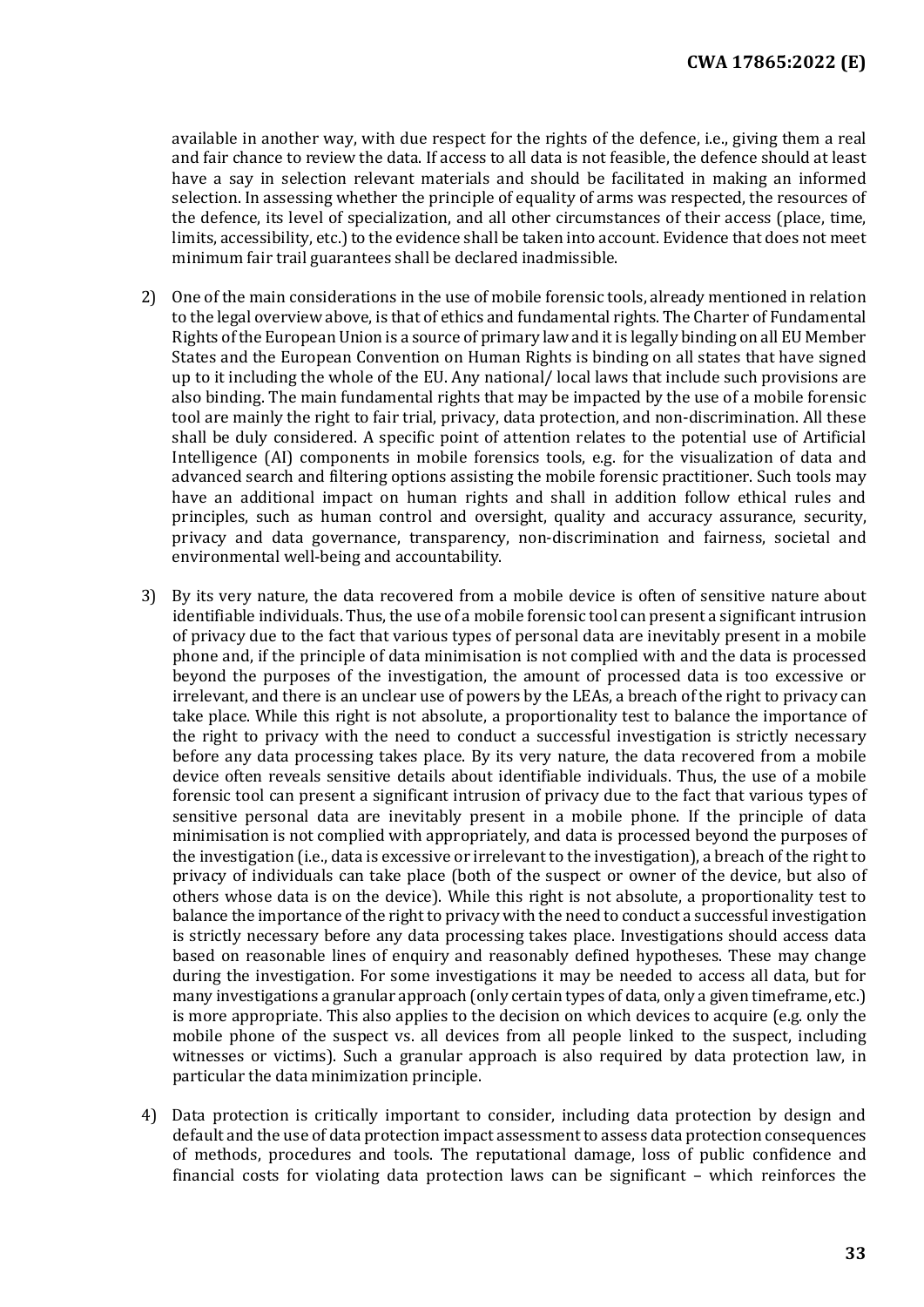available in another way, with due respect for the rights of the defence, i.e., giving them a real and fair chance to review the data. If access to all data is not feasible, the defence should at least have a say in selection relevant materials and should be facilitated in making an informed selection. In assessing whether the principle of equality of arms was respected, the resources of the defence, its level of specialization, and all other circumstances of their access (place, time, limits, accessibility, etc.) to the evidence shall be taken into account. Evidence that does not meet minimum fair trail guarantees shall be declared inadmissible.

- 2) One of the main considerations in the use of mobile forensic tools, already mentioned in relation to the legal overview above, is that of ethics and fundamental rights. The Charter of Fundamental Rights of the European Union is a source of primary law and it is legally binding on all EU Member States and the European Convention on Human Rights is binding on all states that have signed up to it including the whole of the EU. Any national/ local laws that include such provisions are also binding. The main fundamental rights that may be impacted by the use of a mobile forensic tool are mainly the right to fair trial, privacy, data protection, and non-discrimination. All these shall be duly considered. A specific point of attention relates to the potential use of Artificial Intelligence (AI) components in mobile forensics tools, e.g. for the visualization of data and advanced search and filtering options assisting the mobile forensic practitioner. Such tools may have an additional impact on human rights and shall in addition follow ethical rules and principles, such as human control and oversight, quality and accuracy assurance, security, privacy and data governance, transparency, non-discrimination and fairness, societal and environmental well-being and accountability.
- 3) By its very nature, the data recovered from a mobile device is often of sensitive nature about identifiable individuals. Thus, the use of a mobile forensic tool can present a significant intrusion of privacy due to the fact that various types of personal data are inevitably present in a mobile phone and, if the principle of data minimisation is not complied with and the data is processed beyond the purposes of the investigation, the amount of processed data is too excessive or irrelevant, and there is an unclear use of powers by the LEAs, a breach of the right to privacy can take place. While this right is not absolute, a proportionality test to balance the importance of the right to privacy with the need to conduct a successful investigation is strictly necessary before any data processing takes place. By its very nature, the data recovered from a mobile device often reveals sensitive details about identifiable individuals. Thus, the use of a mobile forensic tool can present a significant intrusion of privacy due to the fact that various types of sensitive personal data are inevitably present in a mobile phone. If the principle of data minimisation is not complied with appropriately, and data is processed beyond the purposes of the investigation (i.e., data is excessive or irrelevant to the investigation), a breach of the right to privacy of individuals can take place (both of the suspect or owner of the device, but also of others whose data is on the device). While this right is not absolute, a proportionality test to balance the importance of the right to privacy with the need to conduct a successful investigation is strictly necessary before any data processing takes place. Investigations should access data based on reasonable lines of enquiry and reasonably defined hypotheses. These may change during the investigation. For some investigations it may be needed to access all data, but for many investigations a granular approach (only certain types of data, only a given timeframe, etc.) is more appropriate. This also applies to the decision on which devices to acquire (e.g. only the mobile phone of the suspect vs. all devices from all people linked to the suspect, including witnesses or victims). Such a granular approach is also required by data protection law, in particular the data minimization principle.
- 4) Data protection is critically important to consider, including data protection by design and default and the use of data protection impact assessment to assess data protection consequences of methods, procedures and tools. The reputational damage, loss of public confidence and financial costs for violating data protection laws can be significant – which reinforces the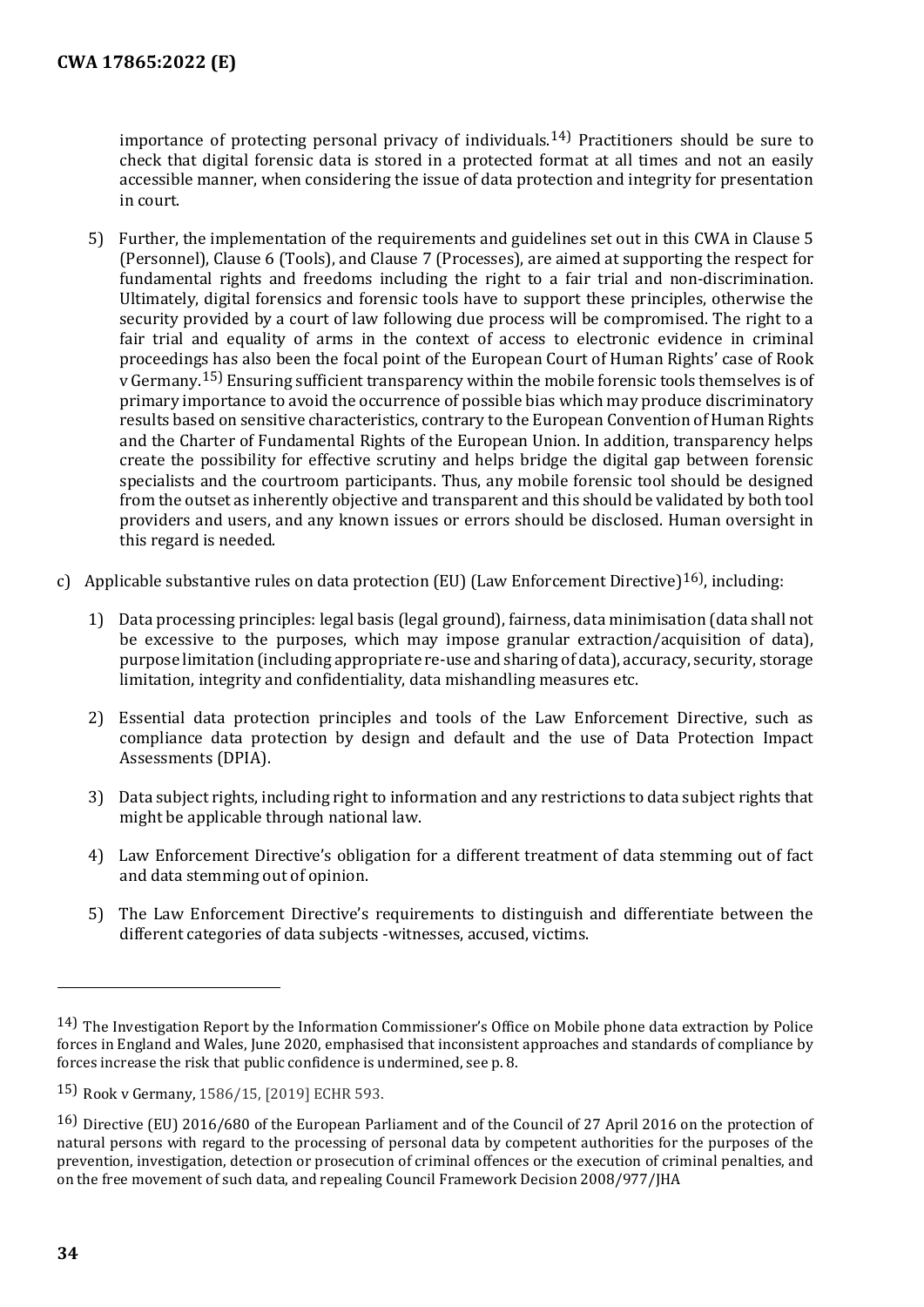importance of protecting personal privacy of individuals.<sup>[14](#page-33-0))</sup> Practitioners should be sure to check that digital forensic data is stored in a protected format at all times and not an easily accessible manner, when considering the issue of data protection and integrity for presentation in court.

- 5) Further, the implementation of the requirements and guidelines set out in this CWA in Clause 5 (Personnel), Clause 6 (Tools), and Clause 7 (Processes), are aimed at supporting the respect for fundamental rights and freedoms including the right to a fair trial and non-discrimination. Ultimately, digital forensics and forensic tools have to support these principles, otherwise the security provided by a court of law following due process will be compromised. The right to a fair trial and equality of arms in the context of access to electronic evidence in criminal proceedings has also been the focal point of the European Court of Human Rights' case of Rook v Germany.[15\)](#page-33-1) Ensuring sufficient transparency within the mobile forensic tools themselves is of primary importance to avoid the occurrence of possible bias which may produce discriminatory results based on sensitive characteristics, contrary to the European Convention of Human Rights and the Charter of Fundamental Rights of the European Union. In addition, transparency helps create the possibility for effective scrutiny and helps bridge the digital gap between forensic specialists and the courtroom participants. Thus, any mobile forensic tool should be designed from the outset as inherently objective and transparent and this should be validated by both tool providers and users, and any known issues or errors should be disclosed. Human oversight in this regard is needed.
- c) Applicable substantive rules on data protection (EU) (Law Enforcement Directive)<sup>[16](#page-33-2))</sup>, including:
	- 1) Data processing principles: legal basis (legal ground), fairness, data minimisation (data shall not be excessive to the purposes, which may impose granular extraction/acquisition of data), purpose limitation (including appropriate re-use and sharing of data), accuracy, security, storage limitation, integrity and confidentiality, data mishandling measures etc.
	- 2) Essential data protection principles and tools of the Law Enforcement Directive, such as compliance data protection by design and default and the use of Data Protection Impact Assessments (DPIA).
	- 3) Data subject rights, including right to information and any restrictions to data subject rights that might be applicable through national law.
	- 4) Law Enforcement Directive's obligation for a different treatment of data stemming out of fact and data stemming out of opinion.
	- 5) The Law Enforcement Directive's requirements to distinguish and differentiate between the different categories of data subjects -witnesses, accused, victims.

j

<span id="page-33-0"></span><sup>14)</sup> The Investigation Report by the Information Commissioner's Office on Mobile phone data extraction by Police forces in England and Wales, June 2020, emphasised that inconsistent approaches and standards of compliance by forces increase the risk that public confidence is undermined, see p. 8.

<span id="page-33-1"></span><sup>15)</sup> Rook v Germany, 1586/15, [2019] ECHR 593.

<span id="page-33-2"></span><sup>16)</sup> Directive (EU) 2016/680 of the European Parliament and of the Council of 27 April 2016 on the protection of natural persons with regard to the processing of personal data by competent authorities for the purposes of the prevention, investigation, detection or prosecution of criminal offences or the execution of criminal penalties, and on the free movement of such data, and repealing Council Framework Decision 2008/977/JHA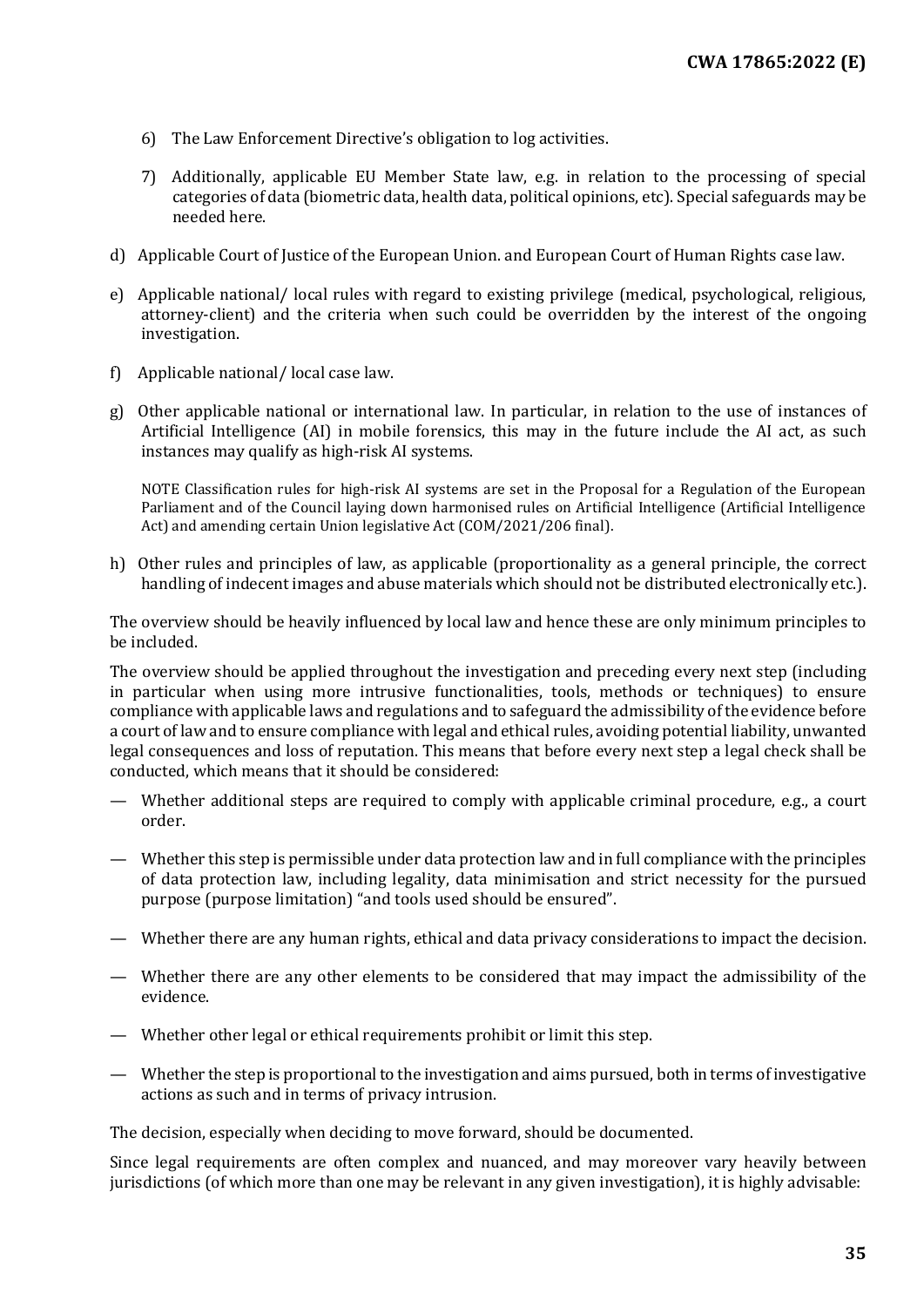- 6) The Law Enforcement Directive's obligation to log activities.
- 7) Additionally, applicable EU Member State law, e.g. in relation to the processing of special categories of data (biometric data, health data, political opinions, etc). Special safeguards may be needed here.
- d) Applicable Court of Justice of the European Union. and European Court of Human Rights case law.
- e) Applicable national/ local rules with regard to existing privilege (medical, psychological, religious, attorney-client) and the criteria when such could be overridden by the interest of the ongoing investigation.
- f) Applicable national/ local case law.
- g) Other applicable national or international law. In particular, in relation to the use of instances of Artificial Intelligence (AI) in mobile forensics, this may in the future include the AI act, as such instances may qualify as high-risk AI systems.

NOTE Classification rules for high-risk AI systems are set in the Proposal for a Regulation of the European Parliament and of the Council laying down harmonised rules on Artificial Intelligence (Artificial Intelligence Act) and amending certain Union legislative Act (COM/2021/206 final).

h) Other rules and principles of law, as applicable (proportionality as a general principle, the correct handling of indecent images and abuse materials which should not be distributed electronically etc.).

The overview should be heavily influenced by local law and hence these are only minimum principles to be included.

The overview should be applied throughout the investigation and preceding every next step (including in particular when using more intrusive functionalities, tools, methods or techniques) to ensure compliance with applicable laws and regulations and to safeguard the admissibility of the evidence before a court of law and to ensure compliance with legal and ethical rules, avoiding potential liability, unwanted legal consequences and loss of reputation. This means that before every next step a legal check shall be conducted, which means that it should be considered:

- Whether additional steps are required to comply with applicable criminal procedure, e.g., a court order.
- Whether this step is permissible under data protection law and in full compliance with the principles of data protection law, including legality, data minimisation and strict necessity for the pursued purpose (purpose limitation) "and tools used should be ensured".
- Whether there are any human rights, ethical and data privacy considerations to impact the decision.
- Whether there are any other elements to be considered that may impact the admissibility of the evidence.
- Whether other legal or ethical requirements prohibit or limit this step.
- Whether the step is proportional to the investigation and aims pursued, both in terms of investigative actions as such and in terms of privacy intrusion.

The decision, especially when deciding to move forward, should be documented.

Since legal requirements are often complex and nuanced, and may moreover vary heavily between jurisdictions (of which more than one may be relevant in any given investigation), it is highly advisable: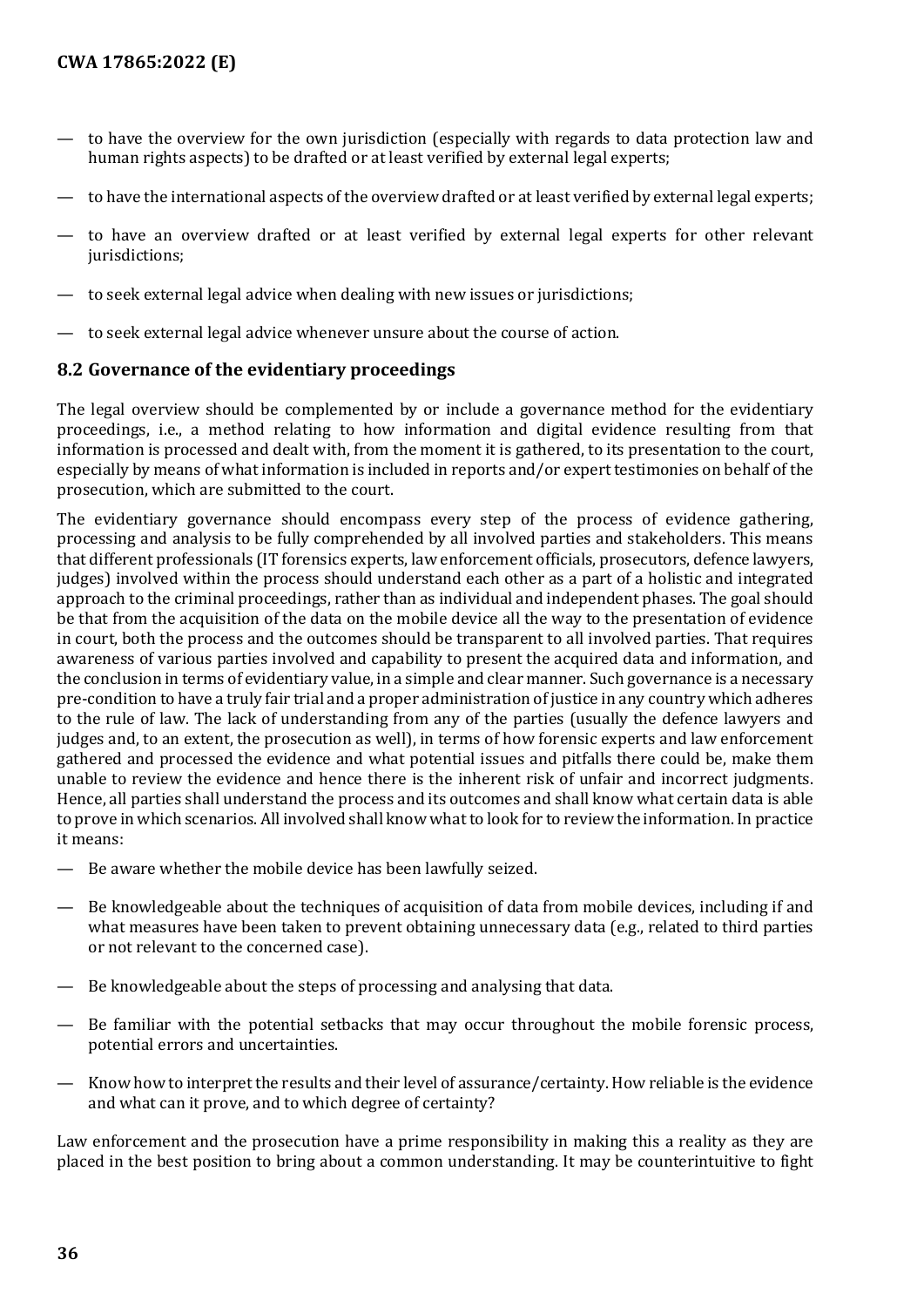- to have the overview for the own jurisdiction (especially with regards to data protection law and human rights aspects) to be drafted or at least verified by external legal experts;
- to have the international aspects of the overview drafted or at least verified by external legal experts;
- to have an overview drafted or at least verified by external legal experts for other relevant jurisdictions:
- to seek external legal advice when dealing with new issues or jurisdictions;
- to seek external legal advice whenever unsure about the course of action.

#### <span id="page-35-0"></span>**8.2 Governance of the evidentiary proceedings**

The legal overview should be complemented by or include a governance method for the evidentiary proceedings, i.e., a method relating to how information and digital evidence resulting from that information is processed and dealt with, from the moment it is gathered, to its presentation to the court, especially by means of what information is included in reports and/or expert testimonies on behalf of the prosecution, which are submitted to the court.

The evidentiary governance should encompass every step of the process of evidence gathering, processing and analysis to be fully comprehended by all involved parties and stakeholders. This means that different professionals (IT forensics experts, law enforcement officials, prosecutors, defence lawyers, judges) involved within the process should understand each other as a part of a holistic and integrated approach to the criminal proceedings, rather than as individual and independent phases. The goal should be that from the acquisition of the data on the mobile device all the way to the presentation of evidence in court, both the process and the outcomes should be transparent to all involved parties. That requires awareness of various parties involved and capability to present the acquired data and information, and the conclusion in terms of evidentiary value, in a simple and clear manner. Such governance is a necessary pre-condition to have a truly fair trial and a proper administration of justice in any country which adheres to the rule of law. The lack of understanding from any of the parties (usually the defence lawyers and judges and, to an extent, the prosecution as well), in terms of how forensic experts and law enforcement gathered and processed the evidence and what potential issues and pitfalls there could be, make them unable to review the evidence and hence there is the inherent risk of unfair and incorrect judgments. Hence, all parties shall understand the process and its outcomes and shall know what certain data is able to prove in which scenarios. All involved shall know what to look for to review the information. In practice it means:

- Be aware whether the mobile device has been lawfully seized.
- Be knowledgeable about the techniques of acquisition of data from mobile devices, including if and what measures have been taken to prevent obtaining unnecessary data (e.g., related to third parties or not relevant to the concerned case).
- Be knowledgeable about the steps of processing and analysing that data.
- Be familiar with the potential setbacks that may occur throughout the mobile forensic process, potential errors and uncertainties.
- Know how to interpret the results and their level of assurance/certainty. How reliable is the evidence and what can it prove, and to which degree of certainty?

Law enforcement and the prosecution have a prime responsibility in making this a reality as they are placed in the best position to bring about a common understanding. It may be counterintuitive to fight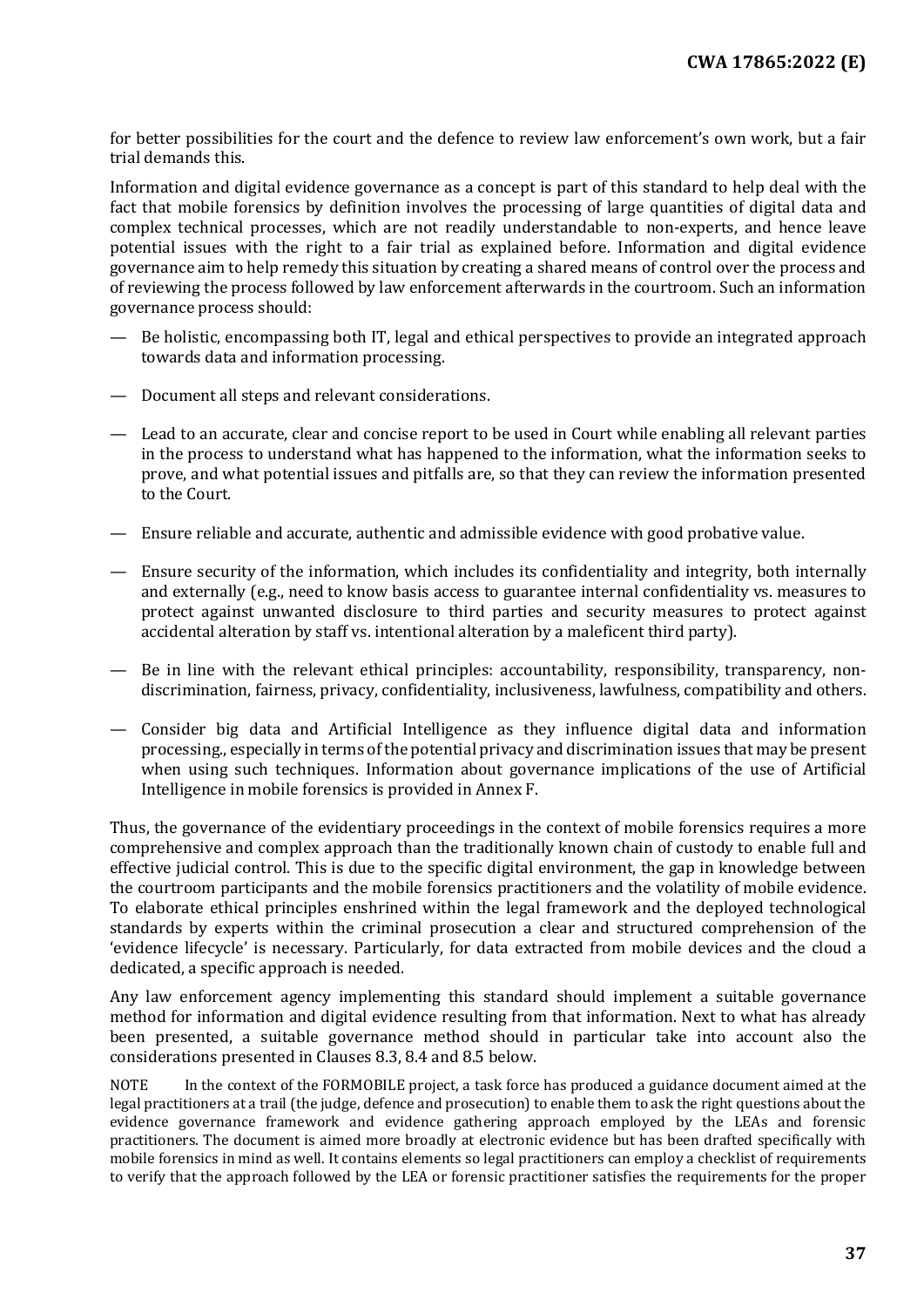for better possibilities for the court and the defence to review law enforcement's own work, but a fair trial demands this.

Information and digital evidence governance as a concept is part of this standard to help deal with the fact that mobile forensics by definition involves the processing of large quantities of digital data and complex technical processes, which are not readily understandable to non-experts, and hence leave potential issues with the right to a fair trial as explained before. Information and digital evidence governance aim to help remedy this situation by creating a shared means of control over the process and of reviewing the process followed by law enforcement afterwards in the courtroom. Such an information governance process should:

- Be holistic, encompassing both IT, legal and ethical perspectives to provide an integrated approach towards data and information processing.
- Document all steps and relevant considerations.
- Lead to an accurate, clear and concise report to be used in Court while enabling all relevant parties in the process to understand what has happened to the information, what the information seeks to prove, and what potential issues and pitfalls are, so that they can review the information presented to the Court.
- Ensure reliable and accurate, authentic and admissible evidence with good probative value.
- Ensure security of the information, which includes its confidentiality and integrity, both internally and externally (e.g., need to know basis access to guarantee internal confidentiality vs. measures to protect against unwanted disclosure to third parties and security measures to protect against accidental alteration by staff vs. intentional alteration by a maleficent third party).
- Be in line with the relevant ethical principles: accountability, responsibility, transparency, nondiscrimination, fairness, privacy, confidentiality, inclusiveness, lawfulness, compatibility and others.
- Consider big data and Artificial Intelligence as they influence digital data and information processing., especially in terms of the potential privacy and discrimination issues that may be present when using such techniques. Information about governance implications of the use of Artificial Intelligence in mobile forensics is provided in Annex F.

Thus, the governance of the evidentiary proceedings in the context of mobile forensics requires a more comprehensive and complex approach than the traditionally known chain of custody to enable full and effective judicial control. This is due to the specific digital environment, the gap in knowledge between the courtroom participants and the mobile forensics practitioners and the volatility of mobile evidence. To elaborate ethical principles enshrined within the legal framework and the deployed technological standards by experts within the criminal prosecution a clear and structured comprehension of the 'evidence lifecycle' is necessary. Particularly, for data extracted from mobile devices and the cloud a dedicated, a specific approach is needed.

Any law enforcement agency implementing this standard should implement a suitable governance method for information and digital evidence resulting from that information. Next to what has already been presented, a suitable governance method should in particular take into account also the considerations presented in Clauses 8.3, 8.4 and 8.5 below.

NOTE In the context of the FORMOBILE project, a task force has produced a guidance document aimed at the legal practitioners at a trail (the judge, defence and prosecution) to enable them to ask the right questions about the evidence governance framework and evidence gathering approach employed by the LEAs and forensic practitioners. The document is aimed more broadly at electronic evidence but has been drafted specifically with mobile forensics in mind as well. It contains elements so legal practitioners can employ a checklist of requirements to verify that the approach followed by the LEA or forensic practitioner satisfies the requirements for the proper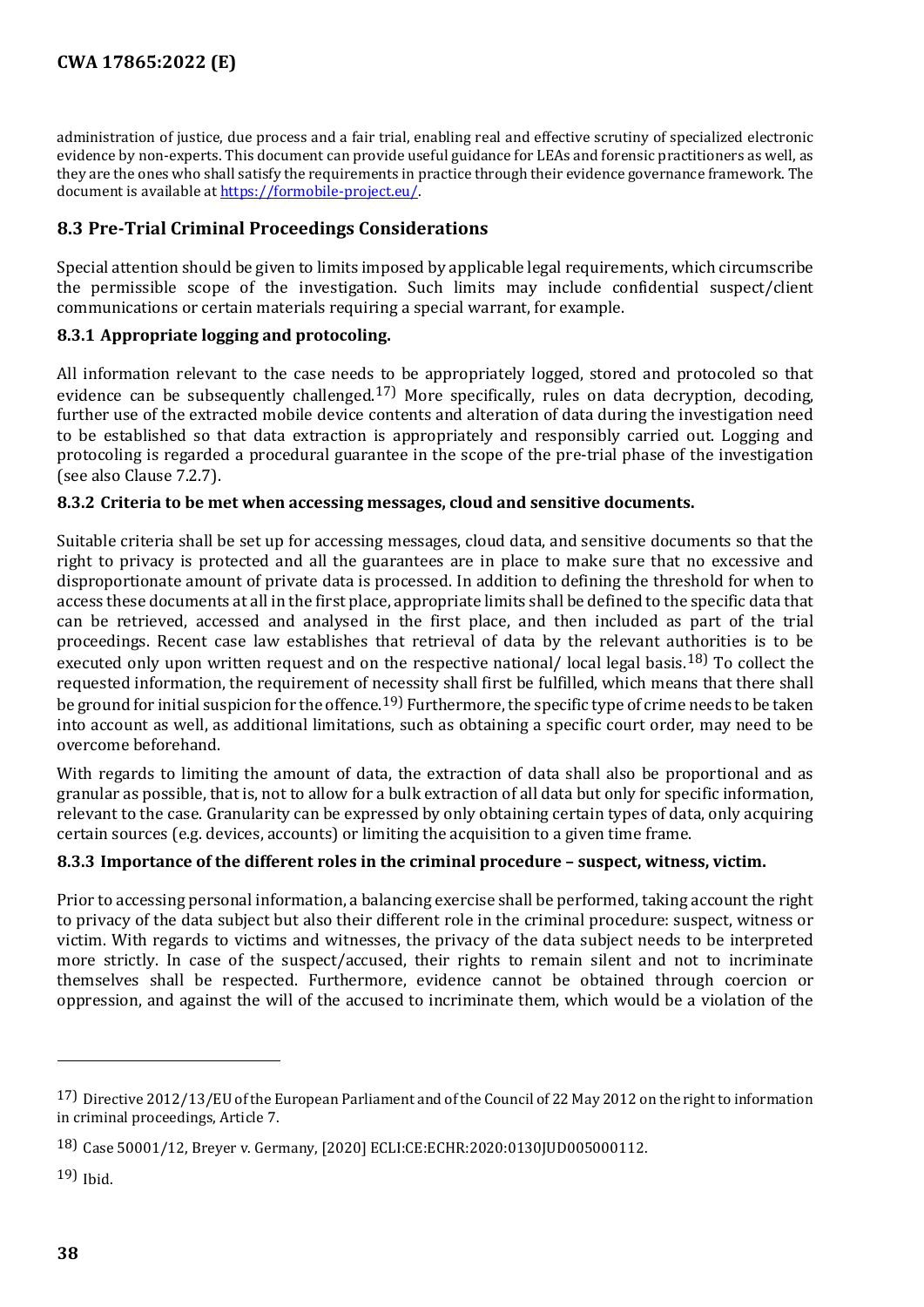administration of justice, due process and a fair trial, enabling real and effective scrutiny of specialized electronic evidence by non-experts. This document can provide useful guidance for LEAs and forensic practitioners as well, as they are the ones who shall satisfy the requirements in practice through their evidence governance framework. The document is available at [https://formobile-project.eu/.](https://formobile-project.eu/)

#### <span id="page-37-0"></span>**8.3 Pre-Trial Criminal Proceedings Considerations**

Special attention should be given to limits imposed by applicable legal requirements, which circumscribe the permissible scope of the investigation. Such limits may include confidential suspect/client communications or certain materials requiring a special warrant, for example.

#### <span id="page-37-1"></span>**8.3.1 Appropriate logging and protocoling.**

All information relevant to the case needs to be appropriately logged, stored and protocoled so that evidence can be subsequently challenged.<sup>[17](#page-37-4))</sup> More specifically, rules on data decryption, decoding, further use of the extracted mobile device contents and alteration of data during the investigation need to be established so that data extraction is appropriately and responsibly carried out. Logging and protocoling is regarded a procedural guarantee in the scope of the pre-trial phase of the investigation (see also Clause 7.2.7).

#### <span id="page-37-2"></span>**8.3.2 Criteria to be met when accessing messages, cloud and sensitive documents.**

Suitable criteria shall be set up for accessing messages, cloud data, and sensitive documents so that the right to privacy is protected and all the guarantees are in place to make sure that no excessive and disproportionate amount of private data is processed. In addition to defining the threshold for when to access these documents at all in the first place, appropriate limits shall be defined to the specific data that can be retrieved, accessed and analysed in the first place, and then included as part of the trial proceedings. Recent case law establishes that retrieval of data by the relevant authorities is to be executed only upon written request and on the respective national/ local legal basis.<sup>[18](#page-37-5))</sup> To collect the requested information, the requirement of necessity shall first be fulfilled, which means that there shall be ground for initial suspicion for the offence.[19\)](#page-37-6) Furthermore, the specific type of crime needs to be taken into account as well, as additional limitations, such as obtaining a specific court order, may need to be overcome beforehand.

With regards to limiting the amount of data, the extraction of data shall also be proportional and as granular as possible, that is, not to allow for a bulk extraction of all data but only for specific information, relevant to the case. Granularity can be expressed by only obtaining certain types of data, only acquiring certain sources (e.g. devices, accounts) or limiting the acquisition to a given time frame.

#### <span id="page-37-3"></span>**8.3.3 Importance of the different roles in the criminal procedure – suspect, witness, victim.**

Prior to accessing personal information, a balancing exercise shall be performed, taking account the right to privacy of the data subject but also their different role in the criminal procedure: suspect, witness or victim. With regards to victims and witnesses, the privacy of the data subject needs to be interpreted more strictly. In case of the suspect/accused, their rights to remain silent and not to incriminate themselves shall be respected. Furthermore, evidence cannot be obtained through coercion or oppression, and against the will of the accused to incriminate them, which would be a violation of the

j

<span id="page-37-4"></span><sup>17)</sup> Directive 2012/13/EU of the European Parliament and of the Council of 22 May 2012 on the right to information in criminal proceedings, Article 7.

<span id="page-37-5"></span><sup>18)</sup> Case 50001/12, Breyer v. Germany, [2020] ECLI:CE:ECHR:2020:0130JUD005000112.

<span id="page-37-6"></span><sup>19)</sup> Ibid.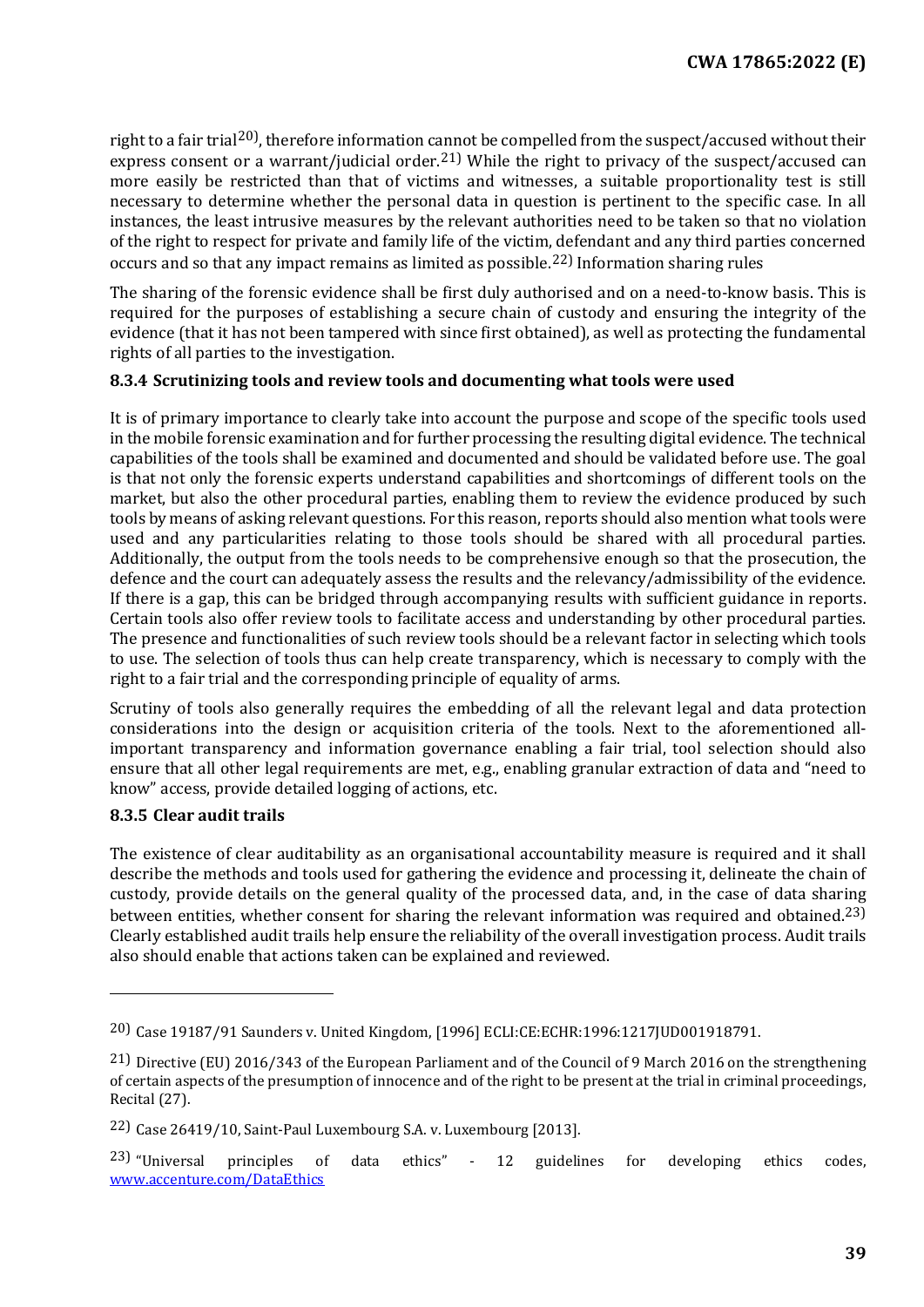right to a fair trial<sup>[20](#page-38-2)</sup>, therefore information cannot be compelled from the suspect/accused without their express consent or a warrant/judicial order.<sup>[21](#page-38-3))</sup> While the right to privacy of the suspect/accused can more easily be restricted than that of victims and witnesses, a suitable proportionality test is still necessary to determine whether the personal data in question is pertinent to the specific case. In all instances, the least intrusive measures by the relevant authorities need to be taken so that no violation of the right to respect for private and family life of the victim, defendant and any third parties concerned occurs and so that any impact remains as limited as possible.[22\)](#page-38-4) Information sharing rules

The sharing of the forensic evidence shall be first duly authorised and on a need-to-know basis. This is required for the purposes of establishing a secure chain of custody and ensuring the integrity of the evidence (that it has not been tampered with since first obtained), as well as protecting the fundamental rights of all parties to the investigation.

#### <span id="page-38-0"></span>**8.3.4 Scrutinizing tools and review tools and documenting what tools were used**

It is of primary importance to clearly take into account the purpose and scope of the specific tools used in the mobile forensic examination and for further processing the resulting digital evidence. The technical capabilities of the tools shall be examined and documented and should be validated before use. The goal is that not only the forensic experts understand capabilities and shortcomings of different tools on the market, but also the other procedural parties, enabling them to review the evidence produced by such tools by means of asking relevant questions. For this reason, reports should also mention what tools were used and any particularities relating to those tools should be shared with all procedural parties. Additionally, the output from the tools needs to be comprehensive enough so that the prosecution, the defence and the court can adequately assess the results and the relevancy/admissibility of the evidence. If there is a gap, this can be bridged through accompanying results with sufficient guidance in reports. Certain tools also offer review tools to facilitate access and understanding by other procedural parties. The presence and functionalities of such review tools should be a relevant factor in selecting which tools to use. The selection of tools thus can help create transparency, which is necessary to comply with the right to a fair trial and the corresponding principle of equality of arms.

Scrutiny of tools also generally requires the embedding of all the relevant legal and data protection considerations into the design or acquisition criteria of the tools. Next to the aforementioned allimportant transparency and information governance enabling a fair trial, tool selection should also ensure that all other legal requirements are met, e.g., enabling granular extraction of data and "need to know" access, provide detailed logging of actions, etc.

#### <span id="page-38-1"></span>**8.3.5 Clear audit trails**

I

The existence of clear auditability as an organisational accountability measure is required and it shall describe the methods and tools used for gathering the evidence and processing it, delineate the chain of custody, provide details on the general quality of the processed data, and, in the case of data sharing between entities, whether consent for sharing the relevant information was required and obtained.<sup>[23](#page-38-5))</sup> Clearly established audit trails help ensure the reliability of the overall investigation process. Audit trails also should enable that actions taken can be explained and reviewed.

<span id="page-38-2"></span><sup>20)</sup> Case 19187/91 Saunders v. United Kingdom, [1996] ECLI:CE:ECHR:1996:1217JUD001918791.

<span id="page-38-3"></span><sup>21)</sup> Directive (EU) 2016/343 of the European Parliament and of the Council of 9 March 2016 on the strengthening of certain aspects of the presumption of innocence and of the right to be present at the trial in criminal proceedings, Recital (27).

<span id="page-38-4"></span><sup>22)</sup> Case 26419/10, Saint-Paul Luxembourg S.A. v. Luxembourg [2013].

<span id="page-38-5"></span><sup>23)</sup> "Universal principles of data ethics" - 12 guidelines for developing ethics codes, [www.accenture.com/DataEthics](https://www.accenture.com/DataEthics)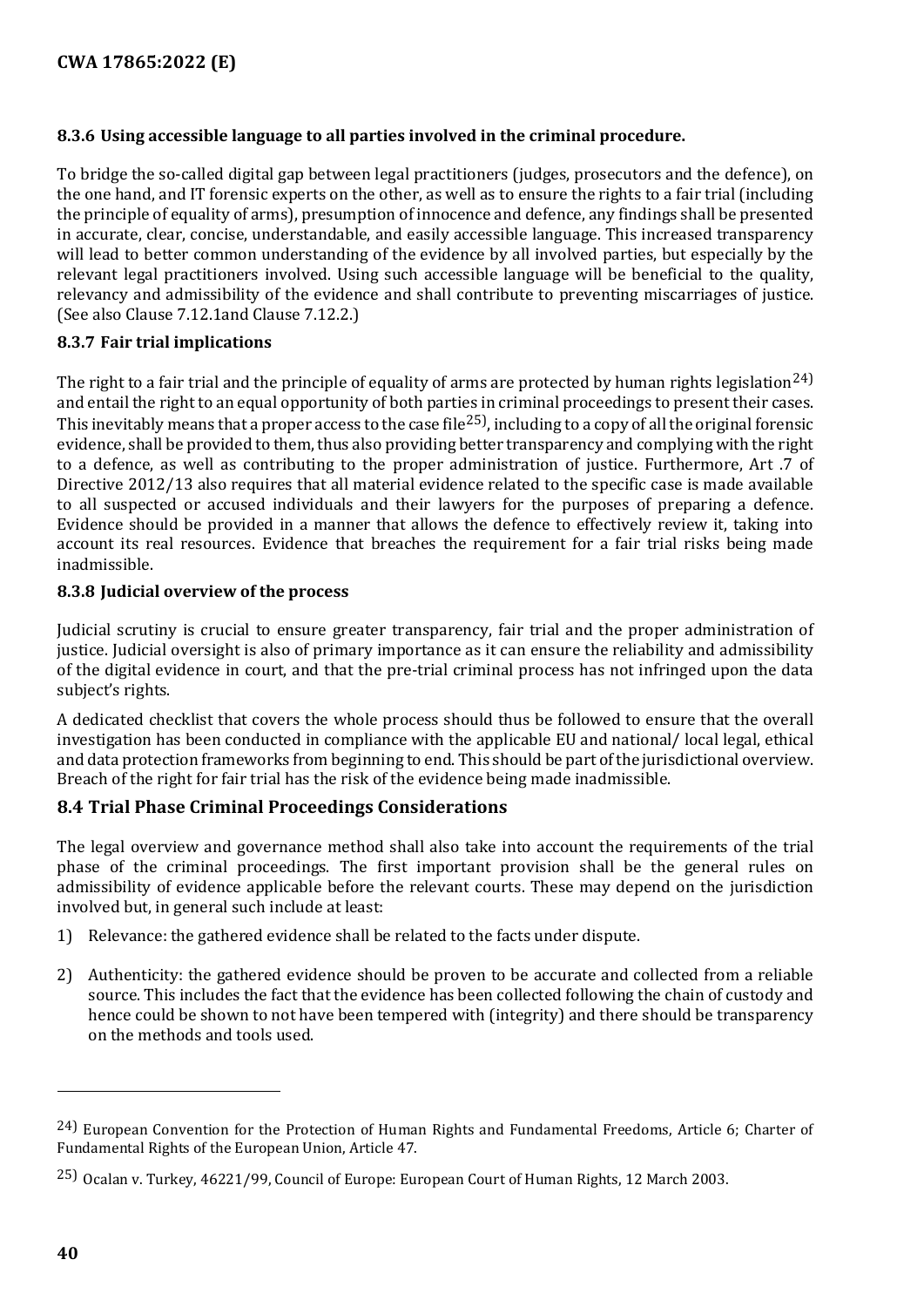#### <span id="page-39-0"></span>**8.3.6 Using accessible language to all parties involved in the criminal procedure.**

To bridge the so-called digital gap between legal practitioners (judges, prosecutors and the defence), on the one hand, and IT forensic experts on the other, as well as to ensure the rights to a fair trial (including the principle of equality of arms), presumption of innocence and defence, any findings shall be presented in accurate, clear, concise, understandable, and easily accessible language. This increased transparency will lead to better common understanding of the evidence by all involved parties, but especially by the relevant legal practitioners involved. Using such accessible language will be beneficial to the quality, relevancy and admissibility of the evidence and shall contribute to preventing miscarriages of justice. (See also Clause 7.12.1and Clause 7.12.2.)

#### <span id="page-39-1"></span>**8.3.7 Fair trial implications**

The right to a fair trial and the principle of equality of arms are protected by human rights legislation<sup>[24](#page-39-4))</sup> and entail the right to an equal opportunity of both parties in criminal proceedings to present their cases. This inevitably means that a proper access to the case file  $^{25}$ ), including to a copy of all the original forensic evidence, shall be provided to them, thus also providing better transparency and complying with the right to a defence, as well as contributing to the proper administration of justice. Furthermore, Art .7 of Directive 2012/13 also requires that all material evidence related to the specific case is made available to all suspected or accused individuals and their lawyers for the purposes of preparing a defence. Evidence should be provided in a manner that allows the defence to effectively review it, taking into account its real resources. Evidence that breaches the requirement for a fair trial risks being made inadmissible.

#### <span id="page-39-2"></span>**8.3.8 Judicial overview of the process**

Judicial scrutiny is crucial to ensure greater transparency, fair trial and the proper administration of justice. Judicial oversight is also of primary importance as it can ensure the reliability and admissibility of the digital evidence in court, and that the pre-trial criminal process has not infringed upon the data subject's rights.

A dedicated checklist that covers the whole process should thus be followed to ensure that the overall investigation has been conducted in compliance with the applicable EU and national/ local legal, ethical and data protection frameworks from beginning to end. This should be part of the jurisdictional overview. Breach of the right for fair trial has the risk of the evidence being made inadmissible.

#### <span id="page-39-3"></span>**8.4 Trial Phase Criminal Proceedings Considerations**

The legal overview and governance method shall also take into account the requirements of the trial phase of the criminal proceedings. The first important provision shall be the general rules on admissibility of evidence applicable before the relevant courts. These may depend on the jurisdiction involved but, in general such include at least:

- 1) Relevance: the gathered evidence shall be related to the facts under dispute.
- 2) Authenticity: the gathered evidence should be proven to be accurate and collected from a reliable source. This includes the fact that the evidence has been collected following the chain of custody and hence could be shown to not have been tempered with (integrity) and there should be transparency on the methods and tools used.

j

<span id="page-39-4"></span><sup>24)</sup> European Convention for the Protection of Human Rights and Fundamental Freedoms, Article 6; Charter of Fundamental Rights of the European Union, Article 47.

<span id="page-39-5"></span><sup>25)</sup> Ocalan v. Turkey, 46221/99, Council of Europe: European Court of Human Rights, 12 March 2003.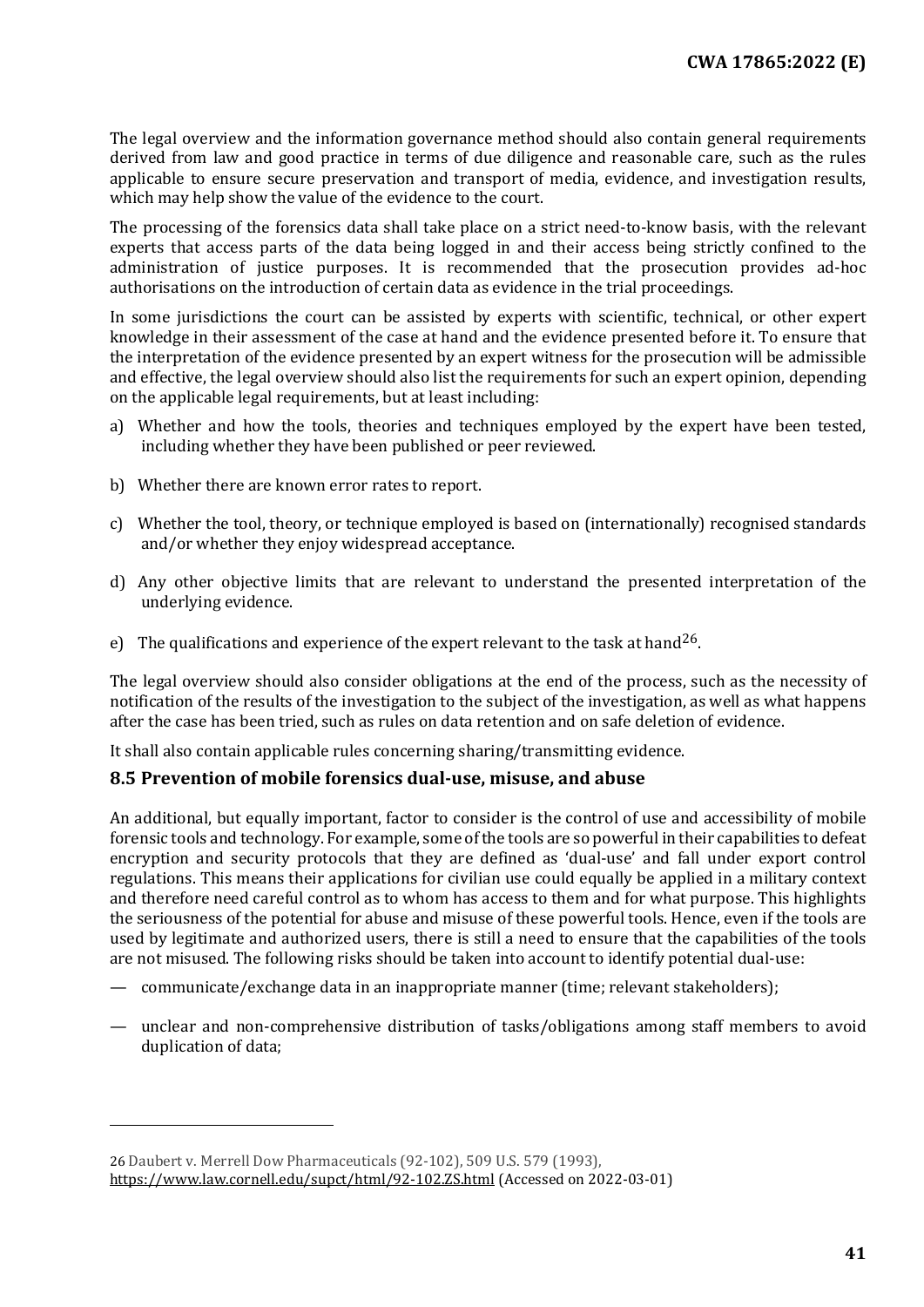The legal overview and the information governance method should also contain general requirements derived from law and good practice in terms of due diligence and reasonable care, such as the rules applicable to ensure secure preservation and transport of media, evidence, and investigation results, which may help show the value of the evidence to the court.

The processing of the forensics data shall take place on a strict need-to-know basis, with the relevant experts that access parts of the data being logged in and their access being strictly confined to the administration of justice purposes. It is recommended that the prosecution provides ad-hoc authorisations on the introduction of certain data as evidence in the trial proceedings.

In some jurisdictions the court can be assisted by experts with scientific, technical, or other expert knowledge in their assessment of the case at hand and the evidence presented before it. To ensure that the interpretation of the evidence presented by an expert witness for the prosecution will be admissible and effective, the legal overview should also list the requirements for such an expert opinion, depending on the applicable legal requirements, but at least including:

- a) Whether and how the tools, theories and techniques employed by the expert have been tested, including whether they have been published or peer reviewed.
- b) Whether there are known error rates to report.
- c) Whether the tool, theory, or technique employed is based on (internationally) recognised standards and/or whether they enjoy widespread acceptance.
- d) Any other objective limits that are relevant to understand the presented interpretation of the underlying evidence.
- e) The qualifications and experience of the expert relevant to the task at hand<sup>[26](#page-40-1)</sup>.

The legal overview should also consider obligations at the end of the process, such as the necessity of notification of the results of the investigation to the subject of the investigation, as well as what happens after the case has been tried, such as rules on data retention and on safe deletion of evidence.

It shall also contain applicable rules concerning sharing/transmitting evidence.

#### <span id="page-40-0"></span>**8.5 Prevention of mobile forensics dual-use, misuse, and abuse**

An additional, but equally important, factor to consider is the control of use and accessibility of mobile forensic tools and technology. For example, some of the tools are so powerful in their capabilities to defeat encryption and security protocols that they are defined as 'dual-use' and fall under export control regulations. This means their applications for civilian use could equally be applied in a military context and therefore need careful control as to whom has access to them and for what purpose. This highlights the seriousness of the potential for abuse and misuse of these powerful tools. Hence, even if the tools are used by legitimate and authorized users, there is still a need to ensure that the capabilities of the tools are not misused. The following risks should be taken into account to identify potential dual-use:

- communicate/exchange data in an inappropriate manner (time; relevant stakeholders);
- unclear and non-comprehensive distribution of tasks/obligations among staff members to avoid duplication of data;

I

<span id="page-40-1"></span><sup>26</sup> Daubert v. Merrell Dow Pharmaceuticals (92-102), 509 U.S. 579 (1993), https://www.law.cornell.edu/supct/html/92-102.ZS.html (Accessed on 2022-03-01)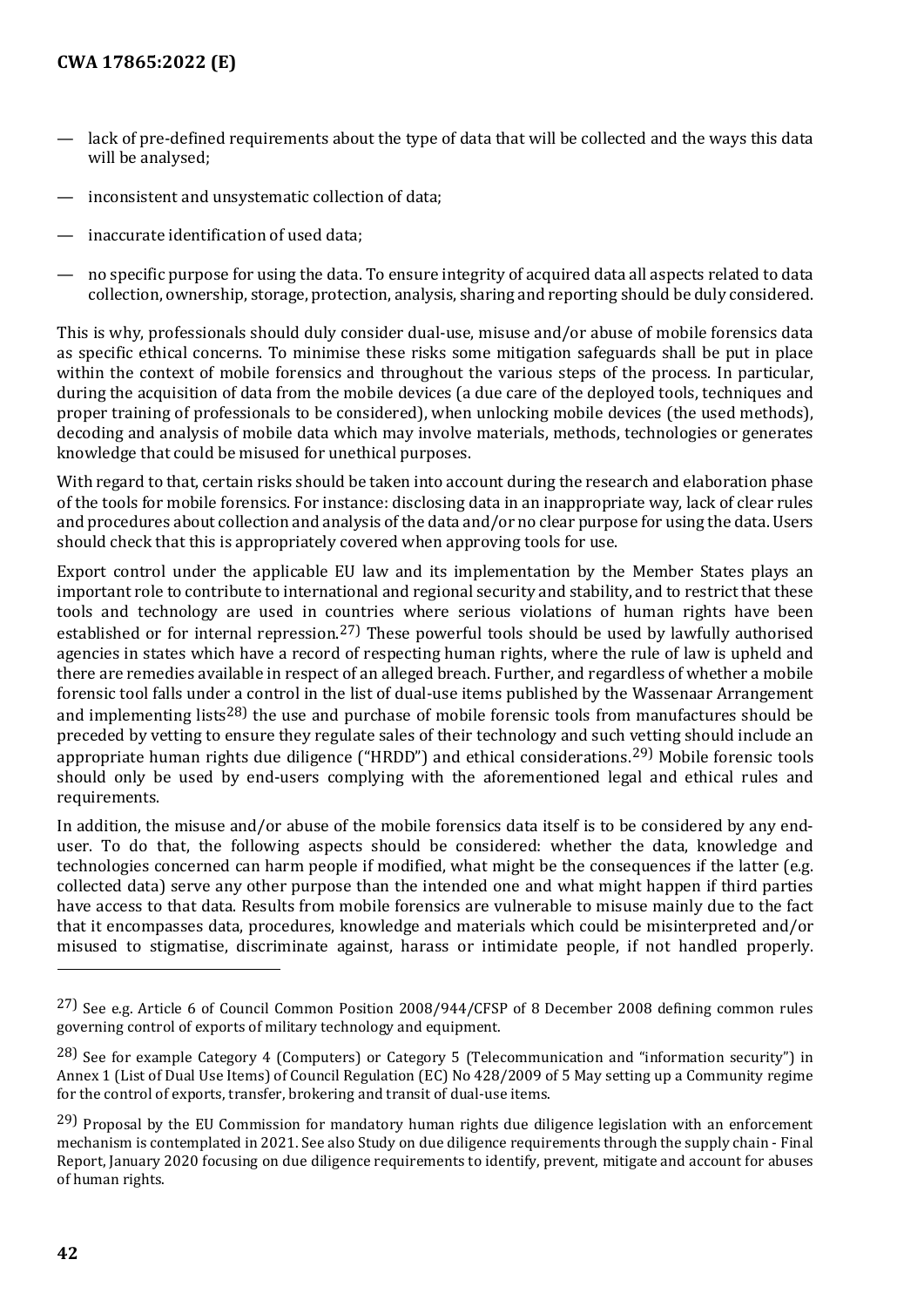- lack of pre-defined requirements about the type of data that will be collected and the ways this data will be analysed;
- inconsistent and unsystematic collection of data;
- inaccurate identification of used data:
- no specific purpose for using the data. To ensure integrity of acquired data all aspects related to data collection, ownership, storage, protection, analysis, sharing and reporting should be duly considered.

This is why, professionals should duly consider dual-use, misuse and/or abuse of mobile forensics data as specific ethical concerns. To minimise these risks some mitigation safeguards shall be put in place within the context of mobile forensics and throughout the various steps of the process. In particular, during the acquisition of data from the mobile devices (a due care of the deployed tools, techniques and proper training of professionals to be considered), when unlocking mobile devices (the used methods), decoding and analysis of mobile data which may involve materials, methods, technologies or generates knowledge that could be misused for unethical purposes.

With regard to that, certain risks should be taken into account during the research and elaboration phase of the tools for mobile forensics. For instance: disclosing data in an inappropriate way, lack of clear rules and procedures about collection and analysis of the data and/or no clear purpose for using the data. Users should check that this is appropriately covered when approving tools for use.

Export control under the applicable EU law and its implementation by the Member States plays an important role to contribute to international and regional security and stability, and to restrict that these tools and technology are used in countries where serious violations of human rights have been established or for internal repression.<sup>[27](#page-41-0))</sup> These powerful tools should be used by lawfully authorised agencies in states which have a record of respecting human rights, where the rule of law is upheld and there are remedies available in respect of an alleged breach. Further, and regardless of whether a mobile forensic tool falls under a control in the list of dual-use items published by the Wassenaar Arrangement and implementing lists<sup>[28](#page-41-1))</sup> the use and purchase of mobile forensic tools from manufactures should be preceded by vetting to ensure they regulate sales of their technology and such vetting should include an appropriate human rights due diligence ("HRDD") and ethical considerations.[29\)](#page-41-2) Mobile forensic tools should only be used by end-users complying with the aforementioned legal and ethical rules and requirements.

In addition, the misuse and/or abuse of the mobile forensics data itself is to be considered by any enduser. To do that, the following aspects should be considered: whether the data, knowledge and technologies concerned can harm people if modified, what might be the consequences if the latter (e.g. collected data) serve any other purpose than the intended one and what might happen if third parties have access to that data. Results from mobile forensics are vulnerable to misuse mainly due to the fact that it encompasses data, procedures, knowledge and materials which could be misinterpreted and/or misused to stigmatise, discriminate against, harass or intimidate people, if not handled properly.

j

<span id="page-41-0"></span><sup>27)</sup> See e.g. Article 6 of Council Common Position 2008/944/CFSP of 8 December 2008 defining common rules governing control of exports of military technology and equipment.

<span id="page-41-1"></span><sup>28)</sup> See for example Category 4 (Computers) or Category 5 (Telecommunication and "information security") in Annex 1 (List of Dual Use Items) of Council Regulation (EC) No 428/2009 of 5 May setting up a Community regime for the control of exports, transfer, brokering and transit of dual-use items.

<span id="page-41-2"></span><sup>29)</sup> Proposal by the EU Commission for mandatory human rights due diligence legislation with an enforcement mechanism is contemplated in 2021. See also Study on due diligence requirements through the supply chain - Final Report, January 2020 focusing on due diligence requirements to identify, prevent, mitigate and account for abuses of human rights.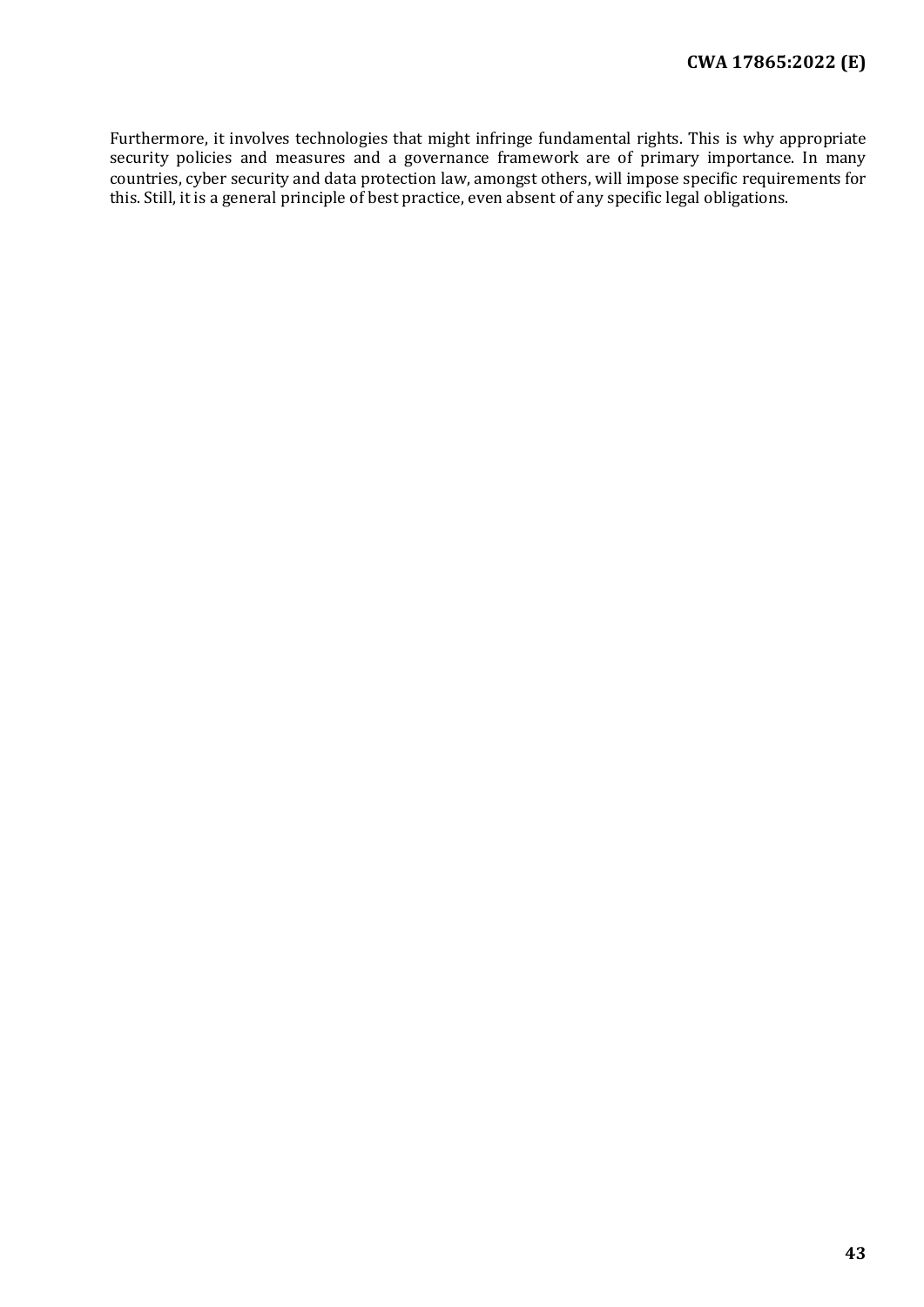Furthermore, it involves technologies that might infringe fundamental rights. This is why appropriate security policies and measures and a governance framework are of primary importance. In many countries, cyber security and data protection law, amongst others, will impose specific requirements for this. Still, it is a general principle of best practice, even absent of any specific legal obligations.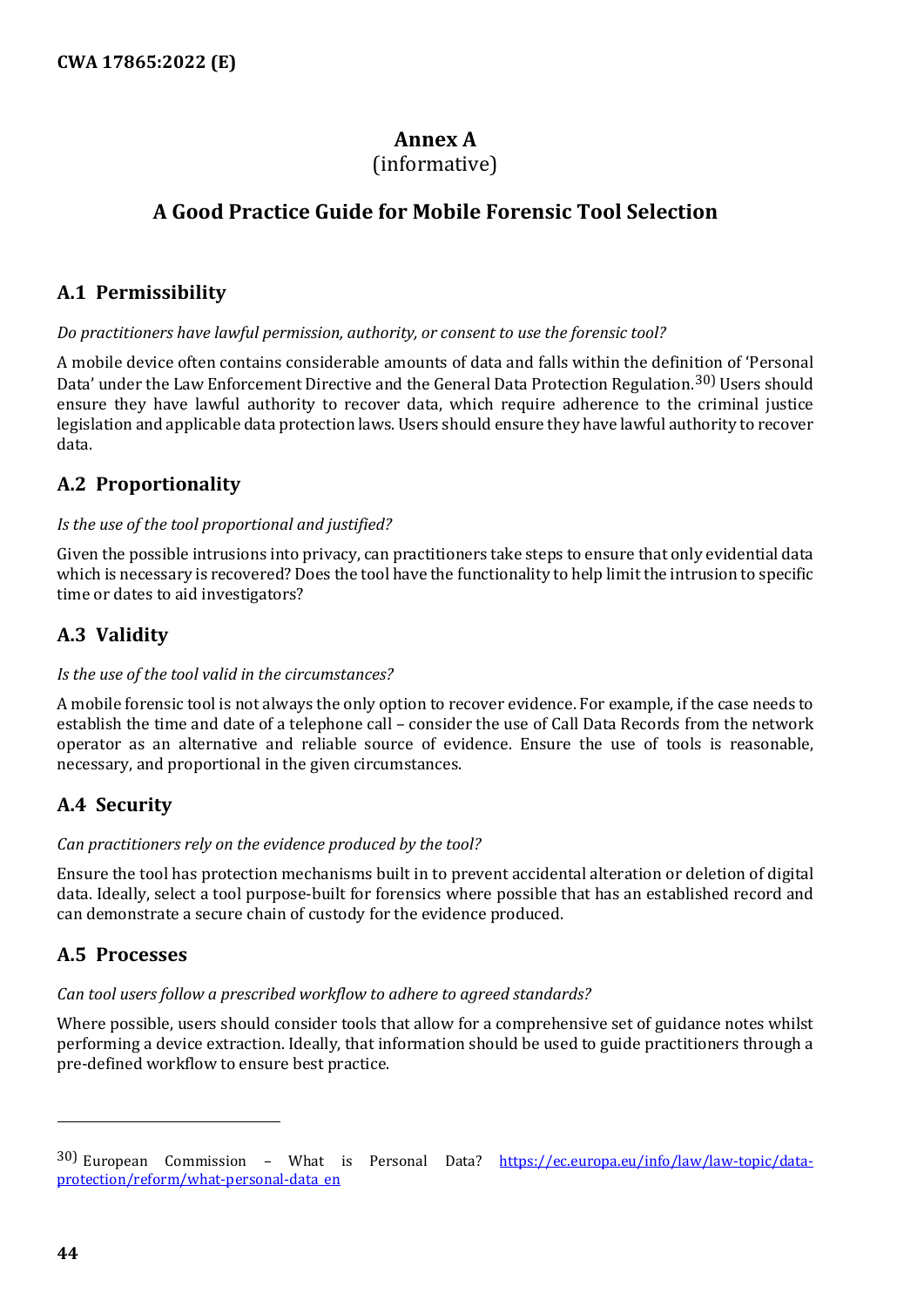## **Annex A**

### (informative)

## <span id="page-43-0"></span>**A Good Practice Guide for Mobile Forensic Tool Selection**

## <span id="page-43-1"></span>**A.1 Permissibility**

#### *Do practitioners have lawful permission, authority, or consent to use the forensic tool?*

A mobile device often contains considerable amounts of data and falls within the definition of 'Personal Data' under the Law Enforcement Directive and the General Data Protection Regulation.[30](#page-43-6)) Users should ensure they have lawful authority to recover data, which require adherence to the criminal justice legislation and applicable data protection laws. Users should ensure they have lawful authority to recover data.

## <span id="page-43-2"></span>**A.2 Proportionality**

#### *Is the use of the tool proportional and justified?*

Given the possible intrusions into privacy, can practitioners take steps to ensure that only evidential data which is necessary is recovered? Does the tool have the functionality to help limit the intrusion to specific time or dates to aid investigators?

## <span id="page-43-3"></span>**A.3 Validity**

#### *Is the use of the tool valid in the circumstances?*

A mobile forensic tool is not always the only option to recover evidence. For example, if the case needs to establish the time and date of a telephone call – consider the use of Call Data Records from the network operator as an alternative and reliable source of evidence. Ensure the use of tools is reasonable, necessary, and proportional in the given circumstances.

## <span id="page-43-4"></span>**A.4 Security**

#### *Can practitioners rely on the evidence produced by the tool?*

Ensure the tool has protection mechanisms built in to prevent accidental alteration or deletion of digital data. Ideally, select a tool purpose-built for forensics where possible that has an established record and can demonstrate a secure chain of custody for the evidence produced.

## <span id="page-43-5"></span>**A.5 Processes**

#### *Can tool users follow a prescribed workflow to adhere to agreed standards?*

Where possible, users should consider tools that allow for a comprehensive set of guidance notes whilst performing a device extraction. Ideally, that information should be used to guide practitioners through a pre-defined workflow to ensure best practice.

j

<span id="page-43-6"></span><sup>30)</sup> European Commission - What is Personal Data? [https://ec.europa.eu/info/law/law-topic/data](https://ec.europa.eu/info/law/law-topic/data-protection/reform/what-personal-data_en)[protection/reform/what-personal-data\\_en](https://ec.europa.eu/info/law/law-topic/data-protection/reform/what-personal-data_en)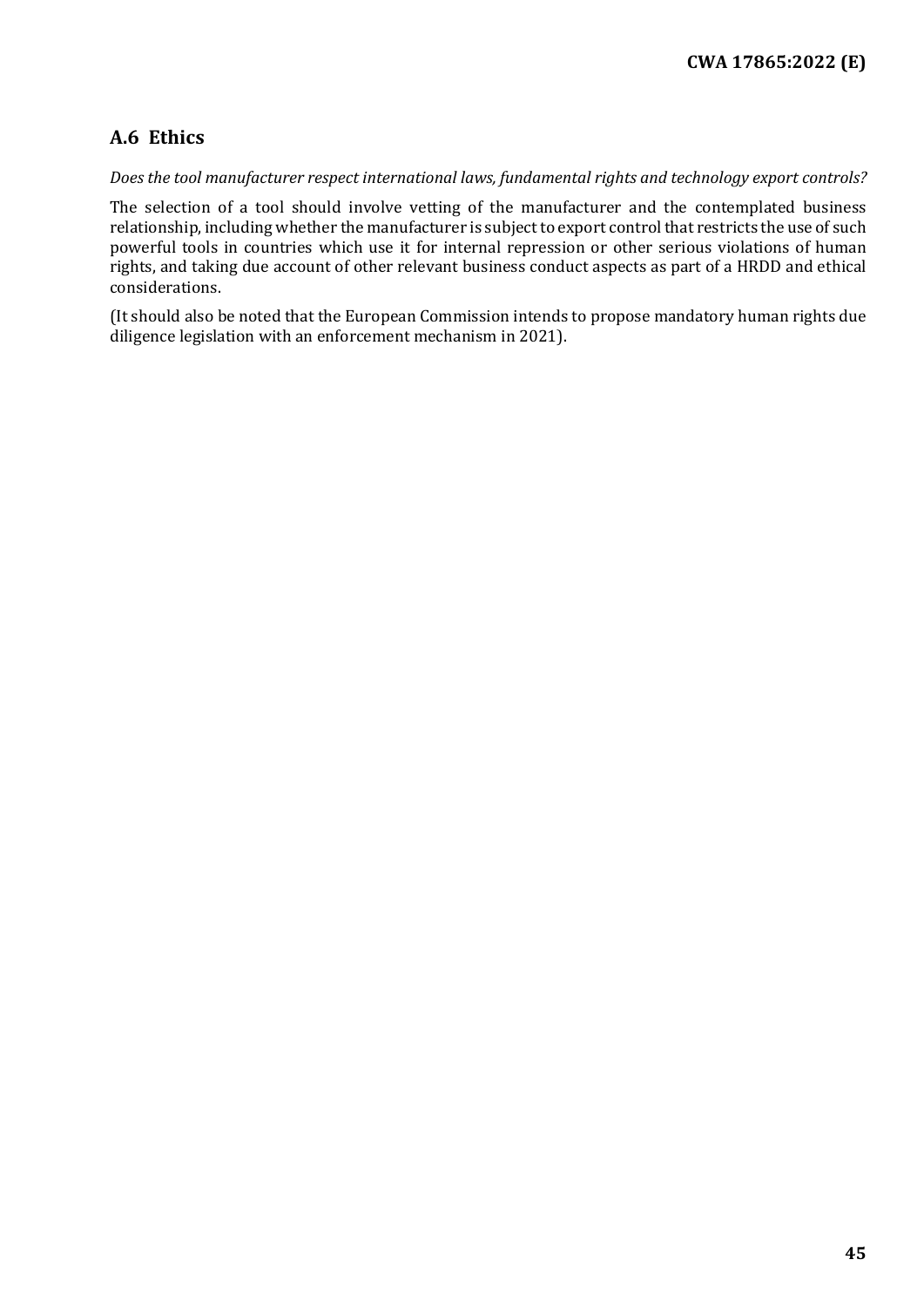## <span id="page-44-0"></span>**A.6 Ethics**

#### *Does the tool manufacturer respect international laws, fundamental rights and technology export controls?*

The selection of a tool should involve vetting of the manufacturer and the contemplated business relationship, including whether the manufacturer is subject to export control that restricts the use of such powerful tools in countries which use it for internal repression or other serious violations of human rights, and taking due account of other relevant business conduct aspects as part of a HRDD and ethical considerations.

(It should also be noted that the European Commission intends to propose mandatory human rights due diligence legislation with an enforcement mechanism in 2021).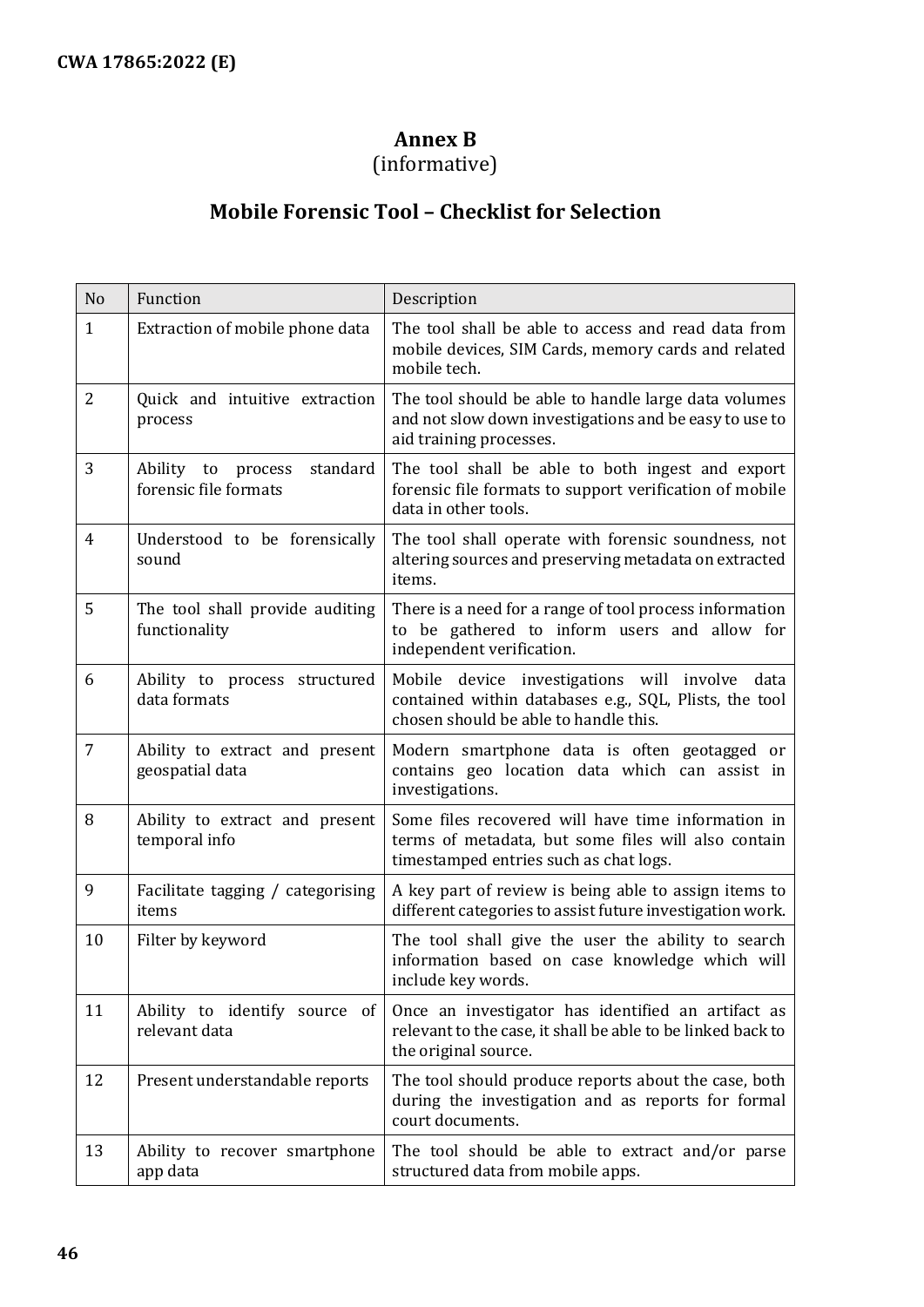## **Annex B**

## (informative)

## **Mobile Forensic Tool – Checklist for Selection**

<span id="page-45-0"></span>

| N <sub>o</sub> | Function                                                | Description                                                                                                                                          |  |
|----------------|---------------------------------------------------------|------------------------------------------------------------------------------------------------------------------------------------------------------|--|
| $\mathbf{1}$   | Extraction of mobile phone data                         | The tool shall be able to access and read data from<br>mobile devices, SIM Cards, memory cards and related<br>mobile tech.                           |  |
| $\overline{2}$ | Quick and intuitive extraction<br>process               | The tool should be able to handle large data volumes<br>and not slow down investigations and be easy to use to<br>aid training processes.            |  |
| 3              | standard<br>Ability to process<br>forensic file formats | The tool shall be able to both ingest and export<br>forensic file formats to support verification of mobile<br>data in other tools.                  |  |
| $\overline{4}$ | Understood to be forensically<br>sound                  | The tool shall operate with forensic soundness, not<br>altering sources and preserving metadata on extracted<br>items.                               |  |
| 5              | The tool shall provide auditing<br>functionality        | There is a need for a range of tool process information<br>to be gathered to inform users and allow for<br>independent verification.                 |  |
| 6              | Ability to process structured<br>data formats           | Mobile device investigations will involve<br>data<br>contained within databases e.g., SQL, Plists, the tool<br>chosen should be able to handle this. |  |
| $\overline{7}$ | Ability to extract and present<br>geospatial data       | Modern smartphone data is often geotagged or<br>contains geo location data which can assist in<br>investigations.                                    |  |
| 8              | Ability to extract and present<br>temporal info         | Some files recovered will have time information in<br>terms of metadata, but some files will also contain<br>timestamped entries such as chat logs.  |  |
| 9              | Facilitate tagging / categorising<br>items              | A key part of review is being able to assign items to<br>different categories to assist future investigation work.                                   |  |
| 10             | Filter by keyword                                       | The tool shall give the user the ability to search<br>information based on case knowledge which will<br>include key words.                           |  |
| 11             | Ability to identify source of<br>relevant data          | Once an investigator has identified an artifact as<br>relevant to the case, it shall be able to be linked back to<br>the original source.            |  |
| 12             | Present understandable reports                          | The tool should produce reports about the case, both<br>during the investigation and as reports for formal<br>court documents.                       |  |
| 13             | Ability to recover smartphone<br>app data               | The tool should be able to extract and/or parse<br>structured data from mobile apps.                                                                 |  |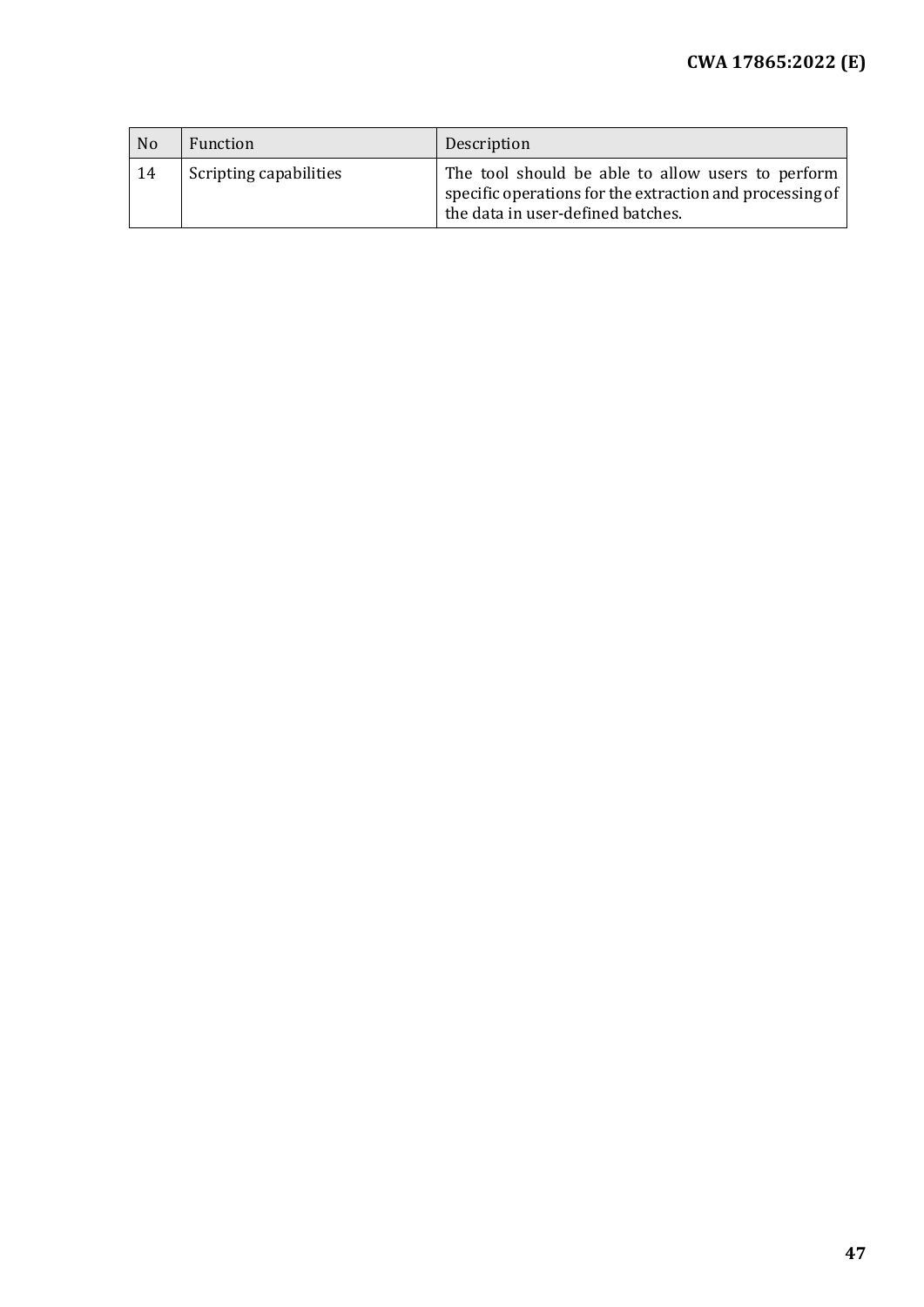| N <sub>o</sub> | Function               | Description                                                                                                                                        |
|----------------|------------------------|----------------------------------------------------------------------------------------------------------------------------------------------------|
| 14             | Scripting capabilities | The tool should be able to allow users to perform<br>specific operations for the extraction and processing of<br>the data in user-defined batches. |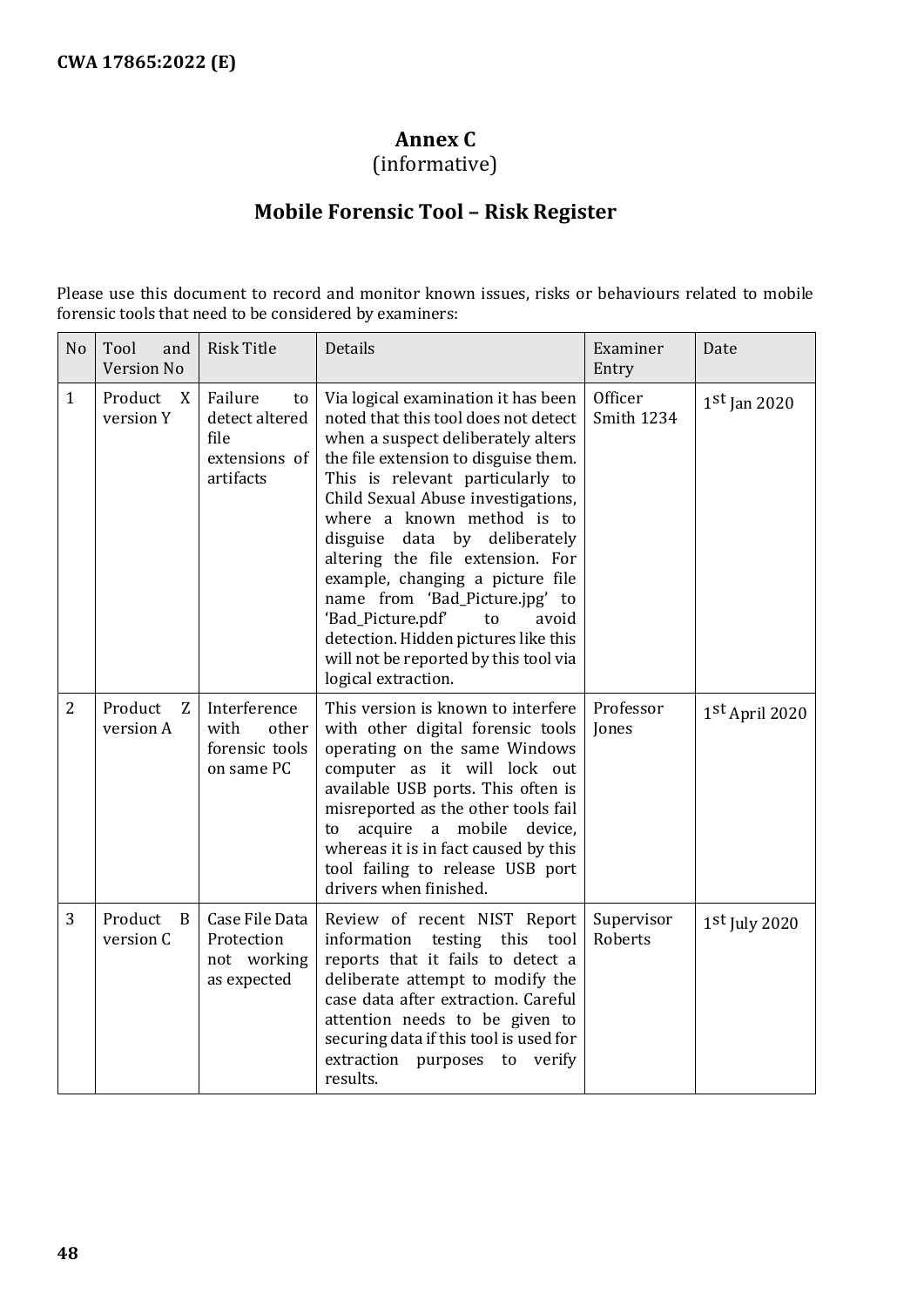## **Annex C**

(informative)

## **Mobile Forensic Tool – Risk Register**

<span id="page-47-0"></span>Please use this document to record and monitor known issues, risks or behaviours related to mobile forensic tools that need to be considered by examiners:

| N <sub>o</sub> | Tool<br>and<br><b>Version No</b> | <b>Risk Title</b>                                                     | Details                                                                                                                                                                                                                                                                                                                                                                                                                                                                                                                                                     | Examiner<br>Entry     | Date            |
|----------------|----------------------------------|-----------------------------------------------------------------------|-------------------------------------------------------------------------------------------------------------------------------------------------------------------------------------------------------------------------------------------------------------------------------------------------------------------------------------------------------------------------------------------------------------------------------------------------------------------------------------------------------------------------------------------------------------|-----------------------|-----------------|
| $\mathbf{1}$   | Product<br>X<br>version Y        | Failure<br>to<br>detect altered<br>file<br>extensions of<br>artifacts | Via logical examination it has been<br>noted that this tool does not detect<br>when a suspect deliberately alters<br>the file extension to disguise them.<br>This is relevant particularly to<br>Child Sexual Abuse investigations,<br>where a known method is to<br>disguise<br>data by deliberately<br>altering the file extension. For<br>example, changing a picture file<br>name from 'Bad_Picture.jpg' to<br>'Bad_Picture.pdf'<br>avoid<br>to<br>detection. Hidden pictures like this<br>will not be reported by this tool via<br>logical extraction. | Officer<br>Smith 1234 | $1st$ Jan 2020  |
| $\overline{2}$ | Product<br>Z<br>version A        | Interference<br>with<br>other<br>forensic tools<br>on same PC         | This version is known to interfere<br>with other digital forensic tools<br>operating on the same Windows<br>computer as it will lock out<br>available USB ports. This often is<br>misreported as the other tools fail<br>acquire a mobile device,<br>to<br>whereas it is in fact caused by this<br>tool failing to release USB port<br>drivers when finished.                                                                                                                                                                                               | Professor<br>Jones    | 1st April 2020  |
| 3              | Product<br>B<br>version C        | Case File Data<br>Protection<br>not working<br>as expected            | Review of recent NIST Report<br>information<br>testing this<br>tool<br>reports that it fails to detect a<br>deliberate attempt to modify the<br>case data after extraction. Careful<br>attention needs to be given to<br>securing data if this tool is used for<br>extraction purposes to<br>verify<br>results.                                                                                                                                                                                                                                             | Supervisor<br>Roberts | $1st$ July 2020 |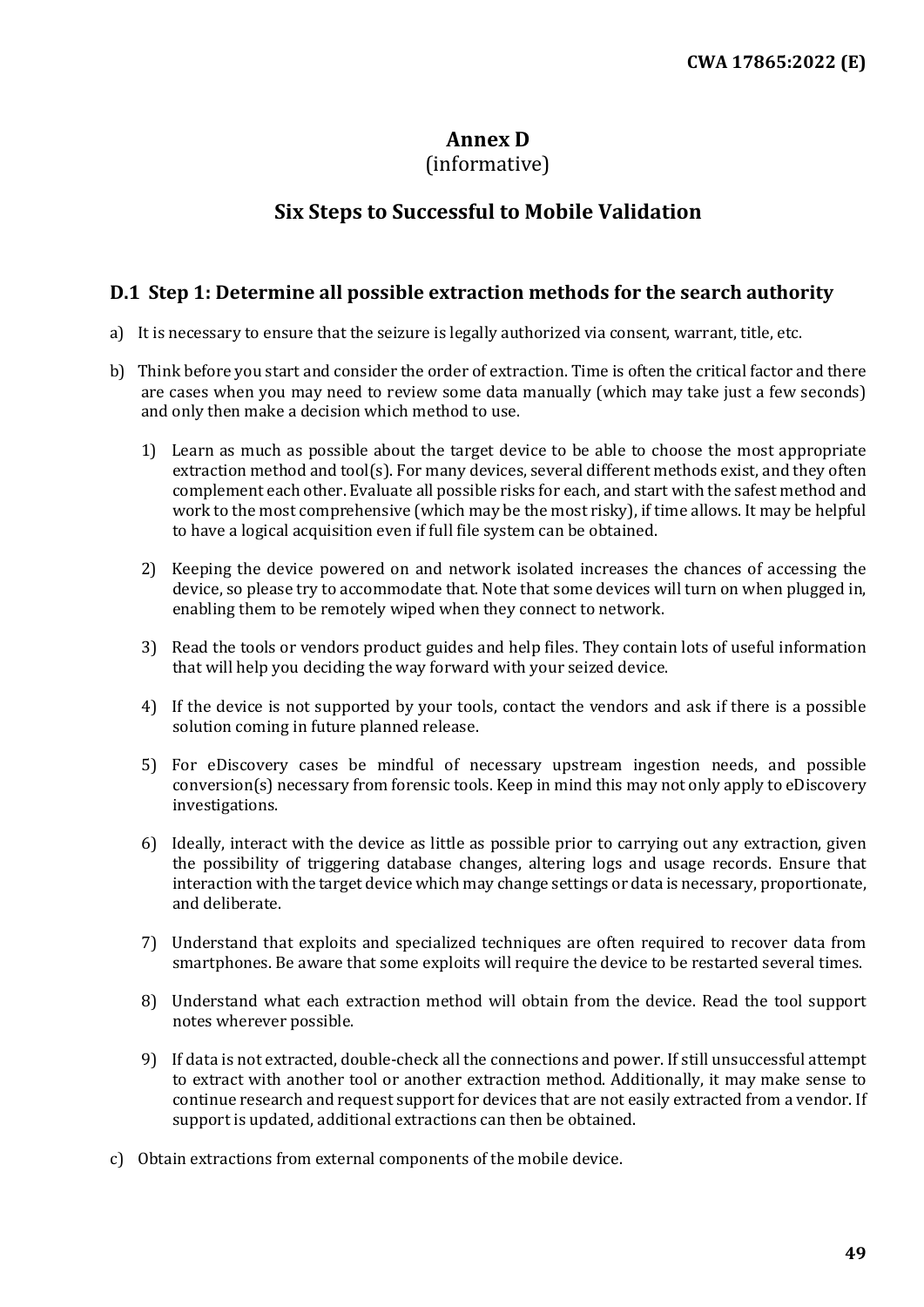## **Annex D**

## (informative)

## **Six Steps to Successful to Mobile Validation**

#### <span id="page-48-1"></span><span id="page-48-0"></span>**D.1 Step 1: Determine all possible extraction methods for the search authority**

- a) It is necessary to ensure that the seizure is legally authorized via consent, warrant, title, etc.
- b) Think before you start and consider the order of extraction. Time is often the critical factor and there are cases when you may need to review some data manually (which may take just a few seconds) and only then make a decision which method to use.
	- 1) Learn as much as possible about the target device to be able to choose the most appropriate extraction method and tool(s). For many devices, several different methods exist, and they often complement each other. Evaluate all possible risks for each, and start with the safest method and work to the most comprehensive (which may be the most risky), if time allows. It may be helpful to have a logical acquisition even if full file system can be obtained.
	- 2) Keeping the device powered on and network isolated increases the chances of accessing the device, so please try to accommodate that. Note that some devices will turn on when plugged in, enabling them to be remotely wiped when they connect to network.
	- 3) Read the tools or vendors product guides and help files. They contain lots of useful information that will help you deciding the way forward with your seized device.
	- 4) If the device is not supported by your tools, contact the vendors and ask if there is a possible solution coming in future planned release.
	- 5) For eDiscovery cases be mindful of necessary upstream ingestion needs, and possible conversion(s) necessary from forensic tools. Keep in mind this may not only apply to eDiscovery investigations.
	- 6) Ideally, interact with the device as little as possible prior to carrying out any extraction, given the possibility of triggering database changes, altering logs and usage records. Ensure that interaction with the target device which may change settings or data is necessary, proportionate, and deliberate.
	- 7) Understand that exploits and specialized techniques are often required to recover data from smartphones. Be aware that some exploits will require the device to be restarted several times.
	- 8) Understand what each extraction method will obtain from the device. Read the tool support notes wherever possible.
	- 9) If data is not extracted, double-check all the connections and power. If still unsuccessful attempt to extract with another tool or another extraction method. Additionally, it may make sense to continue research and request support for devices that are not easily extracted from a vendor. If support is updated, additional extractions can then be obtained.
- c) Obtain extractions from external components of the mobile device.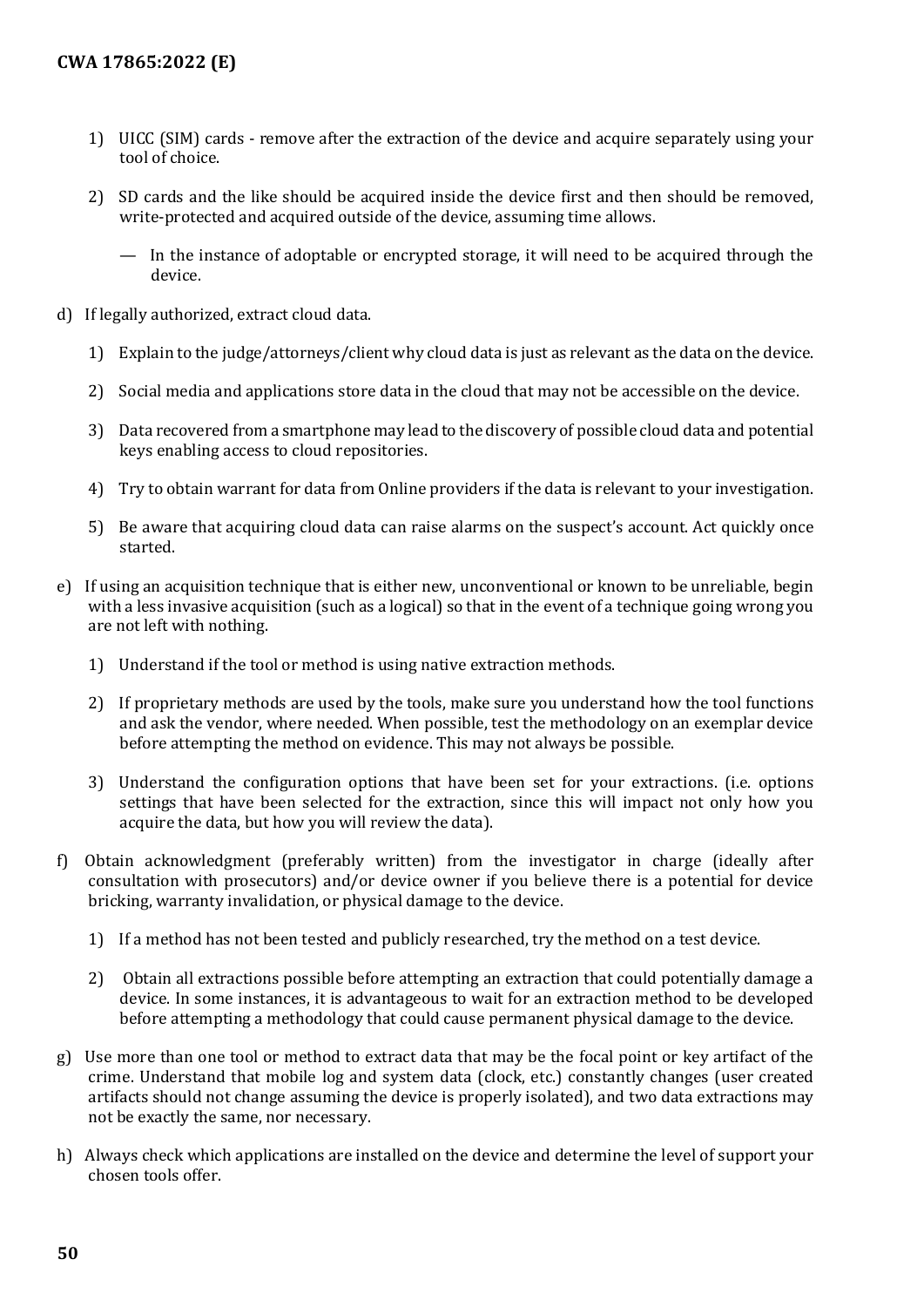- 1) UICC (SIM) cards remove after the extraction of the device and acquire separately using your tool of choice.
- 2) SD cards and the like should be acquired inside the device first and then should be removed, write-protected and acquired outside of the device, assuming time allows.
	- In the instance of adoptable or encrypted storage, it will need to be acquired through the device.
- d) If legally authorized, extract cloud data.
	- 1) Explain to the judge/attorneys/client why cloud data is just as relevant as the data on the device.
	- 2) Social media and applications store data in the cloud that may not be accessible on the device.
	- 3) Data recovered from a smartphone may lead to the discovery of possible cloud data and potential keys enabling access to cloud repositories.
	- 4) Try to obtain warrant for data from Online providers if the data is relevant to your investigation.
	- 5) Be aware that acquiring cloud data can raise alarms on the suspect's account. Act quickly once started.
- e) If using an acquisition technique that is either new, unconventional or known to be unreliable, begin with a less invasive acquisition (such as a logical) so that in the event of a technique going wrong you are not left with nothing.
	- 1) Understand if the tool or method is using native extraction methods.
	- 2) If proprietary methods are used by the tools, make sure you understand how the tool functions and ask the vendor, where needed. When possible, test the methodology on an exemplar device before attempting the method on evidence. This may not always be possible.
	- 3) Understand the configuration options that have been set for your extractions. (i.e. options settings that have been selected for the extraction, since this will impact not only how you acquire the data, but how you will review the data).
- f) Obtain acknowledgment (preferably written) from the investigator in charge (ideally after consultation with prosecutors) and/or device owner if you believe there is a potential for device bricking, warranty invalidation, or physical damage to the device.
	- 1) If a method has not been tested and publicly researched, try the method on a test device.
	- 2) Obtain all extractions possible before attempting an extraction that could potentially damage a device. In some instances, it is advantageous to wait for an extraction method to be developed before attempting a methodology that could cause permanent physical damage to the device.
- g) Use more than one tool or method to extract data that may be the focal point or key artifact of the crime. Understand that mobile log and system data (clock, etc.) constantly changes (user created artifacts should not change assuming the device is properly isolated), and two data extractions may not be exactly the same, nor necessary.
- h) Always check which applications are installed on the device and determine the level of support your chosen tools offer.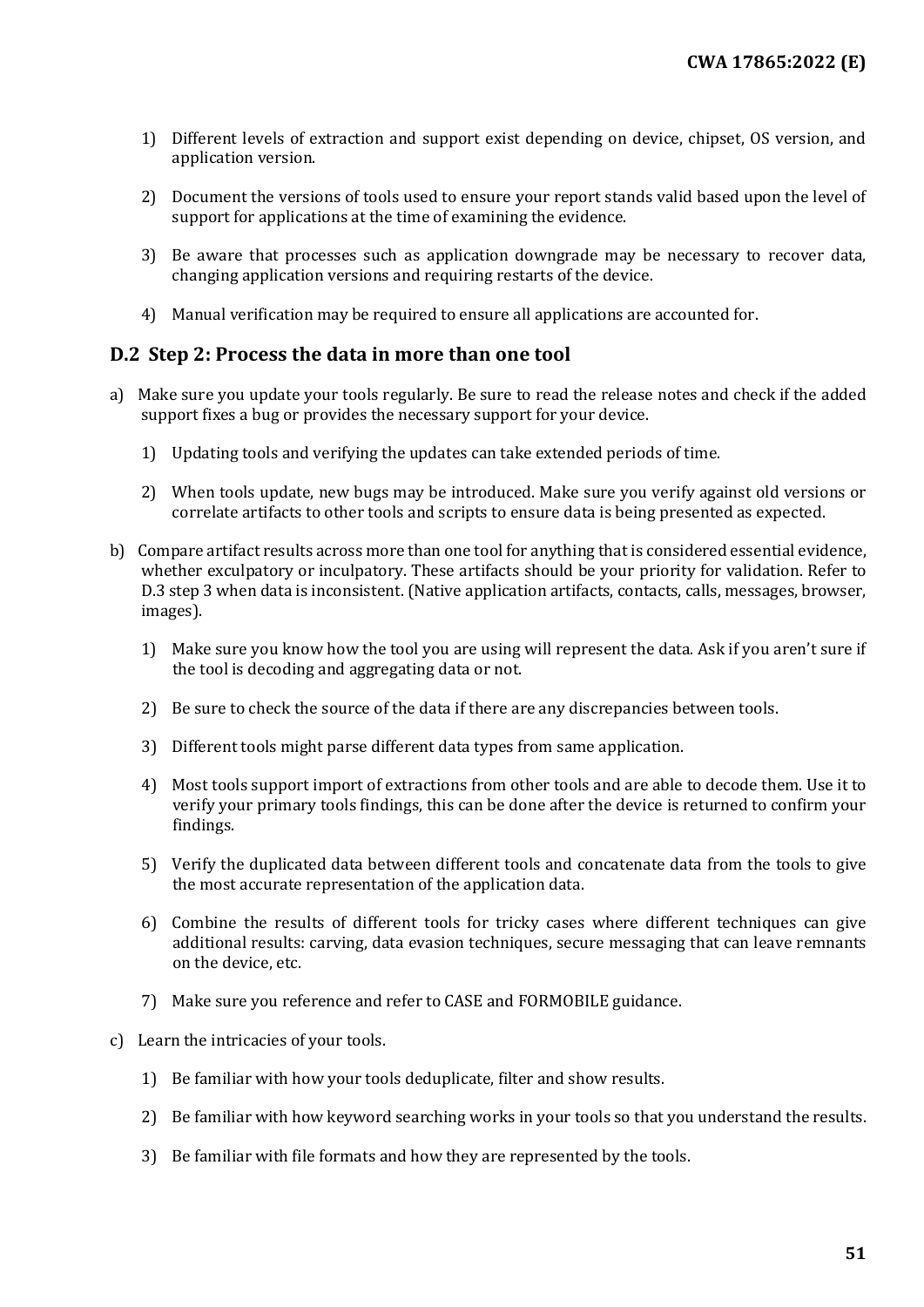- 1) Different levels of extraction and support exist depending on device, chipset, OS version, and application version.
- 2) Document the versions of tools used to ensure your report stands valid based upon the level of support for applications at the time of examining the evidence.
- 3) Be aware that processes such as application downgrade may be necessary to recover data, changing application versions and requiring restarts of the device.
- 4) Manual verification may be required to ensure all applications are accounted for.

#### <span id="page-50-0"></span>**D.2 Step 2: Process the data in more than one tool**

- a) Make sure you update your tools regularly. Be sure to read the release notes and check if the added support fixes a bug or provides the necessary support for your device.
	- 1) Updating tools and verifying the updates can take extended periods of time.
	- 2) When tools update, new bugs may be introduced. Make sure you verify against old versions or correlate artifacts to other tools and scripts to ensure data is being presented as expected.
- b) Compare artifact results across more than one tool for anything that is considered essential evidence, whether exculpatory or inculpatory. These artifacts should be your priority for validation. Refer to D.3 step 3 when data is inconsistent. (Native application artifacts, contacts, calls, messages, browser, images).
	- 1) Make sure you know how the tool you are using will represent the data. Ask if you aren't sure if the tool is decoding and aggregating data or not.
	- 2) Be sure to check the source of the data if there are any discrepancies between tools.
	- 3) Different tools might parse different data types from same application.
	- 4) Most tools support import of extractions from other tools and are able to decode them. Use it to verify your primary tools findings, this can be done after the device is returned to confirm your findings.
	- 5) Verify the duplicated data between different tools and concatenate data from the tools to give the most accurate representation of the application data.
	- 6) Combine the results of different tools for tricky cases where different techniques can give additional results: carving, data evasion techniques, secure messaging that can leave remnants on the device, etc.
	- 7) Make sure you reference and refer to CASE and FORMOBILE guidance.
- c) Learn the intricacies of your tools.
	- 1) Be familiar with how your tools deduplicate, filter and show results.
	- 2) Be familiar with how keyword searching works in your tools so that you understand the results.
	- 3) Be familiar with file formats and how they are represented by the tools.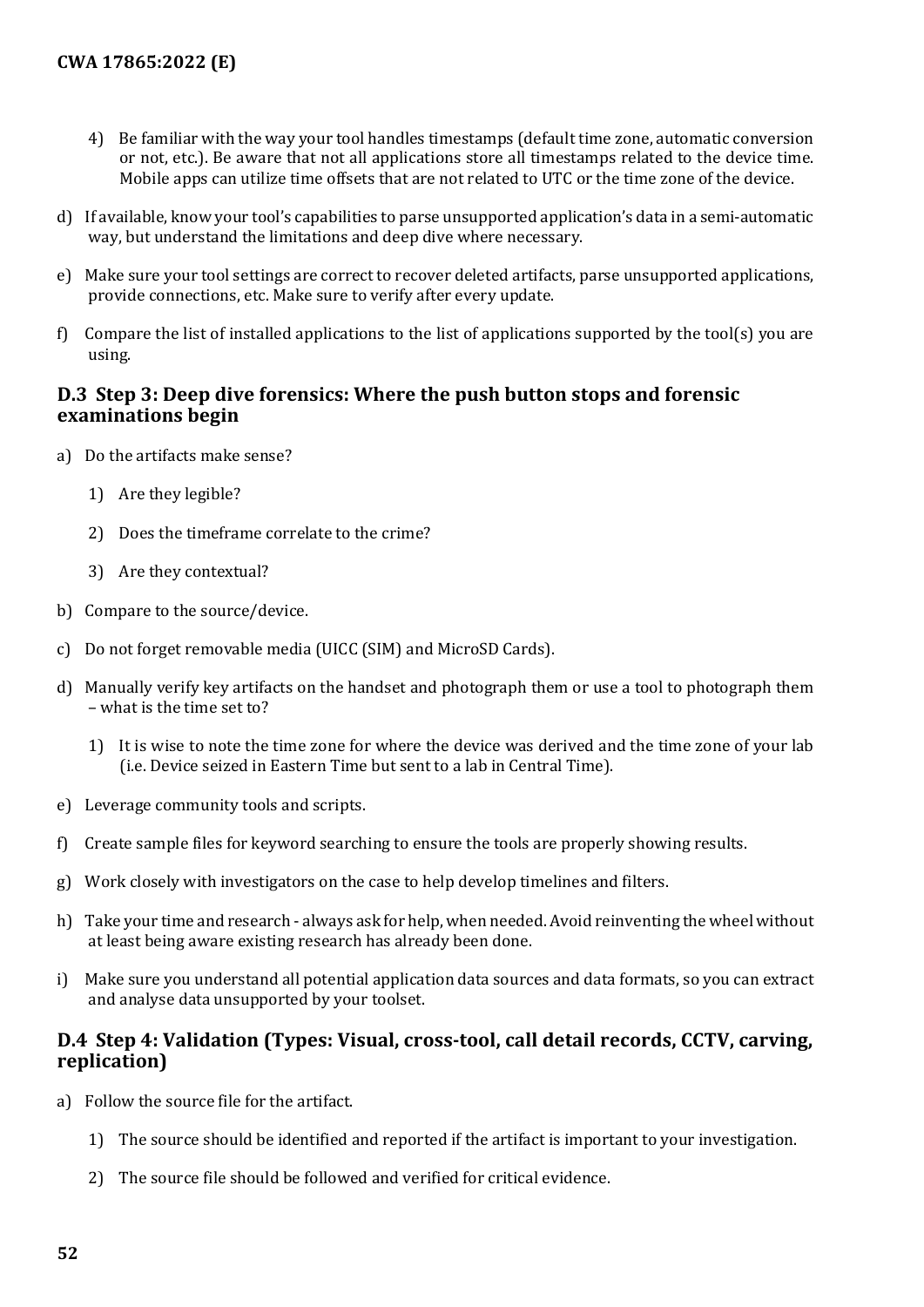- 4) Be familiar with the way your tool handles timestamps (default time zone, automatic conversion or not, etc.). Be aware that not all applications store all timestamps related to the device time. Mobile apps can utilize time offsets that are not related to UTC or the time zone of the device.
- d) If available, know your tool's capabilities to parse unsupported application's data in a semi-automatic way, but understand the limitations and deep dive where necessary.
- e) Make sure your tool settings are correct to recover deleted artifacts, parse unsupported applications, provide connections, etc. Make sure to verify after every update.
- f) Compare the list of installed applications to the list of applications supported by the tool(s) you are using.

#### <span id="page-51-0"></span>**D.3 Step 3: Deep dive forensics: Where the push button stops and forensic examinations begin**

- a) Do the artifacts make sense?
	- 1) Are they legible?
	- 2) Does the timeframe correlate to the crime?
	- 3) Are they contextual?
- b) Compare to the source/device.
- c) Do not forget removable media (UICC (SIM) and MicroSD Cards).
- d) Manually verify key artifacts on the handset and photograph them or use a tool to photograph them – what is the time set to?
	- 1) It is wise to note the time zone for where the device was derived and the time zone of your lab (i.e. Device seized in Eastern Time but sent to a lab in Central Time).
- e) Leverage community tools and scripts.
- f) Create sample files for keyword searching to ensure the tools are properly showing results.
- g) Work closely with investigators on the case to help develop timelines and filters.
- h) Take your time and research always ask for help, when needed. Avoid reinventing the wheel without at least being aware existing research has already been done.
- i) Make sure you understand all potential application data sources and data formats, so you can extract and analyse data unsupported by your toolset.

#### <span id="page-51-1"></span>**D.4 Step 4: Validation (Types: Visual, cross-tool, call detail records, CCTV, carving, replication)**

- a) Follow the source file for the artifact.
	- 1) The source should be identified and reported if the artifact is important to your investigation.
	- 2) The source file should be followed and verified for critical evidence.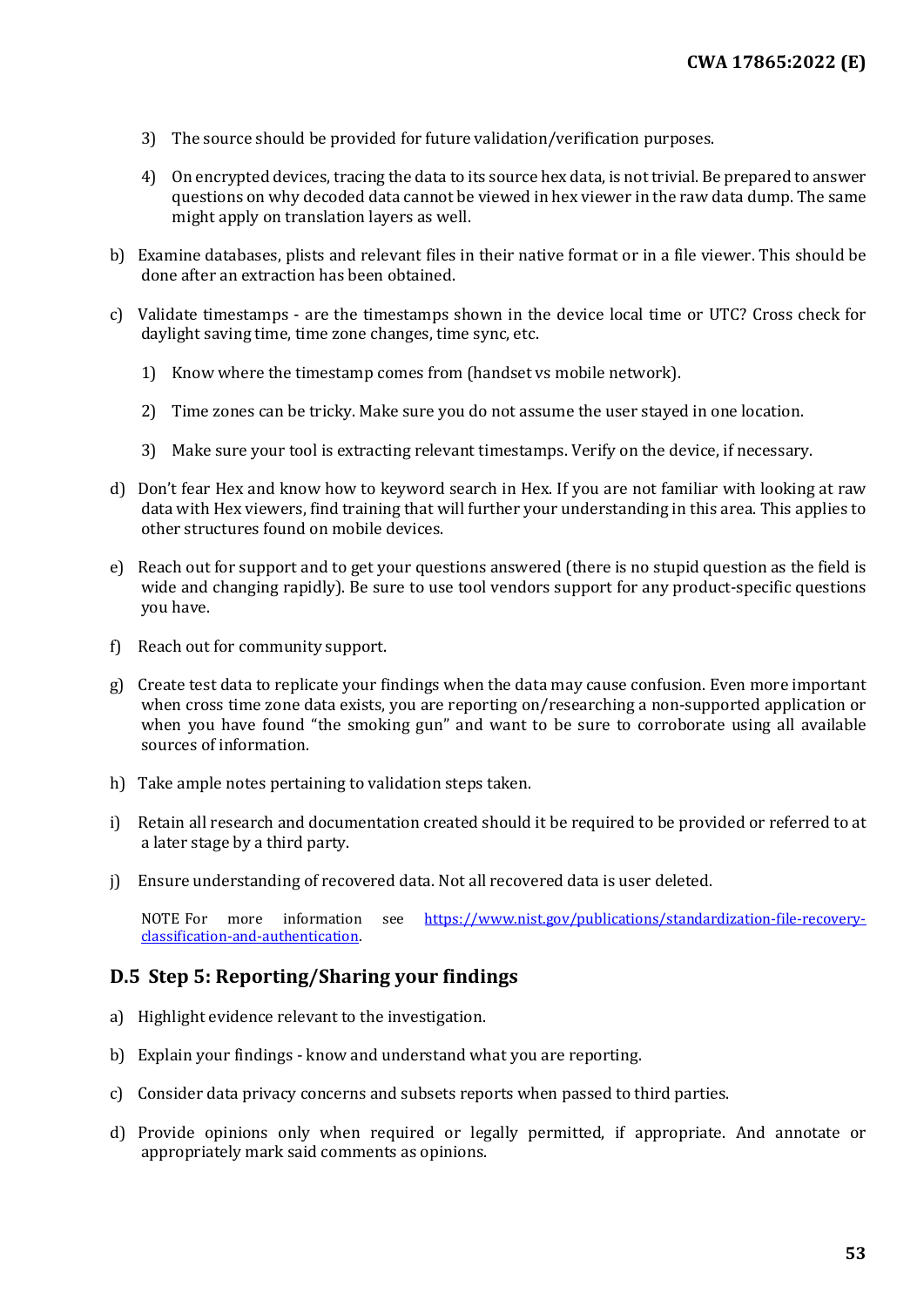- 3) The source should be provided for future validation/verification purposes.
- 4) On encrypted devices, tracing the data to its source hex data, is not trivial. Be prepared to answer questions on why decoded data cannot be viewed in hex viewer in the raw data dump. The same might apply on translation layers as well.
- b) Examine databases, plists and relevant files in their native format or in a file viewer. This should be done after an extraction has been obtained.
- c) Validate timestamps are the timestamps shown in the device local time or UTC? Cross check for daylight saving time, time zone changes, time sync, etc.
	- 1) Know where the timestamp comes from (handset vs mobile network).
	- 2) Time zones can be tricky. Make sure you do not assume the user stayed in one location.
	- 3) Make sure your tool is extracting relevant timestamps. Verify on the device, if necessary.
- d) Don't fear Hex and know how to keyword search in Hex. If you are not familiar with looking at raw data with Hex viewers, find training that will further your understanding in this area. This applies to other structures found on mobile devices.
- e) Reach out for support and to get your questions answered (there is no stupid question as the field is wide and changing rapidly). Be sure to use tool vendors support for any product-specific questions you have.
- f) Reach out for community support.
- g) Create test data to replicate your findings when the data may cause confusion. Even more important when cross time zone data exists, you are reporting on/researching a non-supported application or when you have found "the smoking gun" and want to be sure to corroborate using all available sources of information.
- h) Take ample notes pertaining to validation steps taken.
- i) Retain all research and documentation created should it be required to be provided or referred to at a later stage by a third party.
- j) Ensure understanding of recovered data. Not all recovered data is user deleted.

NOTE For more information see [https://www.nist.gov/publications/standardization-file-recovery](https://www.nist.gov/publications/standardization-file-recovery-classification-and-authentication)[classification-and-authentication.](https://www.nist.gov/publications/standardization-file-recovery-classification-and-authentication)

#### <span id="page-52-0"></span>**D.5 Step 5: Reporting/Sharing your findings**

- a) Highlight evidence relevant to the investigation.
- b) Explain your findings know and understand what you are reporting.
- c) Consider data privacy concerns and subsets reports when passed to third parties.
- d) Provide opinions only when required or legally permitted, if appropriate. And annotate or appropriately mark said comments as opinions.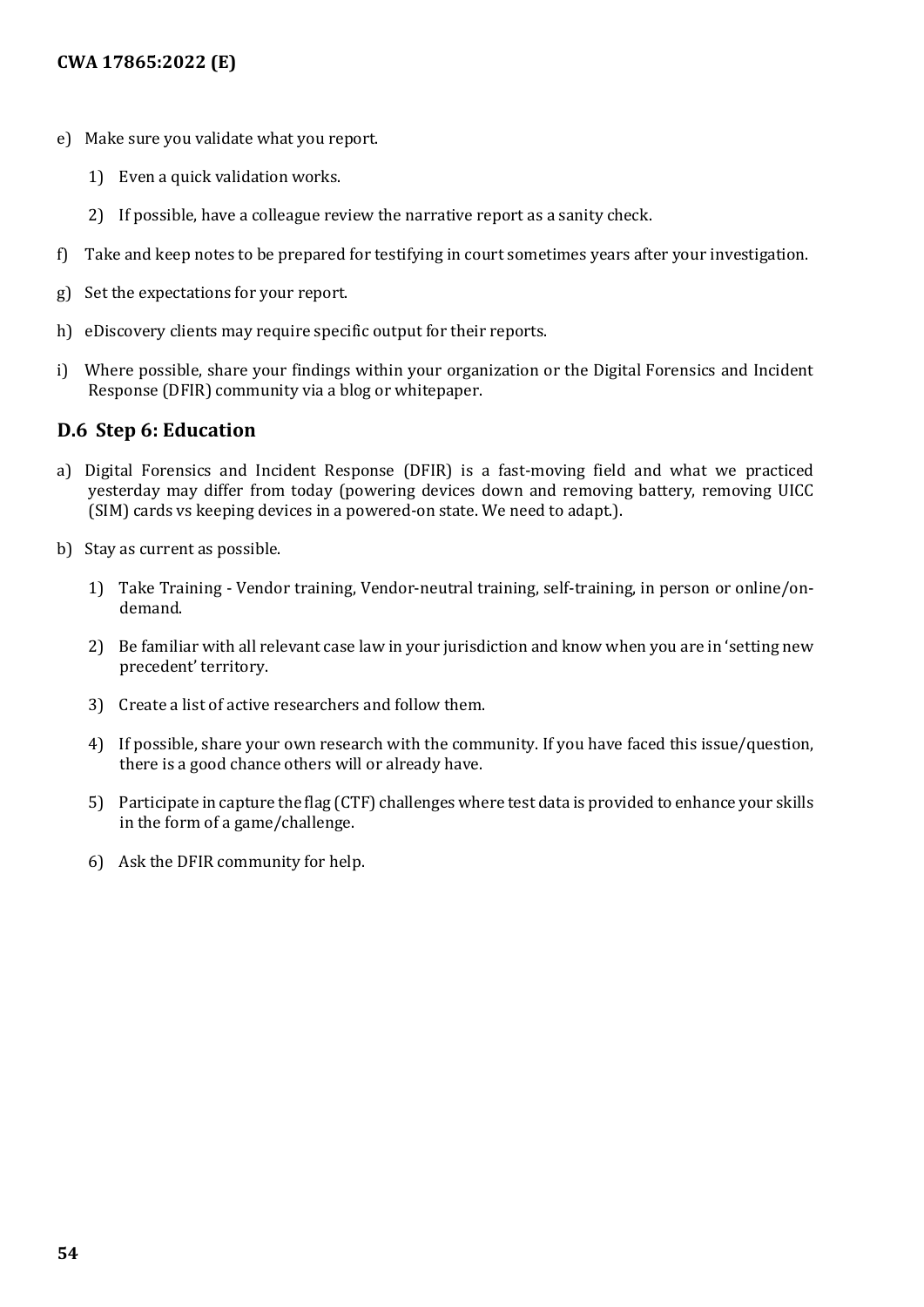- e) Make sure you validate what you report.
	- 1) Even a quick validation works.
	- 2) If possible, have a colleague review the narrative report as a sanity check.
- f) Take and keep notes to be prepared for testifying in court sometimes years after your investigation.
- g) Set the expectations for your report.
- h) eDiscovery clients may require specific output for their reports.
- i) Where possible, share your findings within your organization or the Digital Forensics and Incident Response (DFIR) community via a blog or whitepaper.

#### <span id="page-53-0"></span>**D.6 Step 6: Education**

- a) Digital Forensics and Incident Response (DFIR) is a fast-moving field and what we practiced yesterday may differ from today (powering devices down and removing battery, removing UICC (SIM) cards vs keeping devices in a powered-on state. We need to adapt.).
- b) Stay as current as possible.
	- 1) Take Training Vendor training, Vendor-neutral training, self-training, in person or online/ondemand.
	- 2) Be familiar with all relevant case law in your jurisdiction and know when you are in 'setting new precedent' territory.
	- 3) Create a list of active researchers and follow them.
	- 4) If possible, share your own research with the community. If you have faced this issue/question, there is a good chance others will or already have.
	- 5) Participate in capture the flag (CTF) challenges where test data is provided to enhance your skills in the form of a game/challenge.
	- 6) Ask the DFIR community for help.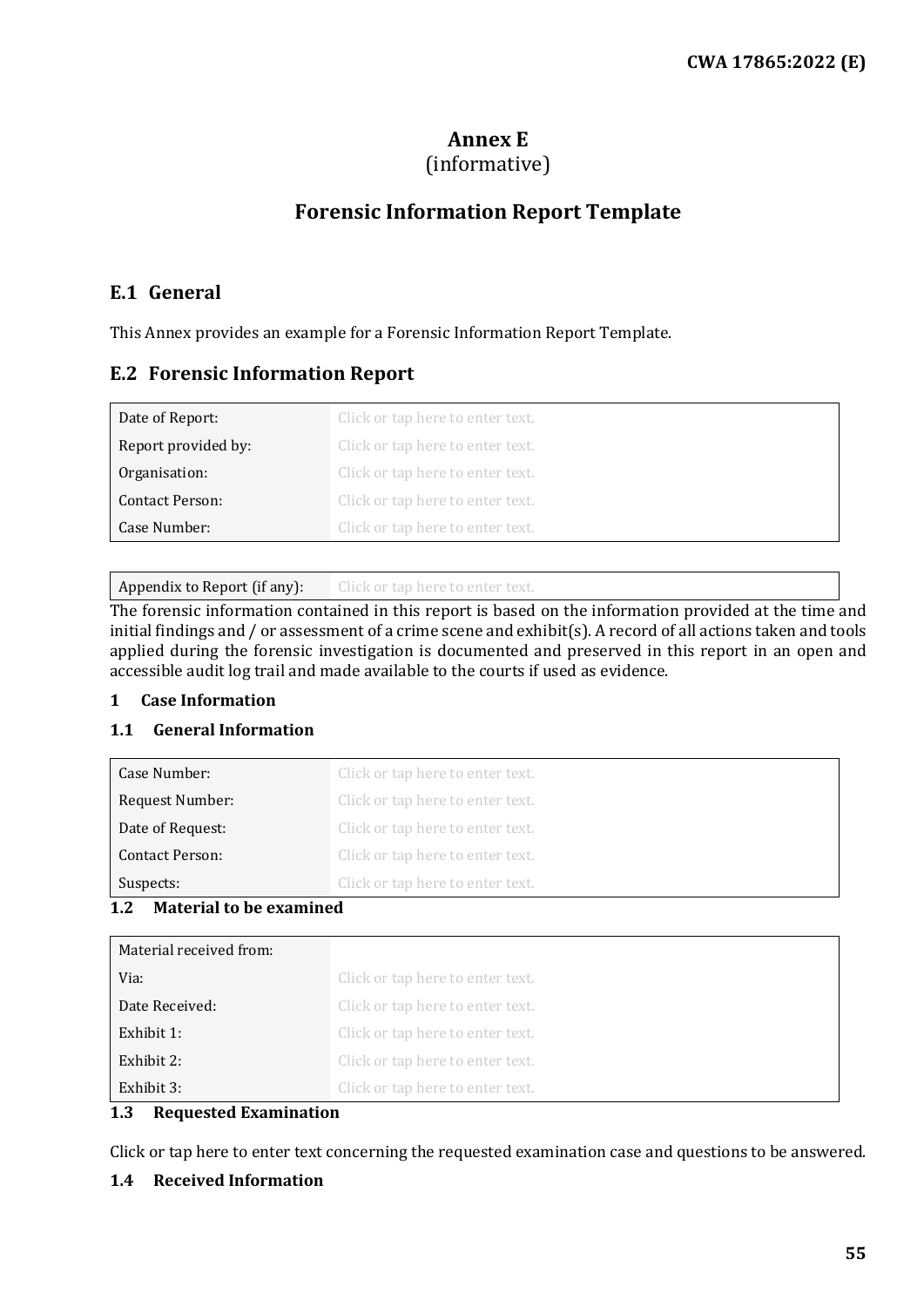## **Annex E**

## (informative)

## **Forensic Information Report Template**

#### <span id="page-54-1"></span><span id="page-54-0"></span>**E.1 General**

This Annex provides an example for a Forensic Information Report Template.

## <span id="page-54-2"></span>**E.2 Forensic Information Report**

| Date of Report:        | Click or tap here to enter text. |
|------------------------|----------------------------------|
| Report provided by:    | Click or tap here to enter text. |
| Organisation:          | Click or tap here to enter text. |
| <b>Contact Person:</b> | Click or tap here to enter text. |
| Case Number:           | Click or tap here to enter text. |

Appendix to Report (if any): Click or tap here to enter text.

The forensic information contained in this report is based on the information provided at the time and initial findings and / or assessment of a crime scene and exhibit(s). A record of all actions taken and tools applied during the forensic investigation is documented and preserved in this report in an open and accessible audit log trail and made available to the courts if used as evidence.

#### **1 Case Information**

#### **1.1 General Information**

| Case Number:     | Click or tap here to enter text. |
|------------------|----------------------------------|
| Request Number:  | Click or tap here to enter text. |
| Date of Request: | Click or tap here to enter text. |
| Contact Person:  | Click or tap here to enter text. |
| Suspects:        | Click or tap here to enter text. |

#### **1.2 Material to be examined**

| Material received from: |                                  |
|-------------------------|----------------------------------|
| Via:                    | Click or tap here to enter text. |
| Date Received:          | Click or tap here to enter text. |
| Exhibit 1:              | Click or tap here to enter text. |
| Exhibit 2:              | Click or tap here to enter text. |
| Exhibit 3:              | Click or tap here to enter text. |

#### **1.3 Requested Examination**

Click or tap here to enter text concerning the requested examination case and questions to be answered.

#### **1.4 Received Information**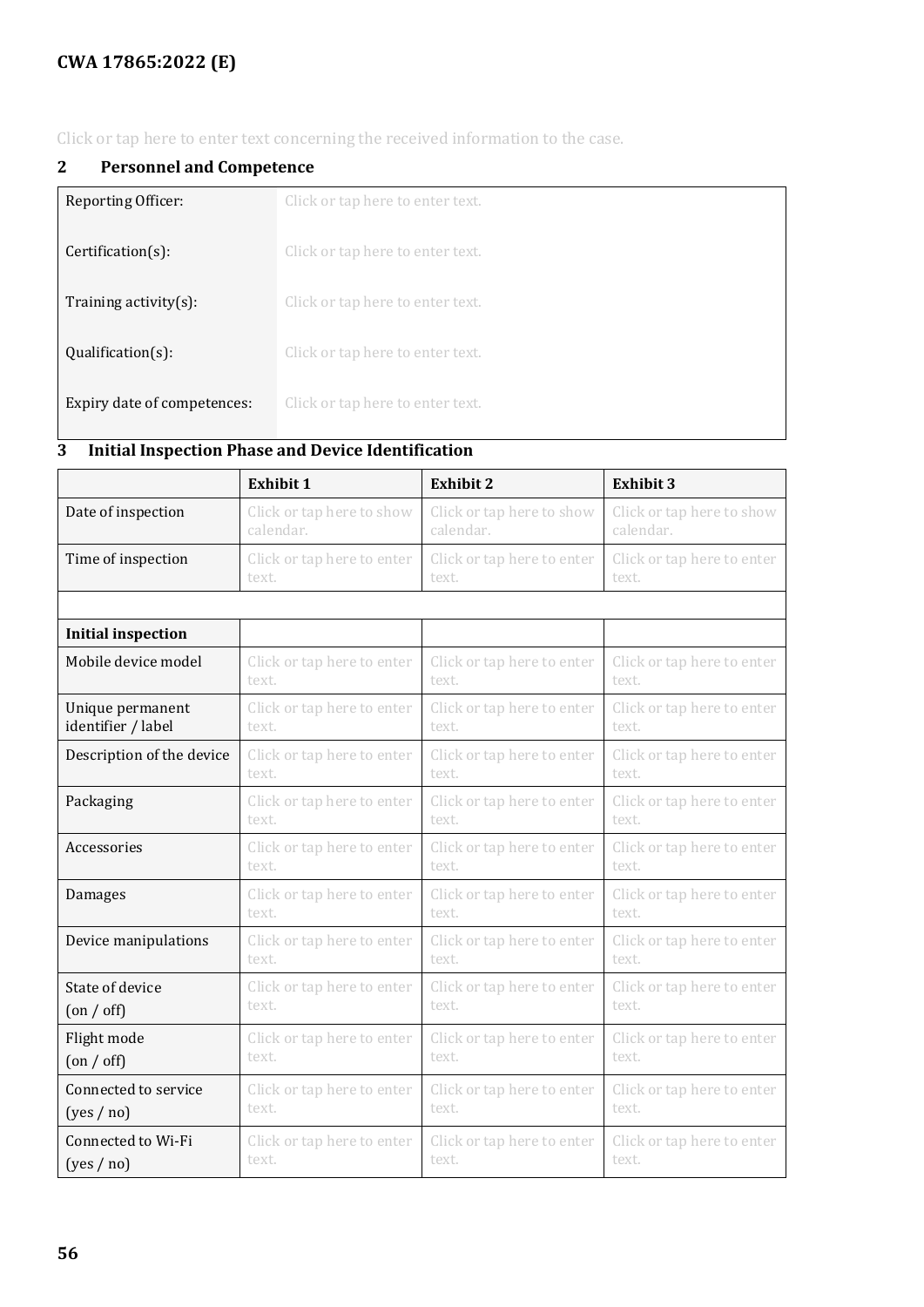## **CWA 17865:2022 (E)**

Click or tap here to enter text concerning the received information to the case.

### **2 Personnel and Competence**

| Reporting Officer:          | Click or tap here to enter text. |
|-----------------------------|----------------------------------|
| $Certification(s)$ :        | Click or tap here to enter text. |
| Training activity $(s)$ :   | Click or tap here to enter text. |
| $Qualification(s)$ :        | Click or tap here to enter text. |
| Expiry date of competences: | Click or tap here to enter text. |

# **3 Initial Inspection Phase and Device Identification**

|                           | <b>Exhibit 1</b>           | <b>Exhibit 2</b>           | <b>Exhibit 3</b>           |
|---------------------------|----------------------------|----------------------------|----------------------------|
| Date of inspection        | Click or tap here to show  | Click or tap here to show  | Click or tap here to show  |
|                           | calendar.                  | calendar.                  | calendar.                  |
| Time of inspection        | Click or tap here to enter | Click or tap here to enter | Click or tap here to enter |
|                           | text.                      | text.                      | text.                      |
|                           |                            |                            |                            |
| <b>Initial inspection</b> |                            |                            |                            |
| Mobile device model       | Click or tap here to enter | Click or tap here to enter | Click or tap here to enter |
|                           | text.                      | text.                      | text.                      |
| Unique permanent          | Click or tap here to enter | Click or tap here to enter | Click or tap here to enter |
| identifier / label        | text.                      | text.                      | text.                      |
| Description of the device | Click or tap here to enter | Click or tap here to enter | Click or tap here to enter |
|                           | text.                      | text.                      | text.                      |
| Packaging                 | Click or tap here to enter | Click or tap here to enter | Click or tap here to enter |
|                           | text.                      | text.                      | text.                      |
| Accessories               | Click or tap here to enter | Click or tap here to enter | Click or tap here to enter |
|                           | text.                      | text.                      | text.                      |
| Damages                   | Click or tap here to enter | Click or tap here to enter | Click or tap here to enter |
|                           | text.                      | text.                      | text.                      |
| Device manipulations      | Click or tap here to enter | Click or tap here to enter | Click or tap here to enter |
|                           | text.                      | text.                      | text.                      |
| State of device           | Click or tap here to enter | Click or tap here to enter | Click or tap here to enter |
| $($ on $/$ off $)$        | text.                      | text.                      | text.                      |
| Flight mode               | Click or tap here to enter | Click or tap here to enter | Click or tap here to enter |
| $($ on / off $)$          | text.                      | text.                      | text.                      |
| Connected to service      | Click or tap here to enter | Click or tap here to enter | Click or tap here to enter |
| (yes / no)                | text.                      | text.                      | text.                      |
| Connected to Wi-Fi        | Click or tap here to enter | Click or tap here to enter | Click or tap here to enter |
| (yes / no)                | text.                      | text.                      | text.                      |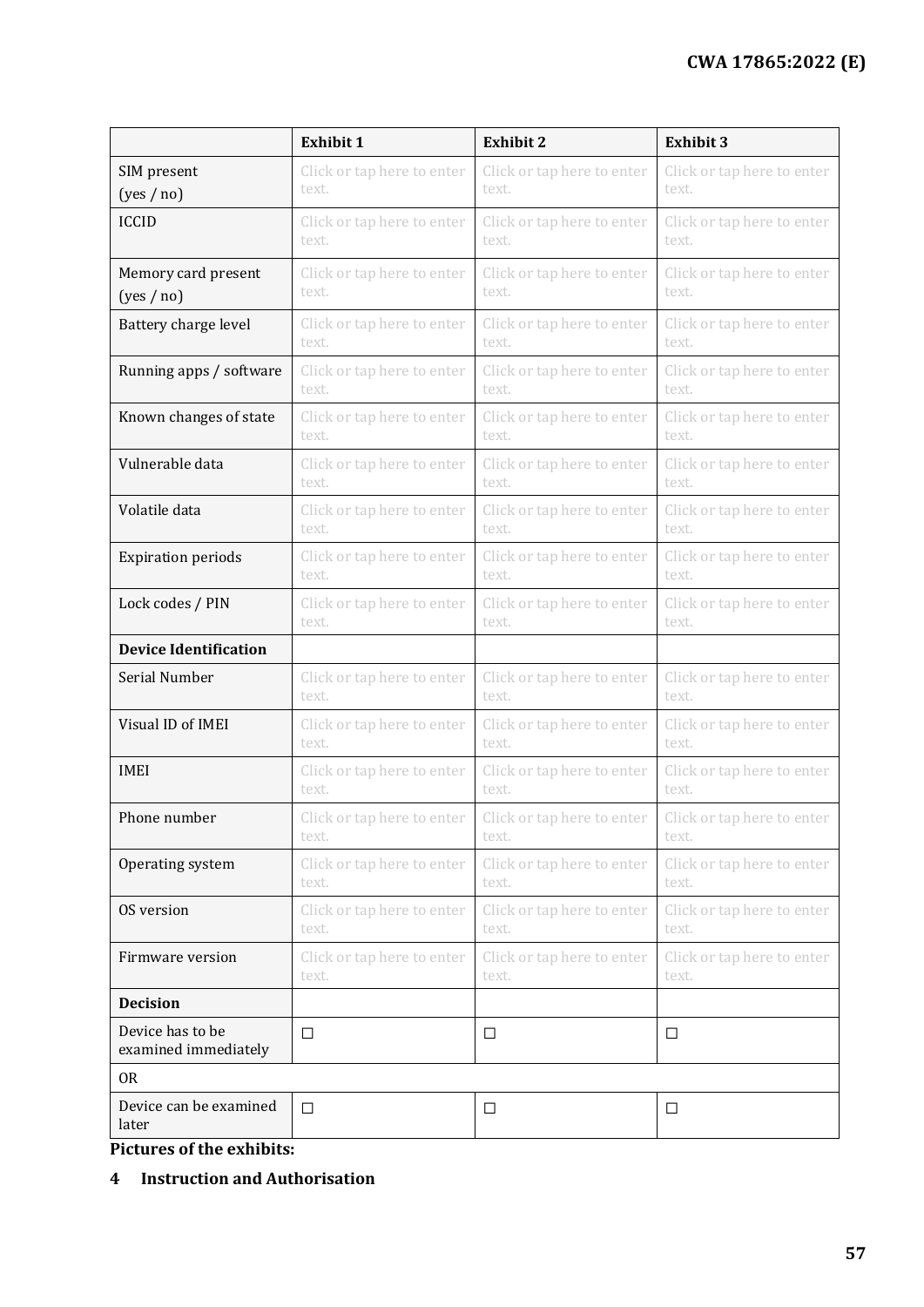|                                          | <b>Exhibit 1</b>           | <b>Exhibit 2</b>           | <b>Exhibit 3</b>           |
|------------------------------------------|----------------------------|----------------------------|----------------------------|
| SIM present                              | Click or tap here to enter | Click or tap here to enter | Click or tap here to enter |
| (yes / no)                               | text.                      | text.                      | text.                      |
| <b>ICCID</b>                             | Click or tap here to enter | Click or tap here to enter | Click or tap here to enter |
|                                          | text.                      | text.                      | text.                      |
| Memory card present                      | Click or tap here to enter | Click or tap here to enter | Click or tap here to enter |
| (yes / no)                               | text.                      | text.                      | text.                      |
| Battery charge level                     | Click or tap here to enter | Click or tap here to enter | Click or tap here to enter |
|                                          | text.                      | text.                      | text.                      |
| Running apps / software                  | Click or tap here to enter | Click or tap here to enter | Click or tap here to enter |
|                                          | text.                      | text.                      | text.                      |
| Known changes of state                   | Click or tap here to enter | Click or tap here to enter | Click or tap here to enter |
|                                          | text.                      | text.                      | text.                      |
| Vulnerable data                          | Click or tap here to enter | Click or tap here to enter | Click or tap here to enter |
|                                          | text.                      | text.                      | text.                      |
| Volatile data                            | Click or tap here to enter | Click or tap here to enter | Click or tap here to enter |
|                                          | text.                      | text.                      | text.                      |
| <b>Expiration periods</b>                | Click or tap here to enter | Click or tap here to enter | Click or tap here to enter |
|                                          | text.                      | text.                      | text.                      |
| Lock codes / PIN                         | Click or tap here to enter | Click or tap here to enter | Click or tap here to enter |
|                                          | text.                      | text.                      | text.                      |
| <b>Device Identification</b>             |                            |                            |                            |
| Serial Number                            | Click or tap here to enter | Click or tap here to enter | Click or tap here to enter |
|                                          | text.                      | text.                      | text.                      |
| Visual ID of IMEI                        | Click or tap here to enter | Click or tap here to enter | Click or tap here to enter |
|                                          | text.                      | text.                      | text.                      |
| <b>IMEI</b>                              | Click or tap here to enter | Click or tap here to enter | Click or tap here to enter |
|                                          | text.                      | text.                      | text.                      |
| Phone number                             | Click or tap here to enter | Click or tap here to enter | Click or tap here to enter |
|                                          | text.                      | text.                      | text.                      |
| Operating system                         | Click or tap here to enter | Click or tap here to enter | Click or tap here to enter |
|                                          | text.                      | text.                      | text.                      |
| OS version                               | Click or tap here to enter | Click or tap here to enter | Click or tap here to enter |
|                                          | text.                      | text.                      | text.                      |
| Firmware version                         | Click or tap here to enter | Click or tap here to enter | Click or tap here to enter |
|                                          | text.                      | text.                      | text.                      |
| <b>Decision</b>                          |                            |                            |                            |
| Device has to be<br>examined immediately | $\Box$                     | $\Box$                     | $\Box$                     |
| 0 <sub>R</sub>                           |                            |                            |                            |
| Device can be examined<br>later          | $\Box$                     | $\Box$                     | $\Box$                     |

**Pictures of the exhibits:**

#### **4 Instruction and Authorisation**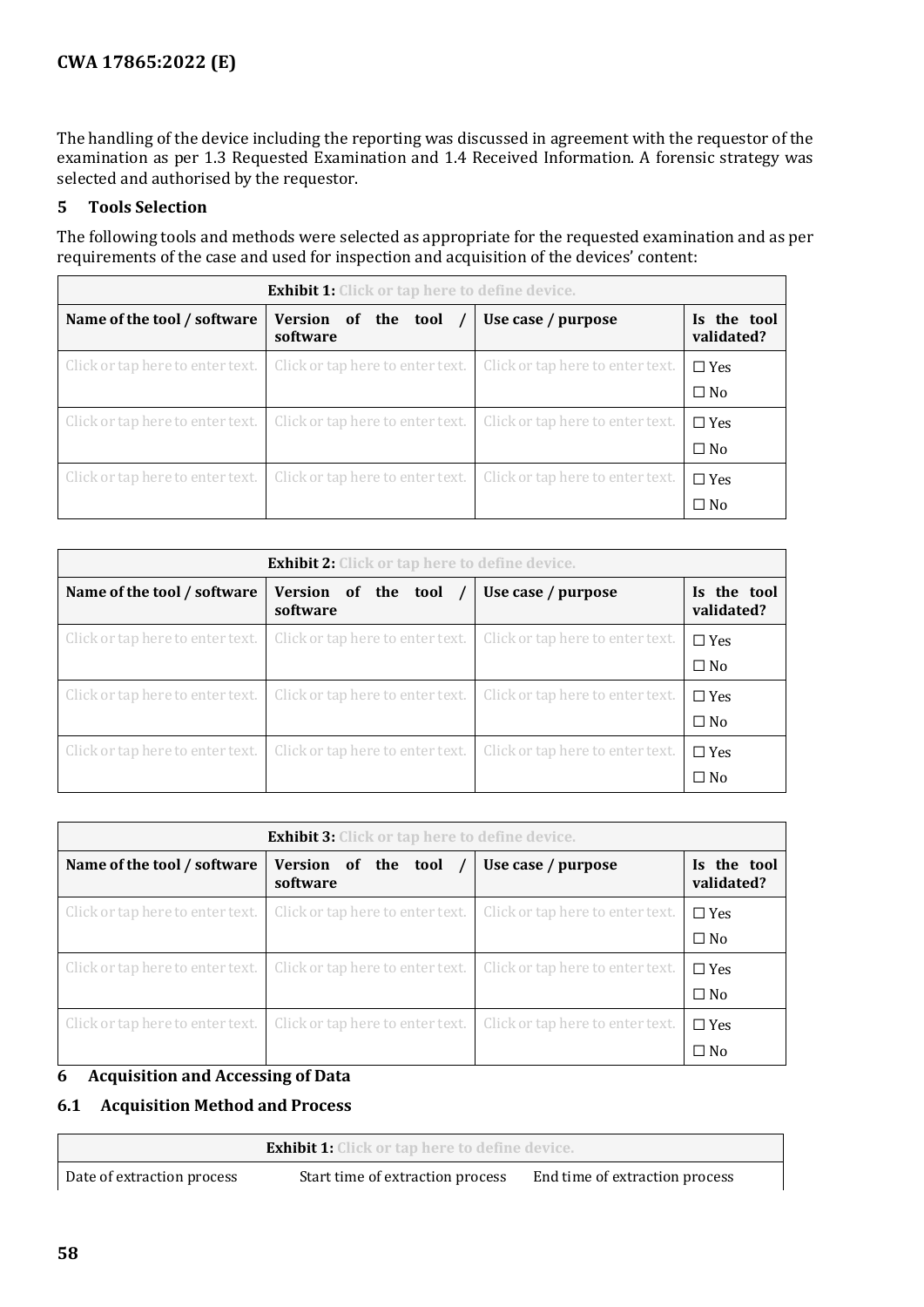The handling of the device including the reporting was discussed in agreement with the requestor of the examination as per 1.3 Requested Examination and 1.4 Received Information. A forensic strategy was selected and authorised by the requestor.

#### **5 Tools Selection**

The following tools and methods were selected as appropriate for the requested examination and as per requirements of the case and used for inspection and acquisition of the devices' content:

| <b>Exhibit 1:</b> Click or tap here to define device. |                                  |                                  |                           |  |
|-------------------------------------------------------|----------------------------------|----------------------------------|---------------------------|--|
| Name of the tool / software                           | Version of the tool<br>software  | Use case / purpose               | Is the tool<br>validated? |  |
| Click or tap here to enter text.                      | Click or tap here to enter text. | Click or tap here to enter text. | $\Box$ Yes                |  |
|                                                       |                                  |                                  | $\square$ No              |  |
| Click or tap here to enter text.                      | Click or tap here to enter text. | Click or tap here to enter text. | $\Box$ Yes                |  |
|                                                       |                                  |                                  | $\square$ No              |  |
| Click or tap here to enter text.                      | Click or tap here to enter text. | Click or tap here to enter text. | $\Box$ Yes                |  |
|                                                       |                                  |                                  | $\Box$ No                 |  |

| <b>Exhibit 2:</b> Click or tap here to define device. |                                  |                                  |                           |  |
|-------------------------------------------------------|----------------------------------|----------------------------------|---------------------------|--|
| Name of the tool / software                           | Version of the tool<br>software  | Use case / purpose               | Is the tool<br>validated? |  |
| Click or tap here to enter text.                      | Click or tap here to enter text. | Click or tap here to enter text. | $\Box$ Yes                |  |
|                                                       |                                  |                                  | $\Box$ No                 |  |
| Click or tap here to enter text.                      | Click or tap here to enter text. | Click or tap here to enter text. | $\Box$ Yes                |  |
|                                                       |                                  |                                  | $\square$ No              |  |
| Click or tap here to enter text.                      | Click or tap here to enter text. | Click or tap here to enter text. | $\Box$ Yes                |  |
|                                                       |                                  |                                  | $\Box$ No                 |  |

| <b>Exhibit 3:</b> Click or tap here to define device. |                                  |                                  |                            |  |
|-------------------------------------------------------|----------------------------------|----------------------------------|----------------------------|--|
| Name of the tool / software                           | Version of the tool<br>software  | Use case / purpose               | Is the tool<br>validated?  |  |
| Click or tap here to enter text.                      | Click or tap here to enter text. | Click or tap here to enter text. | $\Box$ Yes<br>$\square$ No |  |
| Click or tap here to enter text.                      | Click or tap here to enter text. | Click or tap here to enter text. | $\Box$ Yes<br>$\square$ No |  |
| Click or tap here to enter text.                      | Click or tap here to enter text. | Click or tap here to enter text. | $\Box$ Yes<br>$\Box$ No    |  |

#### **6 Acquisition and Accessing of Data**

#### **6.1 Acquisition Method and Process**

|                            | <b>Exhibit 1:</b> Click or tap here to define device. |                                |  |
|----------------------------|-------------------------------------------------------|--------------------------------|--|
| Date of extraction process | Start time of extraction process                      | End time of extraction process |  |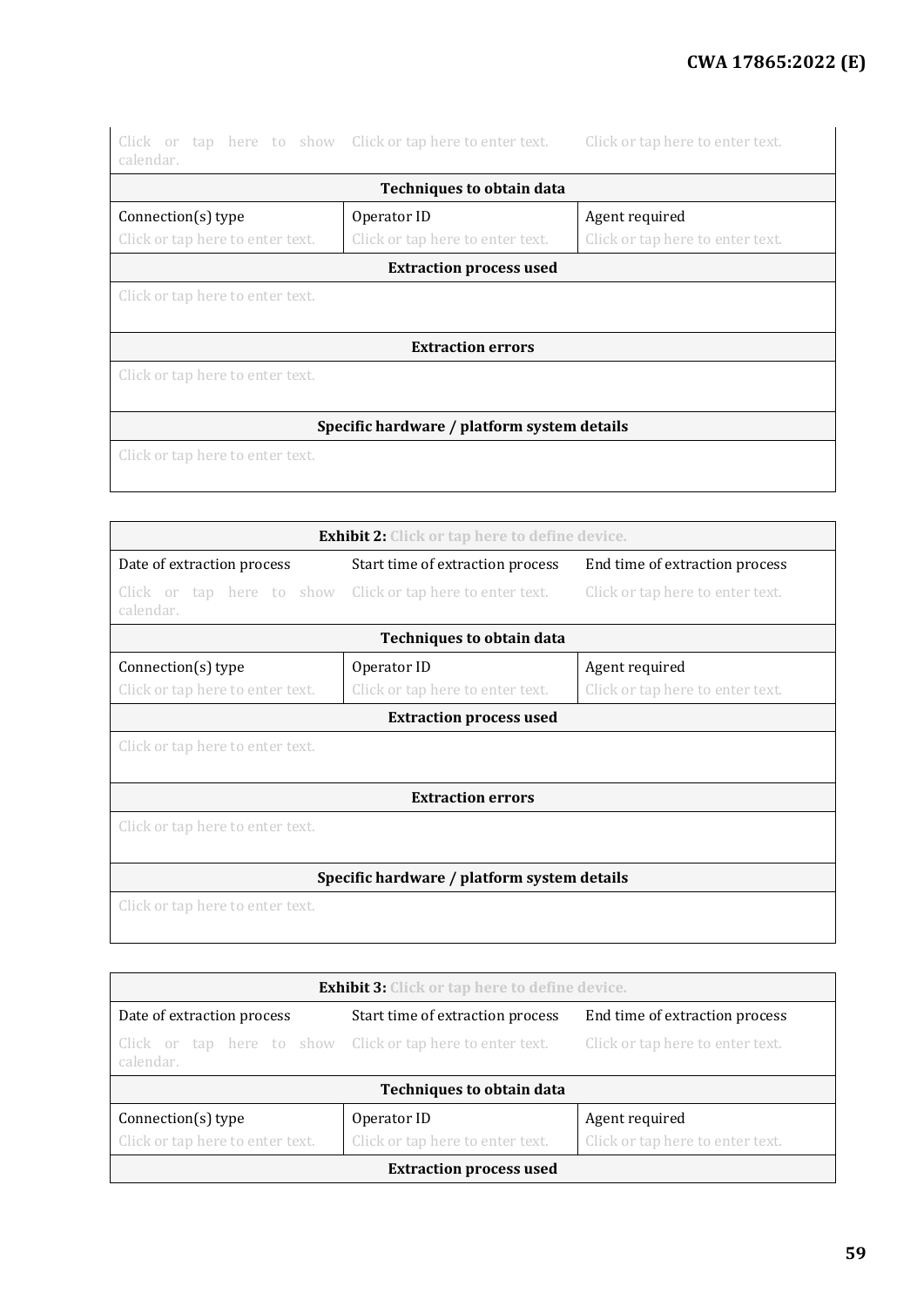## **CWA 17865:2022 (E)**

| calendar.                                   | Click or tap here to show Click or tap here to enter text. | Click or tap here to enter text. |  |  |  |
|---------------------------------------------|------------------------------------------------------------|----------------------------------|--|--|--|
|                                             | <b>Techniques to obtain data</b>                           |                                  |  |  |  |
| Connection(s) type                          | Operator ID                                                | Agent required                   |  |  |  |
| Click or tap here to enter text.            | Click or tap here to enter text.                           | Click or tap here to enter text. |  |  |  |
|                                             | <b>Extraction process used</b>                             |                                  |  |  |  |
| Click or tap here to enter text.            |                                                            |                                  |  |  |  |
|                                             |                                                            |                                  |  |  |  |
|                                             | <b>Extraction errors</b>                                   |                                  |  |  |  |
| Click or tap here to enter text.            |                                                            |                                  |  |  |  |
|                                             |                                                            |                                  |  |  |  |
| Specific hardware / platform system details |                                                            |                                  |  |  |  |
| Click or tap here to enter text.            |                                                            |                                  |  |  |  |
|                                             |                                                            |                                  |  |  |  |

| <b>Exhibit 2:</b> Click or tap here to define device.                   |                                  |                                  |  |  |
|-------------------------------------------------------------------------|----------------------------------|----------------------------------|--|--|
| Date of extraction process                                              | Start time of extraction process | End time of extraction process   |  |  |
| Click or tap here to show Click or tap here to enter text.<br>calendar. |                                  | Click or tap here to enter text. |  |  |
|                                                                         | <b>Techniques to obtain data</b> |                                  |  |  |
| Connection(s) type                                                      | Operator ID                      | Agent required                   |  |  |
| Click or tap here to enter text.                                        | Click or tap here to enter text. | Click or tap here to enter text. |  |  |
|                                                                         | <b>Extraction process used</b>   |                                  |  |  |
| Click or tap here to enter text.                                        |                                  |                                  |  |  |
| <b>Extraction errors</b>                                                |                                  |                                  |  |  |
| Click or tap here to enter text.                                        |                                  |                                  |  |  |
|                                                                         |                                  |                                  |  |  |
| Specific hardware / platform system details                             |                                  |                                  |  |  |
| Click or tap here to enter text.                                        |                                  |                                  |  |  |
|                                                                         |                                  |                                  |  |  |

| <b>Exhibit 3:</b> Click or tap here to define device.                                                       |                                  |  |  |  |
|-------------------------------------------------------------------------------------------------------------|----------------------------------|--|--|--|
| Date of extraction process<br>Start time of extraction process<br>End time of extraction process            |                                  |  |  |  |
| Click or tap here to show Click or tap here to enter text.<br>Click or tap here to enter text.<br>calendar. |                                  |  |  |  |
|                                                                                                             | <b>Techniques to obtain data</b> |  |  |  |
| Agent required<br>Connection(s) type<br>Operator ID                                                         |                                  |  |  |  |
| Click or tap here to enter text.<br>Click or tap here to enter text.<br>Click or tap here to enter text.    |                                  |  |  |  |
| <b>Extraction process used</b>                                                                              |                                  |  |  |  |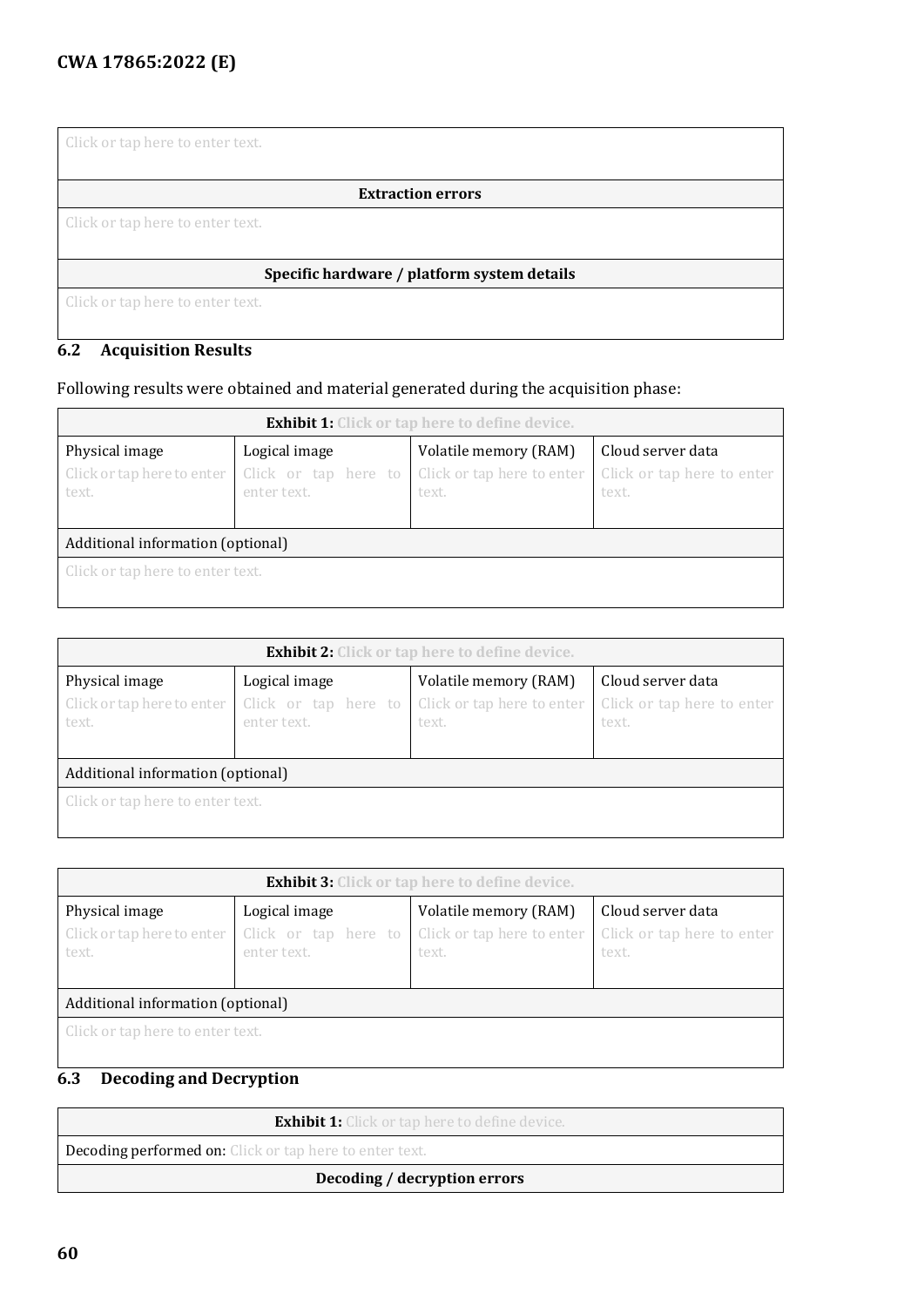Click or tap here to enter text.

**Extraction errors**

Click or tap here to enter text.

#### **Specific hardware / platform system details**

Click or tap here to enter text.

### **6.2 Acquisition Results**

#### Following results were obtained and material generated during the acquisition phase:

| <b>Exhibit 1:</b> Click or tap here to define device. |                                     |                                     |                                     |  |
|-------------------------------------------------------|-------------------------------------|-------------------------------------|-------------------------------------|--|
| Physical image                                        | Logical image                       | Volatile memory (RAM)               | Cloud server data                   |  |
| Click or tap here to enter<br>text.                   | Click or tap here to<br>enter text. | Click or tap here to enter<br>text. | Click or tap here to enter<br>text. |  |
| Additional information (optional)                     |                                     |                                     |                                     |  |
| Click or tap here to enter text.                      |                                     |                                     |                                     |  |

| <b>Exhibit 2:</b> Click or tap here to define device. |                                                      |                                                              |                                                          |  |
|-------------------------------------------------------|------------------------------------------------------|--------------------------------------------------------------|----------------------------------------------------------|--|
| Physical image<br>Click or tap here to enter<br>text. | Logical image<br>Click or tap here to<br>enter text. | Volatile memory (RAM)<br>Click or tap here to enter<br>text. | Cloud server data<br>Click or tap here to enter<br>text. |  |
| Additional information (optional)                     |                                                      |                                                              |                                                          |  |
| Click or tap here to enter text.                      |                                                      |                                                              |                                                          |  |

| <b>Exhibit 3:</b> Click or tap here to define device. |                                                      |                                                              |                                                          |  |
|-------------------------------------------------------|------------------------------------------------------|--------------------------------------------------------------|----------------------------------------------------------|--|
| Physical image<br>Click or tap here to enter<br>text. | Logical image<br>Click or tap here to<br>enter text. | Volatile memory (RAM)<br>Click or tap here to enter<br>text. | Cloud server data<br>Click or tap here to enter<br>text. |  |
| Additional information (optional)                     |                                                      |                                                              |                                                          |  |
| Click or tap here to enter text.                      |                                                      |                                                              |                                                          |  |

## **6.3 Decoding and Decryption**

| <b>Exhibit 1:</b> Click or tap here to define device.          |  |  |  |
|----------------------------------------------------------------|--|--|--|
| <b>Decoding performed on:</b> Click or tap here to enter text. |  |  |  |
| Decoding / decryption errors                                   |  |  |  |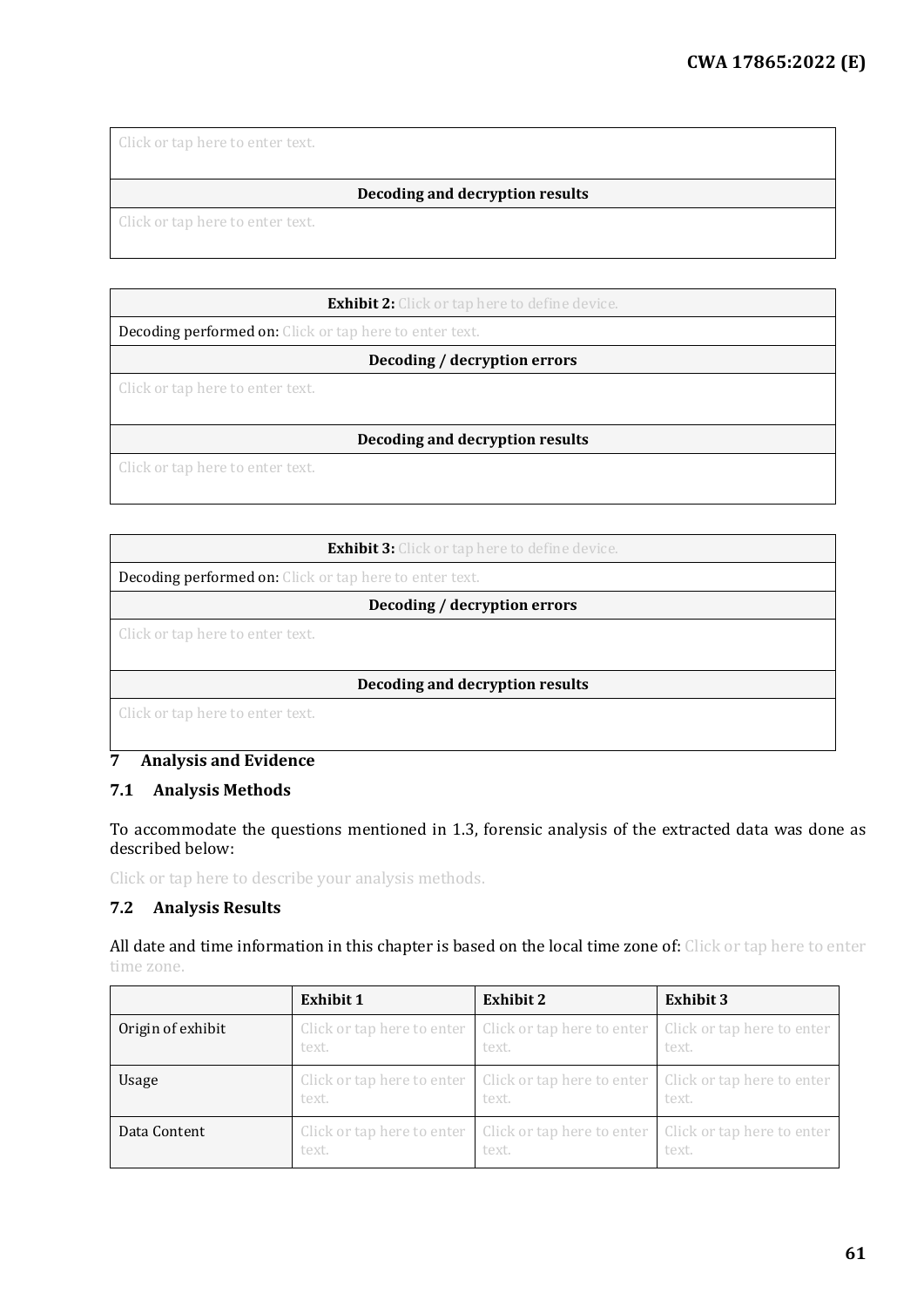Click or tap here to enter text.

#### **Decoding and decryption results**

Click or tap here to enter text.

**Exhibit 2:** Click or tap here to define device.

Decoding performed on: Click or tap here to enter text.

**Decoding / decryption errors**

Click or tap here to enter text.

#### **Decoding and decryption results**

Click or tap here to enter text.

#### **Exhibit 3:** Click or tap here to define device.

Decoding performed on: Click or tap here to enter text.

#### **Decoding / decryption errors**

Click or tap here to enter text.

#### **Decoding and decryption results**

Click or tap here to enter text.

#### **7 Analysis and Evidence**

#### **7.1 Analysis Methods**

#### To accommodate the questions mentioned in 1.3, forensic analysis of the extracted data was done as described below:

Click or tap here to describe your analysis methods.

#### **7.2 Analysis Results**

All date and time information in this chapter is based on the local time zone of: Click or tap here to enter time zone.

|                   | <b>Exhibit 1</b>           | <b>Exhibit 2</b>                                                 | <b>Exhibit 3</b>                    |
|-------------------|----------------------------|------------------------------------------------------------------|-------------------------------------|
| Origin of exhibit | Click or tap here to enter | Click or tap here to enter                                       | Click or tap here to enter          |
|                   | text.                      | text.                                                            | text.                               |
| Usage             | text.                      | Click or tap here to enter   Click or tap here to enter<br>text. | Click or tap here to enter<br>text. |
| Data Content      | Click or tap here to enter | Click or tap here to enter                                       | Click or tap here to enter          |
|                   | text.                      | text.                                                            | text.                               |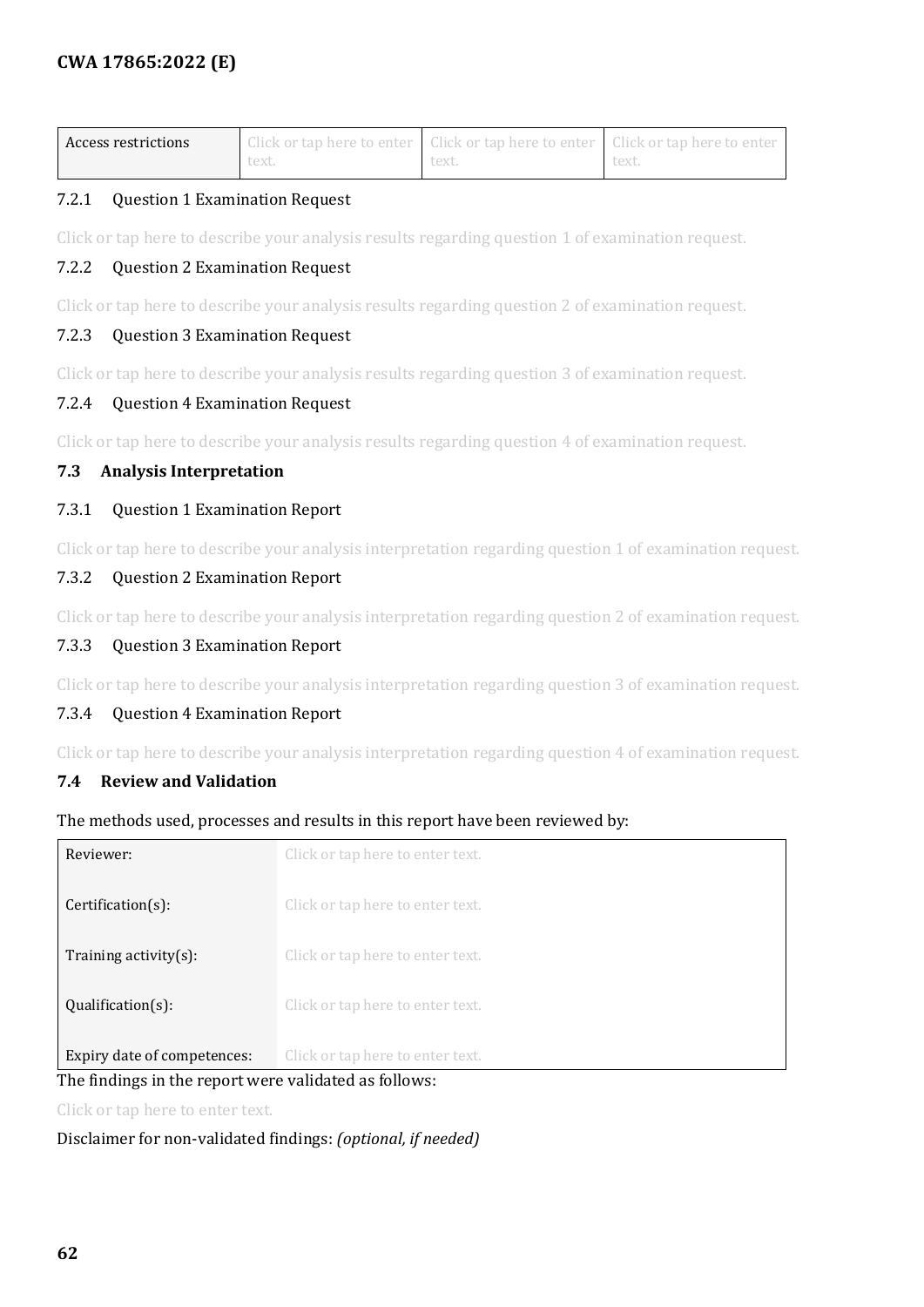| Access restrictions |       | $\Box$ Click or tap here to enter $\Box$ Click or tap here to enter $\Box$ Click or tap here to enter |       |
|---------------------|-------|-------------------------------------------------------------------------------------------------------|-------|
|                     | text. | text.                                                                                                 | text. |

#### 7.2.1 Question 1 Examination Request

Click or tap here to describe your analysis results regarding question 1 of examination request.

#### 7.2.2 Question 2 Examination Request

Click or tap here to describe your analysis results regarding question 2 of examination request.

#### 7.2.3 Question 3 Examination Request

Click or tap here to describe your analysis results regarding question 3 of examination request.

#### 7.2.4 Question 4 Examination Request

Click or tap here to describe your analysis results regarding question 4 of examination request.

#### <span id="page-61-0"></span>**7.3 Analysis Interpretation**

#### 7.3.1 Question 1 Examination Report

Click or tap here to describe your analysis interpretation regarding question 1 of examination request.

#### 7.3.2 Question 2 Examination Report

Click or tap here to describe your analysis interpretation regarding question 2 of examination request.

#### 7.3.3 Question 3 Examination Report

Click or tap here to describe your analysis interpretation regarding question 3 of examination request.

#### 7.3.4 Question 4 Examination Report

Click or tap here to describe your analysis interpretation regarding question 4 of examination request.

#### <span id="page-61-1"></span>**7.4 Review and Validation**

#### The methods used, processes and results in this report have been reviewed by:

| Expiry date of competences:<br>$\mathbf{r}$ and $\mathbf{r}$ and $\mathbf{r}$ and $\mathbf{r}$ and $\mathbf{r}$ and $\mathbf{r}$ and $\mathbf{r}$ and $\mathbf{r}$ and $\mathbf{r}$ and $\mathbf{r}$ and $\mathbf{r}$ and $\mathbf{r}$ and $\mathbf{r}$ and $\mathbf{r}$ and $\mathbf{r}$ and $\mathbf{r}$ and $\mathbf{r}$ and | Click or tap here to enter text.<br>1:1:1:1 |
|---------------------------------------------------------------------------------------------------------------------------------------------------------------------------------------------------------------------------------------------------------------------------------------------------------------------------------|---------------------------------------------|
|                                                                                                                                                                                                                                                                                                                                 |                                             |
| $Qualification(s)$ :                                                                                                                                                                                                                                                                                                            | Click or tap here to enter text.            |
| Training activity $(s)$ :                                                                                                                                                                                                                                                                                                       | Click or tap here to enter text.            |
| $Certification(s)$ :                                                                                                                                                                                                                                                                                                            | Click or tap here to enter text.            |
| Reviewer:                                                                                                                                                                                                                                                                                                                       | Click or tap here to enter text.            |

#### The findings in the report were validated as follows:

Click or tap here to enter text.

#### Disclaimer for non-validated findings: *(optional, if needed)*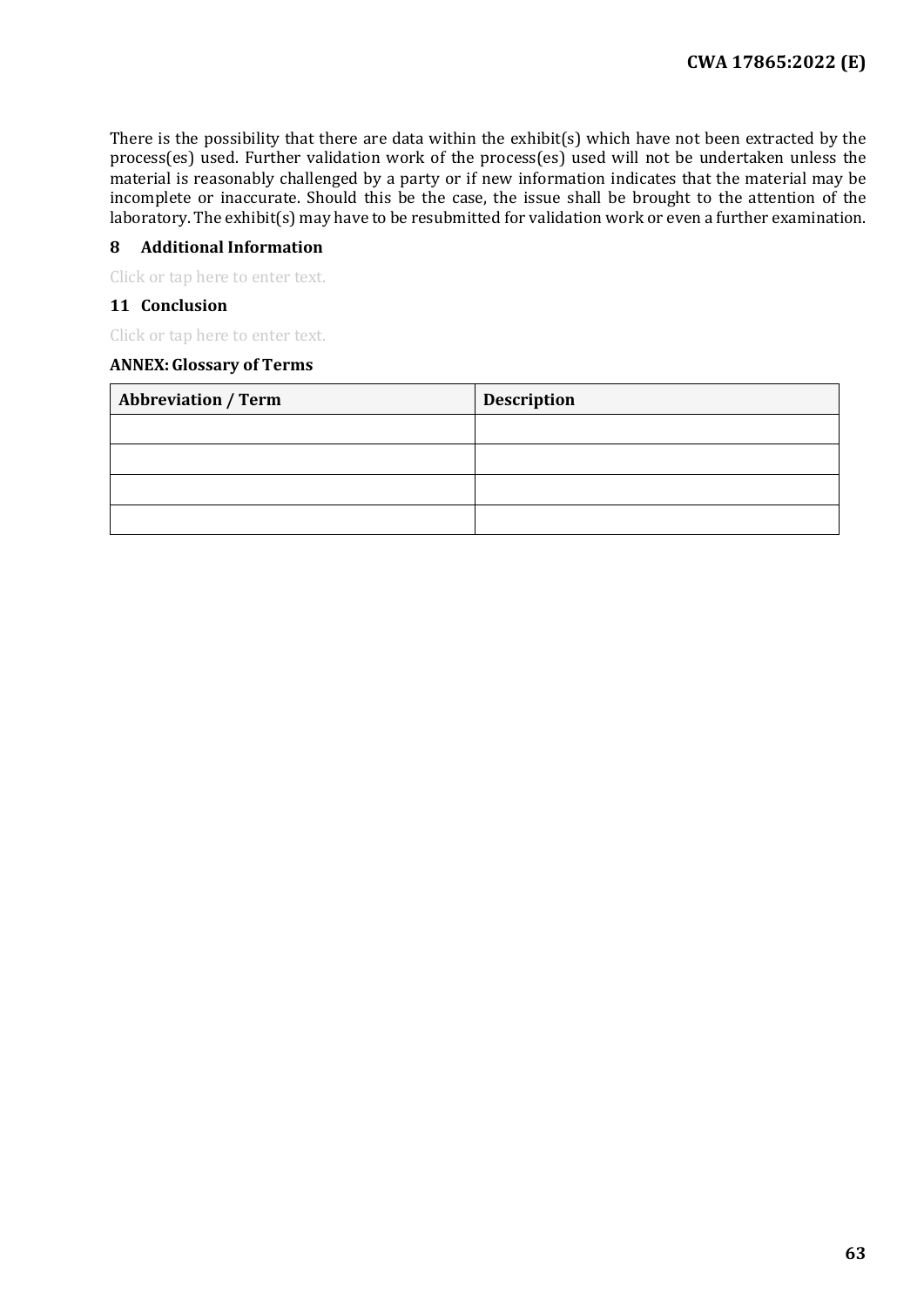There is the possibility that there are data within the exhibit(s) which have not been extracted by the process(es) used. Further validation work of the process(es) used will not be undertaken unless the material is reasonably challenged by a party or if new information indicates that the material may be incomplete or inaccurate. Should this be the case, the issue shall be brought to the attention of the laboratory. The exhibit(s) may have to be resubmitted for validation work or even a further examination.

#### **8 Additional Information**

Click or tap here to enter text.

#### **11 Conclusion**

Click or tap here to enter text.

#### **ANNEX:Glossary of Terms**

| <b>Abbreviation / Term</b> | <b>Description</b> |
|----------------------------|--------------------|
|                            |                    |
|                            |                    |
|                            |                    |
|                            |                    |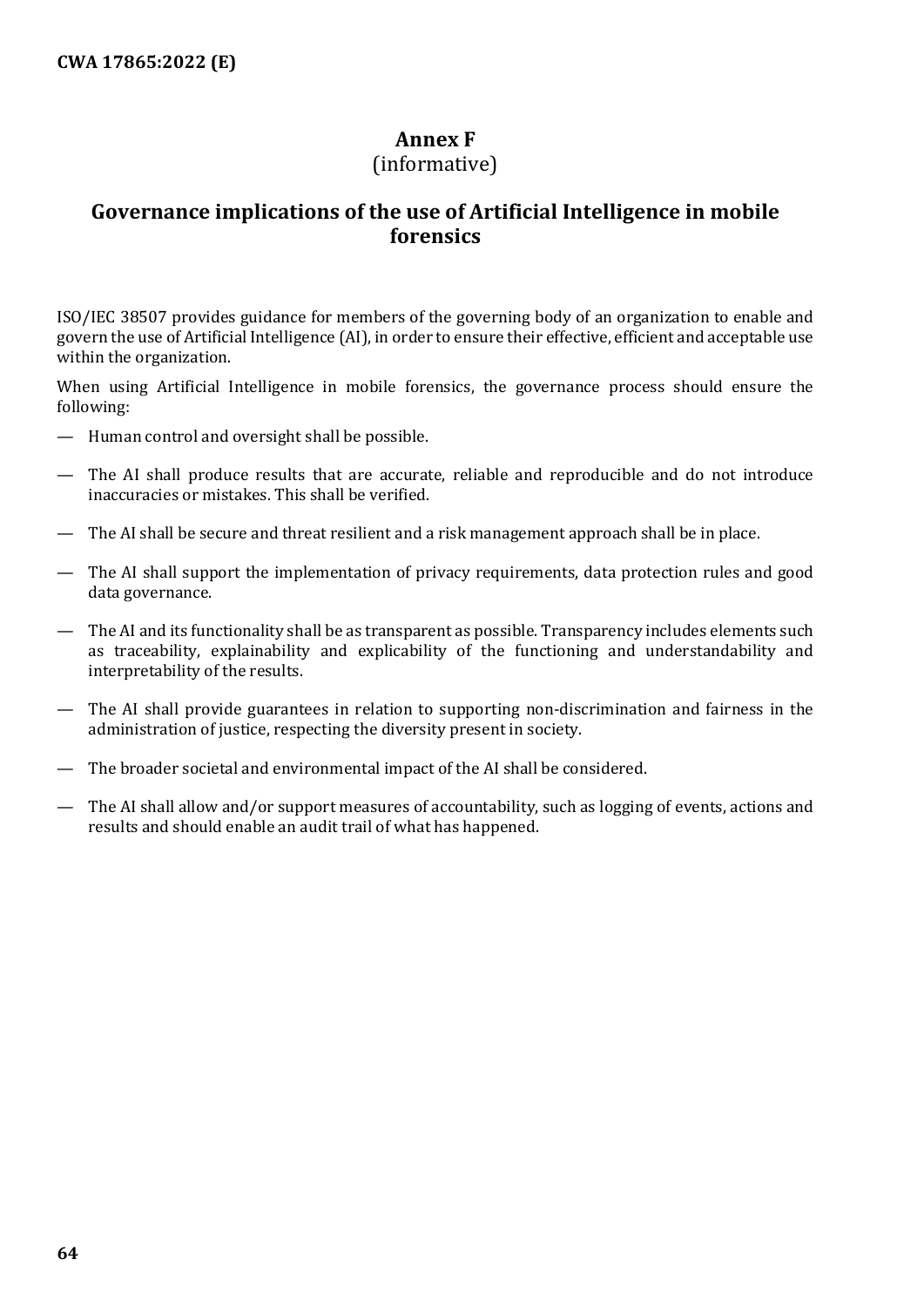## **Annex F**

#### (informative)

## <span id="page-63-0"></span>**Governance implications of the use of Artificial Intelligence in mobile forensics**

ISO/IEC 38507 provides guidance for members of the governing body of an organization to enable and govern the use of Artificial Intelligence (AI), in order to ensure their effective, efficient and acceptable use within the organization.

When using Artificial Intelligence in mobile forensics, the governance process should ensure the following:

- Human control and oversight shall be possible.
- The AI shall produce results that are accurate, reliable and reproducible and do not introduce inaccuracies or mistakes. This shall be verified.
- The AI shall be secure and threat resilient and a risk management approach shall be in place.
- The AI shall support the implementation of privacy requirements, data protection rules and good data governance.
- The AI and its functionality shall be as transparent as possible. Transparency includes elements such as traceability, explainability and explicability of the functioning and understandability and interpretability of the results.
- The AI shall provide guarantees in relation to supporting non-discrimination and fairness in the administration of justice, respecting the diversity present in society.
- The broader societal and environmental impact of the AI shall be considered.
- The AI shall allow and/or support measures of accountability, such as logging of events, actions and results and should enable an audit trail of what has happened.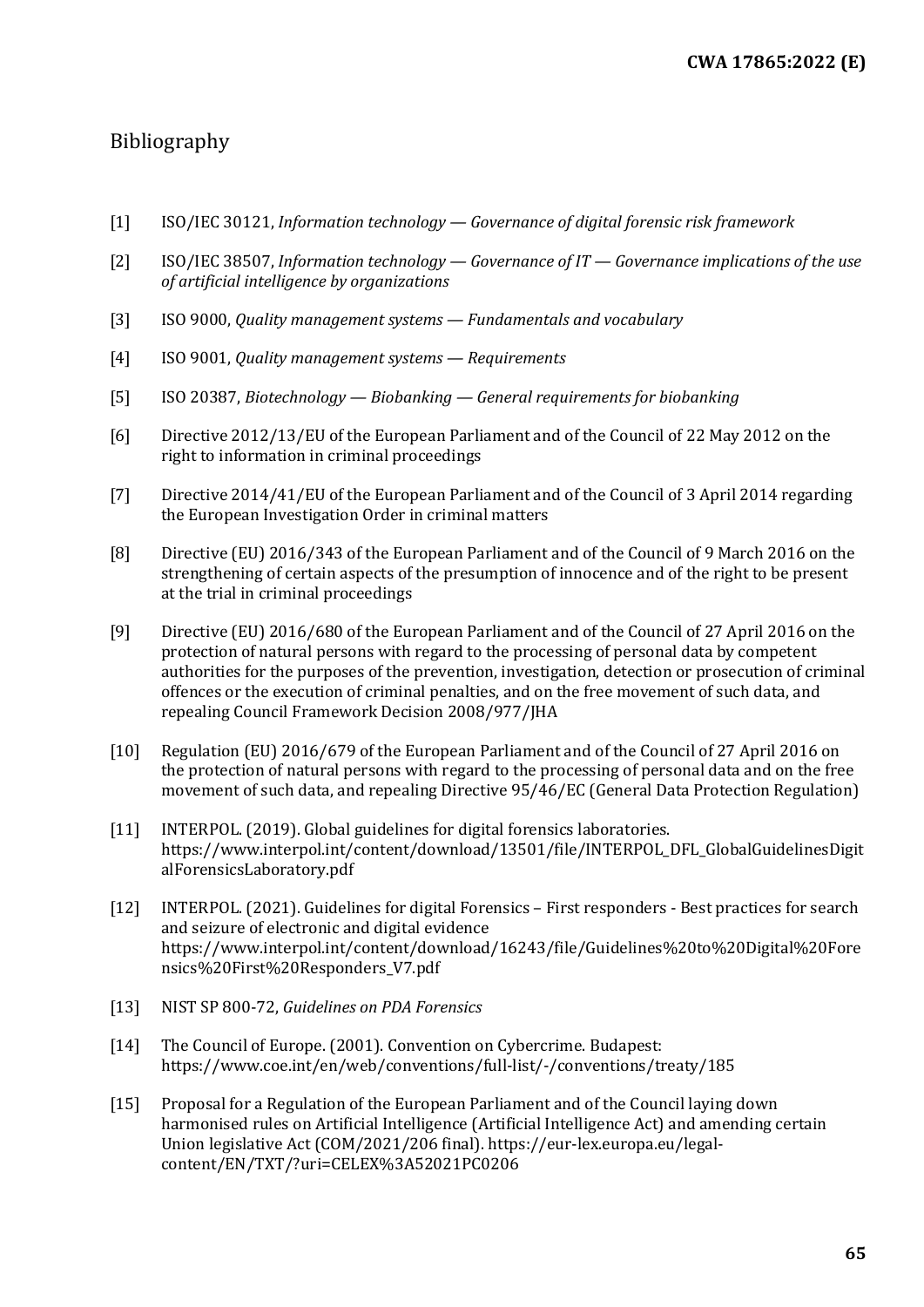## <span id="page-64-0"></span>Bibliography

- [1] ISO/IEC 30121, *Information technology — Governance of digital forensic risk framework*
- [2] ISO/IEC 38507, *Information technology — Governance of IT — Governance implications of the use of artificial intelligence by organizations*
- [3] ISO 9000, *Quality management systems — Fundamentals and vocabulary*
- [4] ISO 9001, *Quality management systems — Requirements*
- [5] ISO 20387, *Biotechnology — Biobanking — General requirements for biobanking*
- [6] Directive 2012/13/EU of the European Parliament and of the Council of 22 May 2012 on the right to information in criminal proceedings
- [7] Directive 2014/41/EU of the European Parliament and of the Council of 3 April 2014 regarding the European Investigation Order in criminal matters
- [8] Directive (EU) 2016/343 of the European Parliament and of the Council of 9 March 2016 on the strengthening of certain aspects of the presumption of innocence and of the right to be present at the trial in criminal proceedings
- [9] Directive (EU) 2016/680 of the European Parliament and of the Council of 27 April 2016 on the protection of natural persons with regard to the processing of personal data by competent authorities for the purposes of the prevention, investigation, detection or prosecution of criminal offences or the execution of criminal penalties, and on the free movement of such data, and repealing Council Framework Decision 2008/977/JHA
- [10] Regulation (EU) 2016/679 of the European Parliament and of the Council of 27 April 2016 on the protection of natural persons with regard to the processing of personal data and on the free movement of such data, and repealing Directive 95/46/EC (General Data Protection Regulation)
- [11] INTERPOL. (2019). Global guidelines for digital forensics laboratories. [https://www.interpol.int/content/download/13501/file/INTERPOL\\_DFL\\_GlobalGuidelinesDigit](https://www.interpol.int/content/download/13501/file/INTERPOL_DFL_GlobalGuidelinesDigitalForensicsLaboratory.pdf) [alForensicsLaboratory.pdf](https://www.interpol.int/content/download/13501/file/INTERPOL_DFL_GlobalGuidelinesDigitalForensicsLaboratory.pdf)
- [12] INTERPOL. (2021). Guidelines for digital Forensics First responders Best practices for search and seizure of electronic and digital evidence [https://www.interpol.int/content/download/16243/file/Guidelines%20to%20Digital%20Fore](https://www.interpol.int/content/download/16243/file/Guidelines%20to%20Digital%20Forensics%20First%20Responders_V7.pdf) [nsics%20First%20Responders\\_V7.pdf](https://www.interpol.int/content/download/16243/file/Guidelines%20to%20Digital%20Forensics%20First%20Responders_V7.pdf)
- [13] NIST SP 800-72, *Guidelines on PDA Forensics*
- [14] The Council of Europe. (2001). Convention on Cybercrime. Budapest: <https://www.coe.int/en/web/conventions/full-list/-/conventions/treaty/185>
- [15] Proposal for a Regulation of the European Parliament and of the Council laying down harmonised rules on Artificial Intelligence (Artificial Intelligence Act) and amending certain Union legislative Act (COM/2021/206 final)[. https://eur-lex.europa.eu/legal](https://eur-lex.europa.eu/legal-content/EN/TXT/?uri=CELEX%3A52021PC0206)[content/EN/TXT/?uri=CELEX%3A52021PC0206](https://eur-lex.europa.eu/legal-content/EN/TXT/?uri=CELEX%3A52021PC0206)